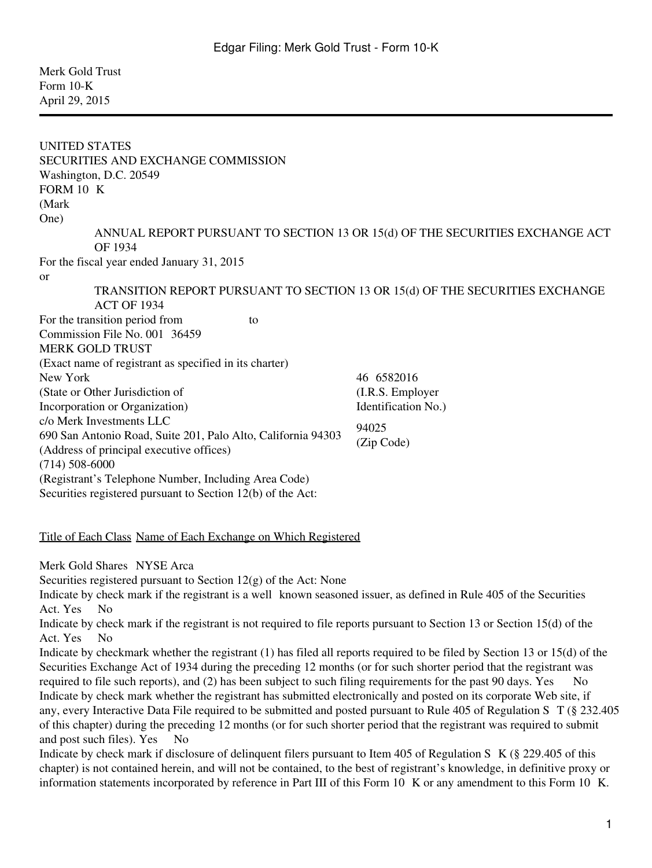Merk Gold Trust Form 10-K April 29, 2015

UNITED STATES SECURITIES AND EXCHANGE COMMISSION Washington, D.C. 20549 FORM  $10$  K (Mark One) ANNUAL REPORT PURSUANT TO SECTION 13 OR 15(d) OF THE SECURITIES EXCHANGE ACT OF 1934 For the fiscal year ended January 31, 2015 or TRANSITION REPORT PURSUANT TO SECTION 13 OR 15(d) OF THE SECURITIES EXCHANGE ACT OF 1934 For the transition period from to Commission File No. 001‑36459 MERK GOLD TRUST (Exact name of registrant as specified in its charter) New York (State or Other Jurisdiction of Incorporation or Organization) 46‑6582016 (I.R.S. Employer Identification No.) c/o Merk Investments LLC 690 San Antonio Road, Suite 201, Palo Alto, California 94303 (Address of principal executive offices) 94025 (Zip Code) (714) 508-6000 (Registrant's Telephone Number, Including Area Code)

Securities registered pursuant to Section 12(b) of the Act:

#### Title of Each Class Name of Each Exchange on Which Registered

Merk Gold Shares NYSE Arca

Securities registered pursuant to Section  $12(g)$  of the Act: None

Indicate by check mark if the registrant is a well‑known seasoned issuer, as defined in Rule 405 of the Securities Act. Yes No

Indicate by check mark if the registrant is not required to file reports pursuant to Section 13 or Section 15(d) of the Act. Yes No

Indicate by checkmark whether the registrant (1) has filed all reports required to be filed by Section 13 or 15(d) of the Securities Exchange Act of 1934 during the preceding 12 months (or for such shorter period that the registrant was required to file such reports), and (2) has been subject to such filing requirements for the past 90 days. Yes  $\overline{N}$  No Indicate by check mark whether the registrant has submitted electronically and posted on its corporate Web site, if any, every Interactive Data File required to be submitted and posted pursuant to Rule 405 of Regulation S‑T (§ 232.405 of this chapter) during the preceding 12 months (or for such shorter period that the registrant was required to submit and post such files). Yes No

Indicate by check mark if disclosure of delinquent filers pursuant to Item 405 of Regulation S‑K (§ 229.405 of this chapter) is not contained herein, and will not be contained, to the best of registrant's knowledge, in definitive proxy or information statements incorporated by reference in Part III of this Form 10  $\,$  K or any amendment to this Form 10  $\,$  K.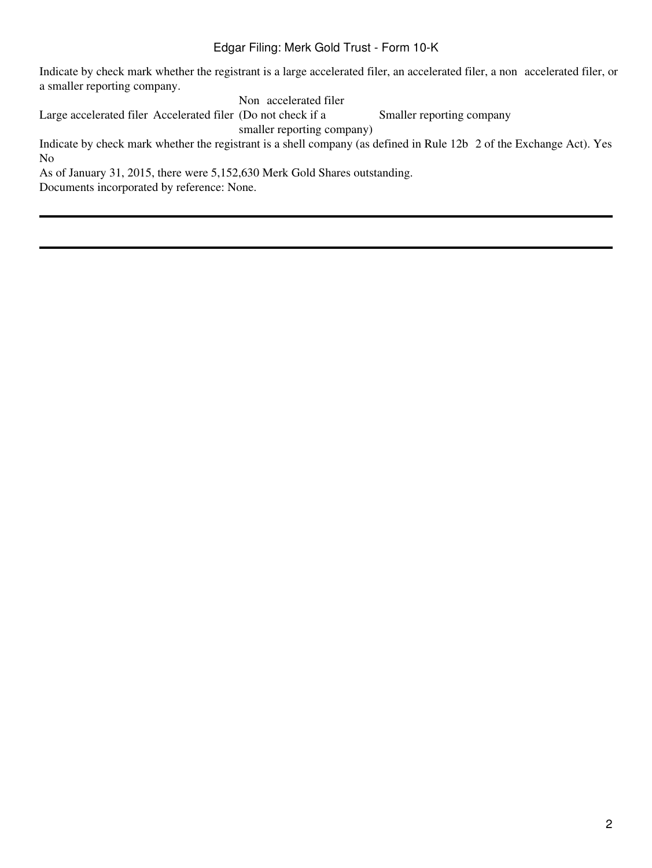Indicate by check mark whether the registrant is a large accelerated filer, an accelerated filer, a non accelerated filer, or a smaller reporting company.

Non accelerated filer

Large accelerated filer Accelerated filer (Do not check if a Smaller reporting company

smaller reporting company)

Indicate by check mark whether the registrant is a shell company (as defined in Rule 12b 2 of the Exchange Act). Yes N<sub>o</sub>

As of January 31, 2015, there were 5,152,630 Merk Gold Shares outstanding.

Documents incorporated by reference: None.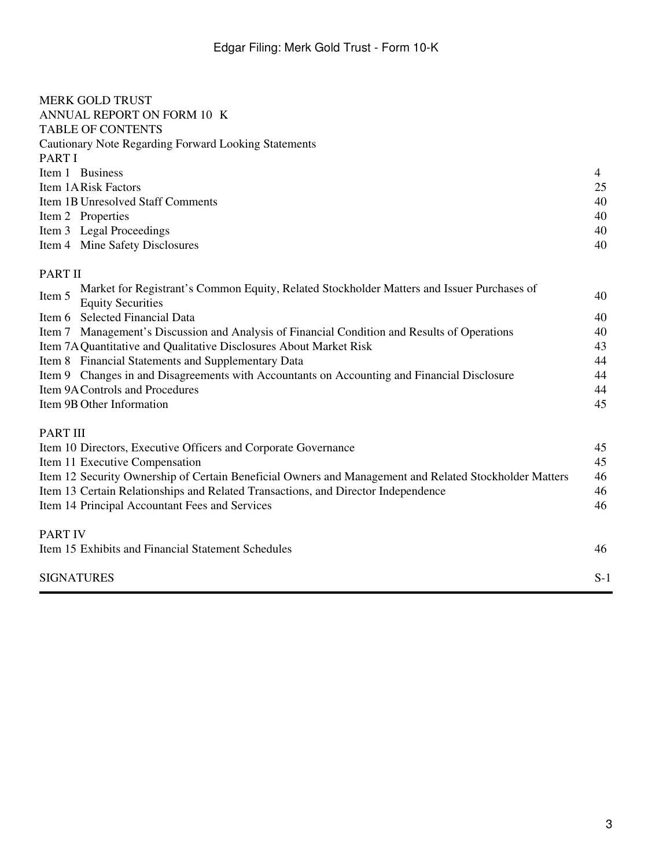| <b>MERK GOLD TRUST</b>                                                                                                           |       |  |  |
|----------------------------------------------------------------------------------------------------------------------------------|-------|--|--|
| ANNUAL REPORT ON FORM 10 K<br><b>TABLE OF CONTENTS</b>                                                                           |       |  |  |
| Cautionary Note Regarding Forward Looking Statements                                                                             |       |  |  |
| PART I                                                                                                                           |       |  |  |
| Item 1 Business                                                                                                                  | 4     |  |  |
| Item 1ARisk Factors                                                                                                              | 25    |  |  |
| <b>Item 1B Unresolved Staff Comments</b>                                                                                         | 40    |  |  |
| Item 2 Properties                                                                                                                | 40    |  |  |
| Item 3 Legal Proceedings                                                                                                         | 40    |  |  |
| Item 4 Mine Safety Disclosures                                                                                                   | 40    |  |  |
| <b>PART II</b>                                                                                                                   |       |  |  |
| Market for Registrant's Common Equity, Related Stockholder Matters and Issuer Purchases of<br>Item 5<br><b>Equity Securities</b> | 40    |  |  |
| Item 6 Selected Financial Data                                                                                                   | 40    |  |  |
| Item 7 Management's Discussion and Analysis of Financial Condition and Results of Operations                                     | 40    |  |  |
| Item 7A Quantitative and Qualitative Disclosures About Market Risk                                                               | 43    |  |  |
| Item 8 Financial Statements and Supplementary Data                                                                               | 44    |  |  |
| Item 9 Changes in and Disagreements with Accountants on Accounting and Financial Disclosure                                      | 44    |  |  |
| Item 9A Controls and Procedures                                                                                                  |       |  |  |
| Item 9B Other Information                                                                                                        | 45    |  |  |
| PART III                                                                                                                         |       |  |  |
| Item 10 Directors, Executive Officers and Corporate Governance                                                                   | 45    |  |  |
| Item 11 Executive Compensation                                                                                                   | 45    |  |  |
| Item 12 Security Ownership of Certain Beneficial Owners and Management and Related Stockholder Matters                           | 46    |  |  |
| Item 13 Certain Relationships and Related Transactions, and Director Independence                                                | 46    |  |  |
| Item 14 Principal Accountant Fees and Services                                                                                   | 46    |  |  |
| <b>PART IV</b>                                                                                                                   |       |  |  |
| Item 15 Exhibits and Financial Statement Schedules                                                                               | 46    |  |  |
| <b>SIGNATURES</b>                                                                                                                | $S-1$ |  |  |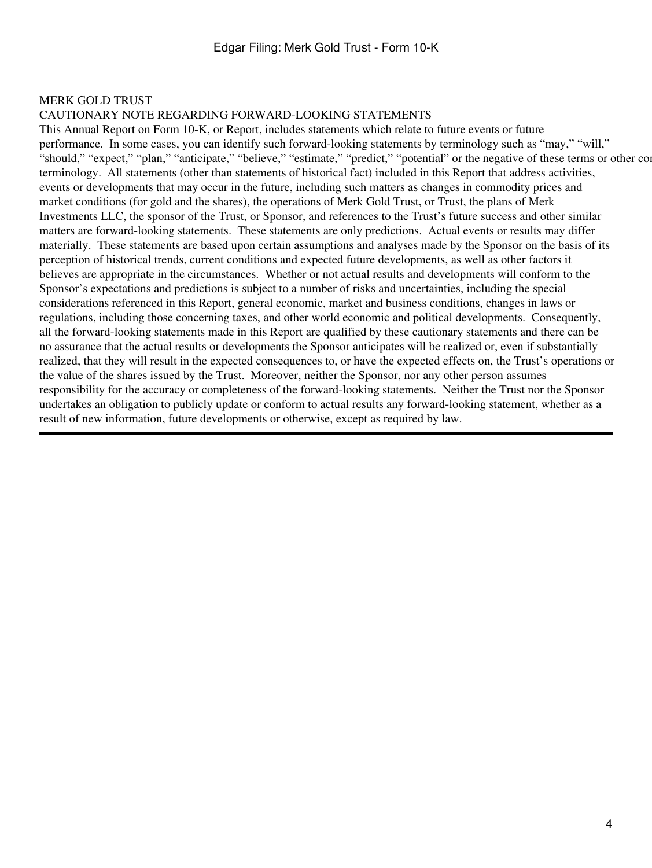#### MERK GOLD TRUST

#### CAUTIONARY NOTE REGARDING FORWARD-LOOKING STATEMENTS

This Annual Report on Form 10-K, or Report, includes statements which relate to future events or future performance. In some cases, you can identify such forward-looking statements by terminology such as "may," "will," "should," "expect," "plan," "anticipate," "believe," "estimate," "predict," "potential" or the negative of these terms or other comparable." terminology. All statements (other than statements of historical fact) included in this Report that address activities, events or developments that may occur in the future, including such matters as changes in commodity prices and market conditions (for gold and the shares), the operations of Merk Gold Trust, or Trust, the plans of Merk Investments LLC, the sponsor of the Trust, or Sponsor, and references to the Trust's future success and other similar matters are forward-looking statements. These statements are only predictions. Actual events or results may differ materially. These statements are based upon certain assumptions and analyses made by the Sponsor on the basis of its perception of historical trends, current conditions and expected future developments, as well as other factors it believes are appropriate in the circumstances. Whether or not actual results and developments will conform to the Sponsor's expectations and predictions is subject to a number of risks and uncertainties, including the special considerations referenced in this Report, general economic, market and business conditions, changes in laws or regulations, including those concerning taxes, and other world economic and political developments. Consequently, all the forward-looking statements made in this Report are qualified by these cautionary statements and there can be no assurance that the actual results or developments the Sponsor anticipates will be realized or, even if substantially realized, that they will result in the expected consequences to, or have the expected effects on, the Trust's operations or the value of the shares issued by the Trust. Moreover, neither the Sponsor, nor any other person assumes responsibility for the accuracy or completeness of the forward-looking statements. Neither the Trust nor the Sponsor undertakes an obligation to publicly update or conform to actual results any forward-looking statement, whether as a result of new information, future developments or otherwise, except as required by law.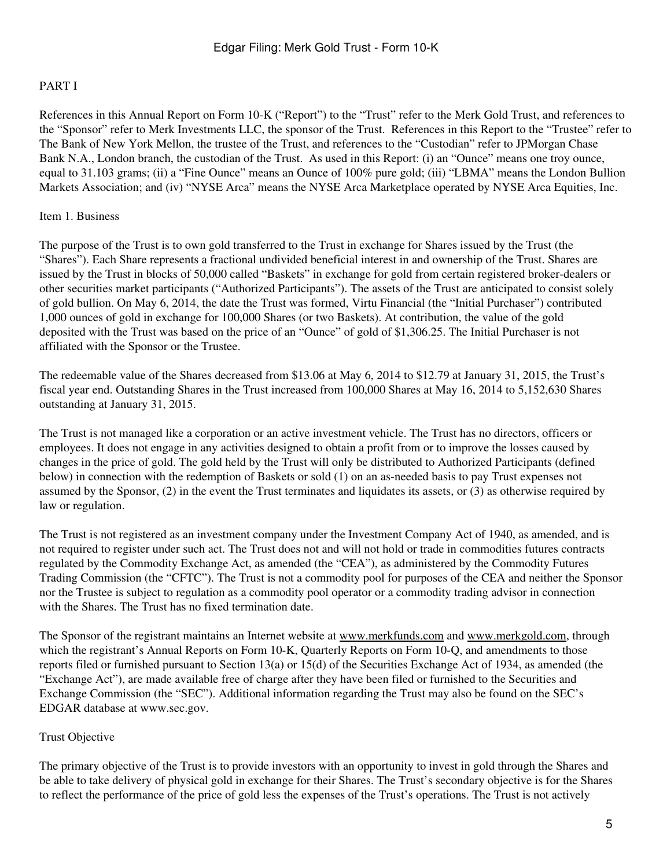## PART I

References in this Annual Report on Form 10-K ("Report") to the "Trust" refer to the Merk Gold Trust, and references to the "Sponsor" refer to Merk Investments LLC, the sponsor of the Trust. References in this Report to the "Trustee" refer to The Bank of New York Mellon, the trustee of the Trust, and references to the "Custodian" refer to JPMorgan Chase Bank N.A., London branch, the custodian of the Trust. As used in this Report: (i) an "Ounce" means one troy ounce, equal to 31.103 grams; (ii) a "Fine Ounce" means an Ounce of 100% pure gold; (iii) "LBMA" means the London Bullion Markets Association; and (iv) "NYSE Arca" means the NYSE Arca Marketplace operated by NYSE Arca Equities, Inc.

### Item 1. Business

The purpose of the Trust is to own gold transferred to the Trust in exchange for Shares issued by the Trust (the "Shares"). Each Share represents a fractional undivided beneficial interest in and ownership of the Trust. Shares are issued by the Trust in blocks of 50,000 called "Baskets" in exchange for gold from certain registered broker-dealers or other securities market participants ("Authorized Participants"). The assets of the Trust are anticipated to consist solely of gold bullion. On May 6, 2014, the date the Trust was formed, Virtu Financial (the "Initial Purchaser") contributed 1,000 ounces of gold in exchange for 100,000 Shares (or two Baskets). At contribution, the value of the gold deposited with the Trust was based on the price of an "Ounce" of gold of \$1,306.25. The Initial Purchaser is not affiliated with the Sponsor or the Trustee.

The redeemable value of the Shares decreased from \$13.06 at May 6, 2014 to \$12.79 at January 31, 2015, the Trust's fiscal year end. Outstanding Shares in the Trust increased from 100,000 Shares at May 16, 2014 to 5,152,630 Shares outstanding at January 31, 2015.

The Trust is not managed like a corporation or an active investment vehicle. The Trust has no directors, officers or employees. It does not engage in any activities designed to obtain a profit from or to improve the losses caused by changes in the price of gold. The gold held by the Trust will only be distributed to Authorized Participants (defined below) in connection with the redemption of Baskets or sold (1) on an as-needed basis to pay Trust expenses not assumed by the Sponsor, (2) in the event the Trust terminates and liquidates its assets, or (3) as otherwise required by law or regulation.

The Trust is not registered as an investment company under the Investment Company Act of 1940, as amended, and is not required to register under such act. The Trust does not and will not hold or trade in commodities futures contracts regulated by the Commodity Exchange Act, as amended (the "CEA"), as administered by the Commodity Futures Trading Commission (the "CFTC"). The Trust is not a commodity pool for purposes of the CEA and neither the Sponsor nor the Trustee is subject to regulation as a commodity pool operator or a commodity trading advisor in connection with the Shares. The Trust has no fixed termination date.

The Sponsor of the registrant maintains an Internet website at www.merkfunds.com and www.merkgold.com, through which the registrant's Annual Reports on Form 10-K, Quarterly Reports on Form 10-Q, and amendments to those reports filed or furnished pursuant to Section 13(a) or 15(d) of the Securities Exchange Act of 1934, as amended (the "Exchange Act"), are made available free of charge after they have been filed or furnished to the Securities and Exchange Commission (the "SEC"). Additional information regarding the Trust may also be found on the SEC's EDGAR database at www.sec.gov.

## Trust Objective

The primary objective of the Trust is to provide investors with an opportunity to invest in gold through the Shares and be able to take delivery of physical gold in exchange for their Shares. The Trust's secondary objective is for the Shares to reflect the performance of the price of gold less the expenses of the Trust's operations. The Trust is not actively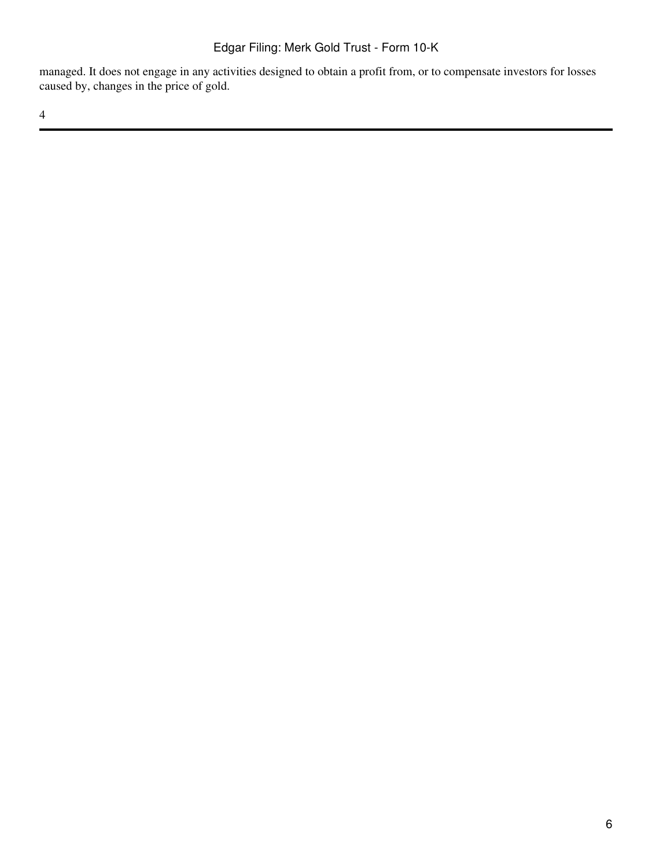managed. It does not engage in any activities designed to obtain a profit from, or to compensate investors for losses caused by, changes in the price of gold.

4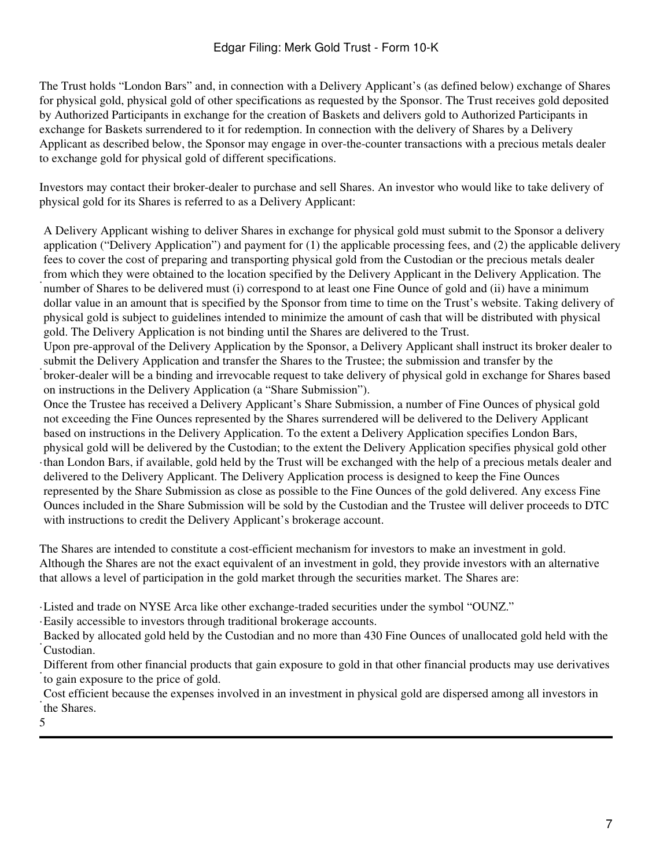The Trust holds "London Bars" and, in connection with a Delivery Applicant's (as defined below) exchange of Shares for physical gold, physical gold of other specifications as requested by the Sponsor. The Trust receives gold deposited by Authorized Participants in exchange for the creation of Baskets and delivers gold to Authorized Participants in exchange for Baskets surrendered to it for redemption. In connection with the delivery of Shares by a Delivery Applicant as described below, the Sponsor may engage in over-the-counter transactions with a precious metals dealer to exchange gold for physical gold of different specifications.

Investors may contact their broker-dealer to purchase and sell Shares. An investor who would like to take delivery of physical gold for its Shares is referred to as a Delivery Applicant:

· A Delivery Applicant wishing to deliver Shares in exchange for physical gold must submit to the Sponsor a delivery application ("Delivery Application") and payment for (1) the applicable processing fees, and (2) the applicable delivery fees to cover the cost of preparing and transporting physical gold from the Custodian or the precious metals dealer from which they were obtained to the location specified by the Delivery Applicant in the Delivery Application. The number of Shares to be delivered must (i) correspond to at least one Fine Ounce of gold and (ii) have a minimum dollar value in an amount that is specified by the Sponsor from time to time on the Trust's website. Taking delivery of physical gold is subject to guidelines intended to minimize the amount of cash that will be distributed with physical gold. The Delivery Application is not binding until the Shares are delivered to the Trust.

· Upon pre-approval of the Delivery Application by the Sponsor, a Delivery Applicant shall instruct its broker dealer to submit the Delivery Application and transfer the Shares to the Trustee; the submission and transfer by the broker-dealer will be a binding and irrevocable request to take delivery of physical gold in exchange for Shares based on instructions in the Delivery Application (a "Share Submission").

· than London Bars, if available, gold held by the Trust will be exchanged with the help of a precious metals dealer and Once the Trustee has received a Delivery Applicant's Share Submission, a number of Fine Ounces of physical gold not exceeding the Fine Ounces represented by the Shares surrendered will be delivered to the Delivery Applicant based on instructions in the Delivery Application. To the extent a Delivery Application specifies London Bars, physical gold will be delivered by the Custodian; to the extent the Delivery Application specifies physical gold other delivered to the Delivery Applicant. The Delivery Application process is designed to keep the Fine Ounces represented by the Share Submission as close as possible to the Fine Ounces of the gold delivered. Any excess Fine Ounces included in the Share Submission will be sold by the Custodian and the Trustee will deliver proceeds to DTC with instructions to credit the Delivery Applicant's brokerage account.

The Shares are intended to constitute a cost-efficient mechanism for investors to make an investment in gold. Although the Shares are not the exact equivalent of an investment in gold, they provide investors with an alternative that allows a level of participation in the gold market through the securities market. The Shares are:

·Listed and trade on NYSE Arca like other exchange-traded securities under the symbol "OUNZ."

·Easily accessible to investors through traditional brokerage accounts.

· Custodian. Backed by allocated gold held by the Custodian and no more than 430 Fine Ounces of unallocated gold held with the

Different from other financial products that gain exposure to gold in that other financial products may use derivatives to gain exposure to the price of gold.

· the Shares. Cost efficient because the expenses involved in an investment in physical gold are dispersed among all investors in

5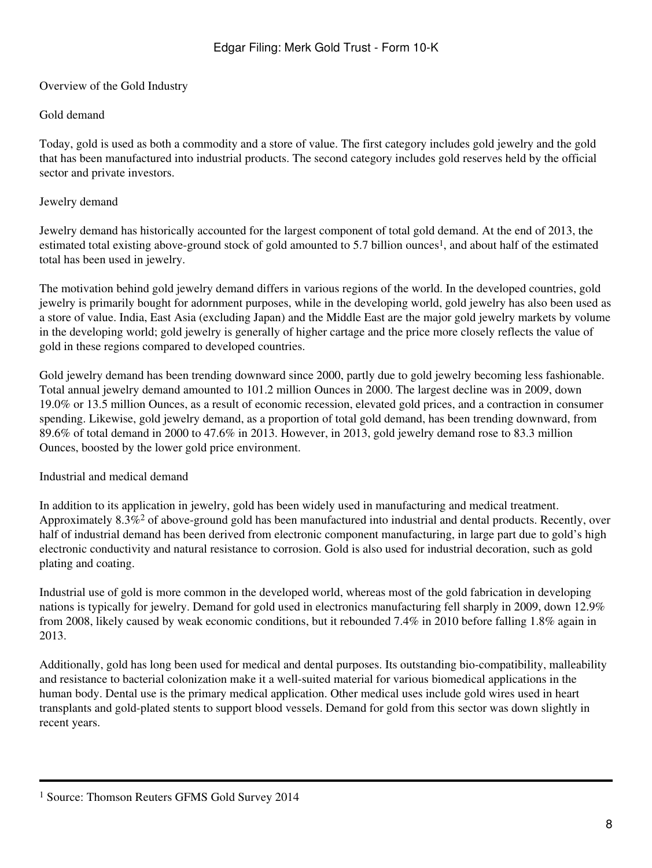Overview of the Gold Industry

## Gold demand

Today, gold is used as both a commodity and a store of value. The first category includes gold jewelry and the gold that has been manufactured into industrial products. The second category includes gold reserves held by the official sector and private investors.

## Jewelry demand

Jewelry demand has historically accounted for the largest component of total gold demand. At the end of 2013, the estimated total existing above-ground stock of gold amounted to 5.7 billion ounces<sup>1</sup>, and about half of the estimated total has been used in jewelry.

The motivation behind gold jewelry demand differs in various regions of the world. In the developed countries, gold jewelry is primarily bought for adornment purposes, while in the developing world, gold jewelry has also been used as a store of value. India, East Asia (excluding Japan) and the Middle East are the major gold jewelry markets by volume in the developing world; gold jewelry is generally of higher cartage and the price more closely reflects the value of gold in these regions compared to developed countries.

Gold jewelry demand has been trending downward since 2000, partly due to gold jewelry becoming less fashionable. Total annual jewelry demand amounted to 101.2 million Ounces in 2000. The largest decline was in 2009, down 19.0% or 13.5 million Ounces, as a result of economic recession, elevated gold prices, and a contraction in consumer spending. Likewise, gold jewelry demand, as a proportion of total gold demand, has been trending downward, from 89.6% of total demand in 2000 to 47.6% in 2013. However, in 2013, gold jewelry demand rose to 83.3 million Ounces, boosted by the lower gold price environment.

## Industrial and medical demand

In addition to its application in jewelry, gold has been widely used in manufacturing and medical treatment. Approximately 8.3%2 of above-ground gold has been manufactured into industrial and dental products. Recently, over half of industrial demand has been derived from electronic component manufacturing, in large part due to gold's high electronic conductivity and natural resistance to corrosion. Gold is also used for industrial decoration, such as gold plating and coating.

Industrial use of gold is more common in the developed world, whereas most of the gold fabrication in developing nations is typically for jewelry. Demand for gold used in electronics manufacturing fell sharply in 2009, down 12.9% from 2008, likely caused by weak economic conditions, but it rebounded 7.4% in 2010 before falling 1.8% again in 2013.

Additionally, gold has long been used for medical and dental purposes. Its outstanding bio-compatibility, malleability and resistance to bacterial colonization make it a well-suited material for various biomedical applications in the human body. Dental use is the primary medical application. Other medical uses include gold wires used in heart transplants and gold-plated stents to support blood vessels. Demand for gold from this sector was down slightly in recent years.

<sup>1</sup> Source: Thomson Reuters GFMS Gold Survey 2014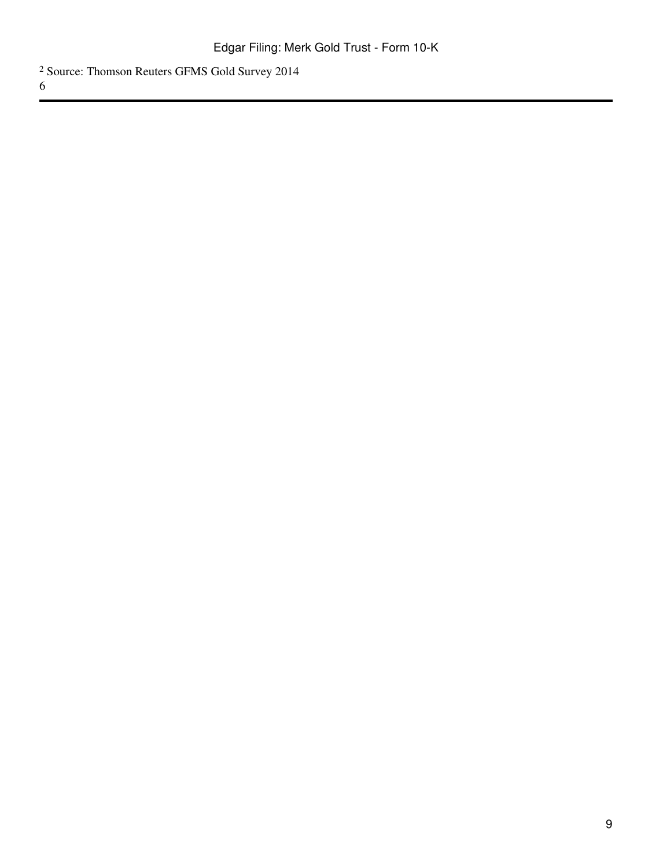Source: Thomson Reuters GFMS Gold Survey 2014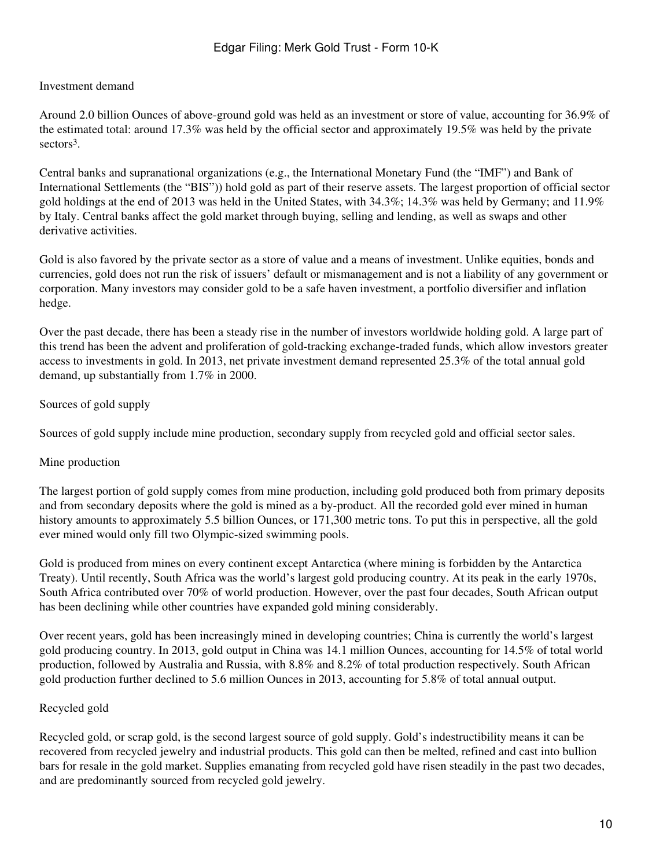## Investment demand

Around 2.0 billion Ounces of above-ground gold was held as an investment or store of value, accounting for 36.9% of the estimated total: around 17.3% was held by the official sector and approximately 19.5% was held by the private sectors<sup>3</sup>.

Central banks and supranational organizations (e.g., the International Monetary Fund (the "IMF") and Bank of International Settlements (the "BIS")) hold gold as part of their reserve assets. The largest proportion of official sector gold holdings at the end of 2013 was held in the United States, with 34.3%; 14.3% was held by Germany; and 11.9% by Italy. Central banks affect the gold market through buying, selling and lending, as well as swaps and other derivative activities.

Gold is also favored by the private sector as a store of value and a means of investment. Unlike equities, bonds and currencies, gold does not run the risk of issuers' default or mismanagement and is not a liability of any government or corporation. Many investors may consider gold to be a safe haven investment, a portfolio diversifier and inflation hedge.

Over the past decade, there has been a steady rise in the number of investors worldwide holding gold. A large part of this trend has been the advent and proliferation of gold-tracking exchange-traded funds, which allow investors greater access to investments in gold. In 2013, net private investment demand represented 25.3% of the total annual gold demand, up substantially from 1.7% in 2000.

## Sources of gold supply

Sources of gold supply include mine production, secondary supply from recycled gold and official sector sales.

#### Mine production

The largest portion of gold supply comes from mine production, including gold produced both from primary deposits and from secondary deposits where the gold is mined as a by-product. All the recorded gold ever mined in human history amounts to approximately 5.5 billion Ounces, or 171,300 metric tons. To put this in perspective, all the gold ever mined would only fill two Olympic-sized swimming pools.

Gold is produced from mines on every continent except Antarctica (where mining is forbidden by the Antarctica Treaty). Until recently, South Africa was the world's largest gold producing country. At its peak in the early 1970s, South Africa contributed over 70% of world production. However, over the past four decades, South African output has been declining while other countries have expanded gold mining considerably.

Over recent years, gold has been increasingly mined in developing countries; China is currently the world's largest gold producing country. In 2013, gold output in China was 14.1 million Ounces, accounting for 14.5% of total world production, followed by Australia and Russia, with 8.8% and 8.2% of total production respectively. South African gold production further declined to 5.6 million Ounces in 2013, accounting for 5.8% of total annual output.

#### Recycled gold

Recycled gold, or scrap gold, is the second largest source of gold supply. Gold's indestructibility means it can be recovered from recycled jewelry and industrial products. This gold can then be melted, refined and cast into bullion bars for resale in the gold market. Supplies emanating from recycled gold have risen steadily in the past two decades, and are predominantly sourced from recycled gold jewelry.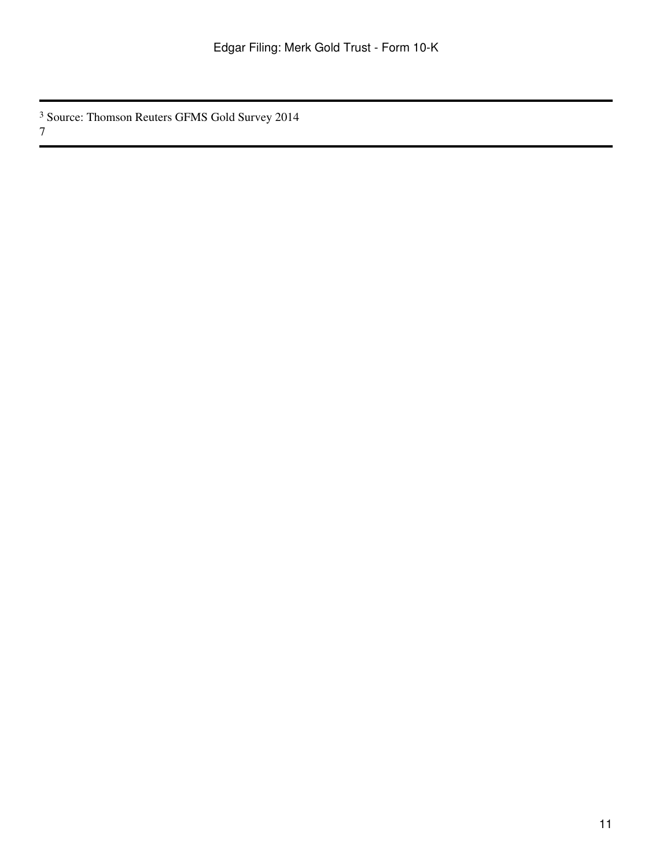Source: Thomson Reuters GFMS Gold Survey 2014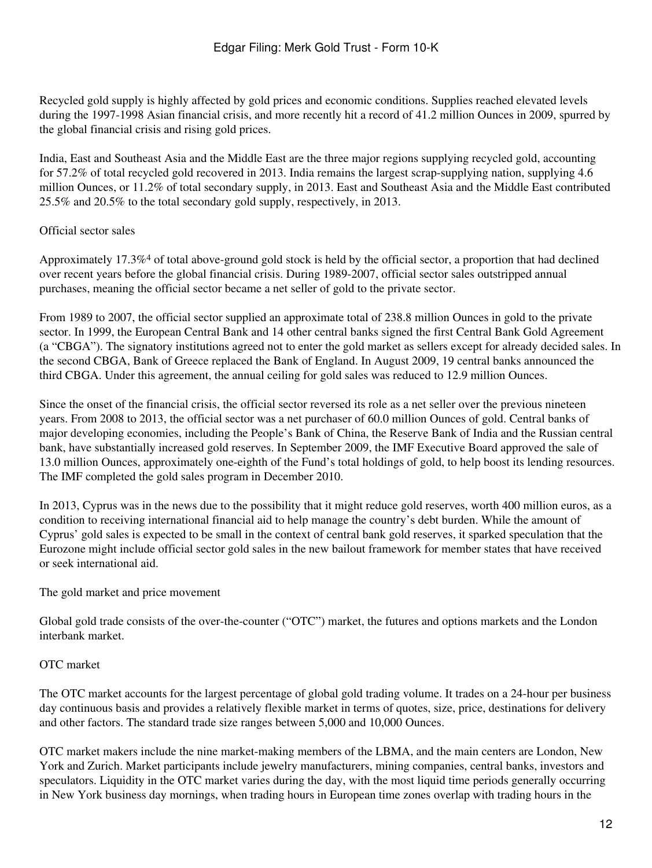Recycled gold supply is highly affected by gold prices and economic conditions. Supplies reached elevated levels during the 1997-1998 Asian financial crisis, and more recently hit a record of 41.2 million Ounces in 2009, spurred by the global financial crisis and rising gold prices.

India, East and Southeast Asia and the Middle East are the three major regions supplying recycled gold, accounting for 57.2% of total recycled gold recovered in 2013. India remains the largest scrap-supplying nation, supplying 4.6 million Ounces, or 11.2% of total secondary supply, in 2013. East and Southeast Asia and the Middle East contributed 25.5% and 20.5% to the total secondary gold supply, respectively, in 2013.

## Official sector sales

Approximately 17.3%4 of total above-ground gold stock is held by the official sector, a proportion that had declined over recent years before the global financial crisis. During 1989-2007, official sector sales outstripped annual purchases, meaning the official sector became a net seller of gold to the private sector.

From 1989 to 2007, the official sector supplied an approximate total of 238.8 million Ounces in gold to the private sector. In 1999, the European Central Bank and 14 other central banks signed the first Central Bank Gold Agreement (a "CBGA"). The signatory institutions agreed not to enter the gold market as sellers except for already decided sales. In the second CBGA, Bank of Greece replaced the Bank of England. In August 2009, 19 central banks announced the third CBGA. Under this agreement, the annual ceiling for gold sales was reduced to 12.9 million Ounces.

Since the onset of the financial crisis, the official sector reversed its role as a net seller over the previous nineteen years. From 2008 to 2013, the official sector was a net purchaser of 60.0 million Ounces of gold. Central banks of major developing economies, including the People's Bank of China, the Reserve Bank of India and the Russian central bank, have substantially increased gold reserves. In September 2009, the IMF Executive Board approved the sale of 13.0 million Ounces, approximately one-eighth of the Fund's total holdings of gold, to help boost its lending resources. The IMF completed the gold sales program in December 2010.

In 2013, Cyprus was in the news due to the possibility that it might reduce gold reserves, worth 400 million euros, as a condition to receiving international financial aid to help manage the country's debt burden. While the amount of Cyprus' gold sales is expected to be small in the context of central bank gold reserves, it sparked speculation that the Eurozone might include official sector gold sales in the new bailout framework for member states that have received or seek international aid.

## The gold market and price movement

Global gold trade consists of the over-the-counter ("OTC") market, the futures and options markets and the London interbank market.

## OTC market

The OTC market accounts for the largest percentage of global gold trading volume. It trades on a 24-hour per business day continuous basis and provides a relatively flexible market in terms of quotes, size, price, destinations for delivery and other factors. The standard trade size ranges between 5,000 and 10,000 Ounces.

OTC market makers include the nine market-making members of the LBMA, and the main centers are London, New York and Zurich. Market participants include jewelry manufacturers, mining companies, central banks, investors and speculators. Liquidity in the OTC market varies during the day, with the most liquid time periods generally occurring in New York business day mornings, when trading hours in European time zones overlap with trading hours in the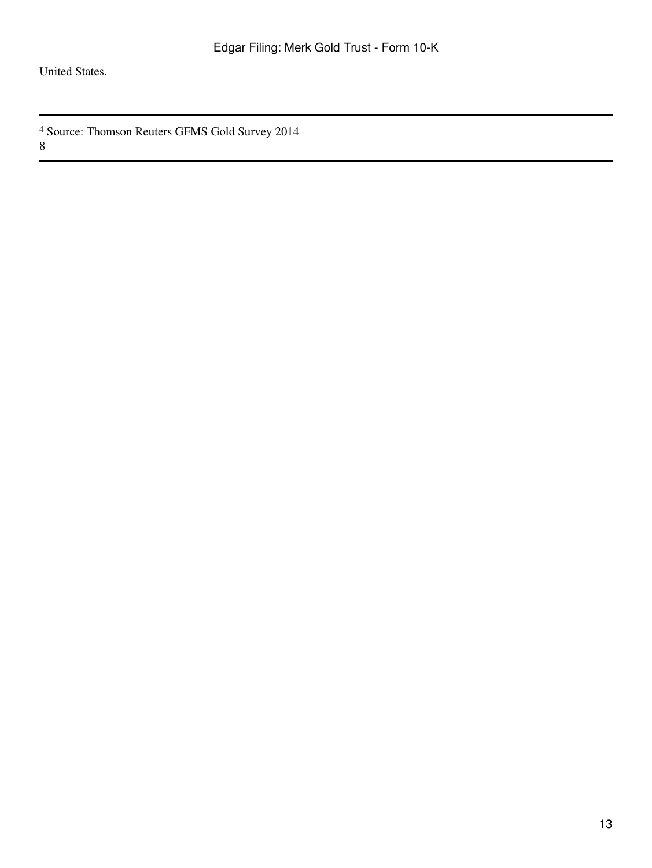United States.

<sup>4</sup> Source: Thomson Reuters GFMS Gold Survey 2014 8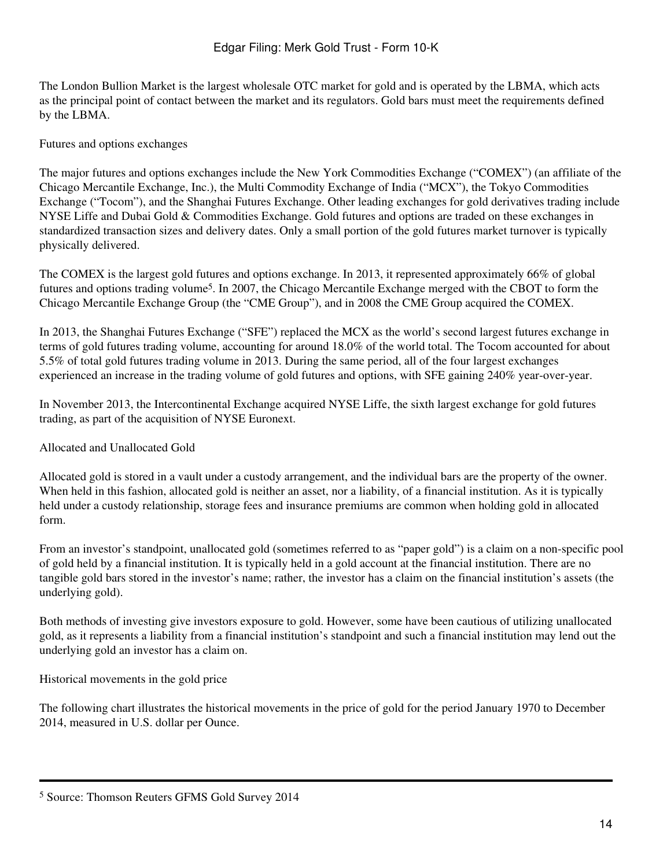The London Bullion Market is the largest wholesale OTC market for gold and is operated by the LBMA, which acts as the principal point of contact between the market and its regulators. Gold bars must meet the requirements defined by the LBMA.

### Futures and options exchanges

The major futures and options exchanges include the New York Commodities Exchange ("COMEX") (an affiliate of the Chicago Mercantile Exchange, Inc.), the Multi Commodity Exchange of India ("MCX"), the Tokyo Commodities Exchange ("Tocom"), and the Shanghai Futures Exchange. Other leading exchanges for gold derivatives trading include NYSE Liffe and Dubai Gold & Commodities Exchange. Gold futures and options are traded on these exchanges in standardized transaction sizes and delivery dates. Only a small portion of the gold futures market turnover is typically physically delivered.

The COMEX is the largest gold futures and options exchange. In 2013, it represented approximately 66% of global futures and options trading volume5. In 2007, the Chicago Mercantile Exchange merged with the CBOT to form the Chicago Mercantile Exchange Group (the "CME Group"), and in 2008 the CME Group acquired the COMEX.

In 2013, the Shanghai Futures Exchange ("SFE") replaced the MCX as the world's second largest futures exchange in terms of gold futures trading volume, accounting for around 18.0% of the world total. The Tocom accounted for about 5.5% of total gold futures trading volume in 2013. During the same period, all of the four largest exchanges experienced an increase in the trading volume of gold futures and options, with SFE gaining 240% year-over-year.

In November 2013, the Intercontinental Exchange acquired NYSE Liffe, the sixth largest exchange for gold futures trading, as part of the acquisition of NYSE Euronext.

#### Allocated and Unallocated Gold

Allocated gold is stored in a vault under a custody arrangement, and the individual bars are the property of the owner. When held in this fashion, allocated gold is neither an asset, nor a liability, of a financial institution. As it is typically held under a custody relationship, storage fees and insurance premiums are common when holding gold in allocated form.

From an investor's standpoint, unallocated gold (sometimes referred to as "paper gold") is a claim on a non-specific pool of gold held by a financial institution. It is typically held in a gold account at the financial institution. There are no tangible gold bars stored in the investor's name; rather, the investor has a claim on the financial institution's assets (the underlying gold).

Both methods of investing give investors exposure to gold. However, some have been cautious of utilizing unallocated gold, as it represents a liability from a financial institution's standpoint and such a financial institution may lend out the underlying gold an investor has a claim on.

#### Historical movements in the gold price

The following chart illustrates the historical movements in the price of gold for the period January 1970 to December 2014, measured in U.S. dollar per Ounce.

<sup>5</sup> Source: Thomson Reuters GFMS Gold Survey 2014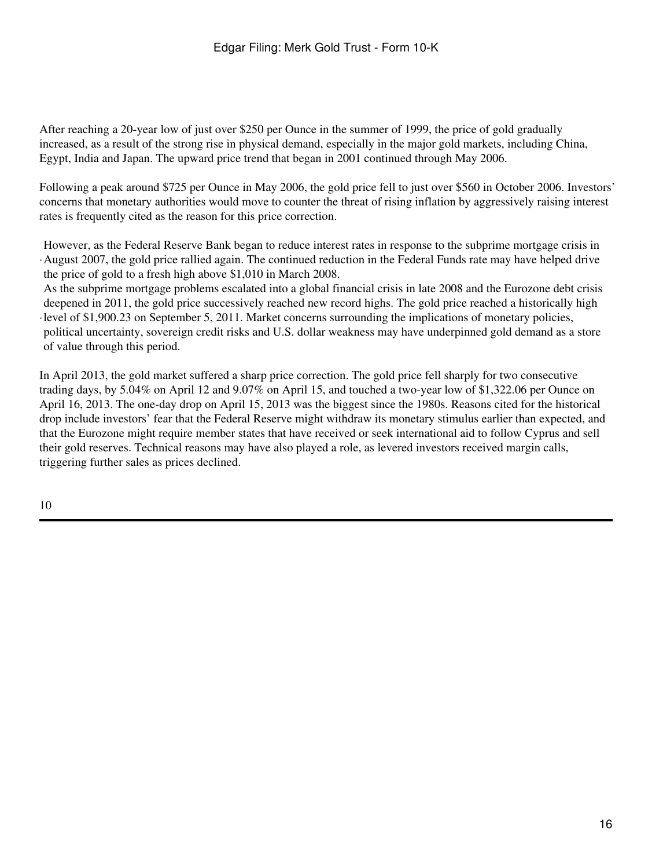After reaching a 20-year low of just over \$250 per Ounce in the summer of 1999, the price of gold gradually increased, as a result of the strong rise in physical demand, especially in the major gold markets, including China, Egypt, India and Japan. The upward price trend that began in 2001 continued through May 2006.

Following a peak around \$725 per Ounce in May 2006, the gold price fell to just over \$560 in October 2006. Investors' concerns that monetary authorities would move to counter the threat of rising inflation by aggressively raising interest rates is frequently cited as the reason for this price correction.

· August 2007, the gold price rallied again. The continued reduction in the Federal Funds rate may have helped drive However, as the Federal Reserve Bank began to reduce interest rates in response to the subprime mortgage crisis in the price of gold to a fresh high above \$1,010 in March 2008.

· level of \$1,900.23 on September 5, 2011. Market concerns surrounding the implications of monetary policies, As the subprime mortgage problems escalated into a global financial crisis in late 2008 and the Eurozone debt crisis deepened in 2011, the gold price successively reached new record highs. The gold price reached a historically high political uncertainty, sovereign credit risks and U.S. dollar weakness may have underpinned gold demand as a store of value through this period.

In April 2013, the gold market suffered a sharp price correction. The gold price fell sharply for two consecutive trading days, by 5.04% on April 12 and 9.07% on April 15, and touched a two-year low of \$1,322.06 per Ounce on April 16, 2013. The one-day drop on April 15, 2013 was the biggest since the 1980s. Reasons cited for the historical drop include investors' fear that the Federal Reserve might withdraw its monetary stimulus earlier than expected, and that the Eurozone might require member states that have received or seek international aid to follow Cyprus and sell their gold reserves. Technical reasons may have also played a role, as levered investors received margin calls, triggering further sales as prices declined.

10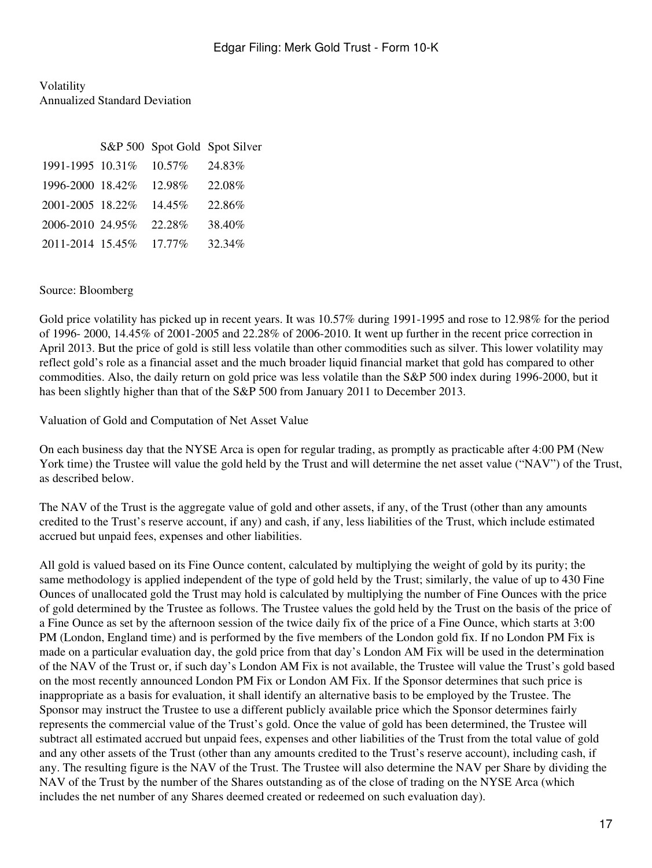Volatility Annualized Standard Deviation

|                         |           | S&P 500 Spot Gold Spot Silver |
|-------------------------|-----------|-------------------------------|
| 1991-1995 10.31% 10.57% |           | 24.83%                        |
| 1996-2000 18.42%        | 12.98%    | 22.08%                        |
| 2001-2005 18.22\%       | $14.45\%$ | 22.86%                        |
| 2006-2010 24.95%        | 22.28%    | 38.40%                        |
| 2011-2014 15.45% 17.77% |           | 32.34%                        |

### Source: Bloomberg

Gold price volatility has picked up in recent years. It was 10.57% during 1991-1995 and rose to 12.98% for the period of 1996- 2000, 14.45% of 2001-2005 and 22.28% of 2006-2010. It went up further in the recent price correction in April 2013. But the price of gold is still less volatile than other commodities such as silver. This lower volatility may reflect gold's role as a financial asset and the much broader liquid financial market that gold has compared to other commodities. Also, the daily return on gold price was less volatile than the S&P 500 index during 1996-2000, but it has been slightly higher than that of the S&P 500 from January 2011 to December 2013.

Valuation of Gold and Computation of Net Asset Value

On each business day that the NYSE Arca is open for regular trading, as promptly as practicable after 4:00 PM (New York time) the Trustee will value the gold held by the Trust and will determine the net asset value ("NAV") of the Trust, as described below.

The NAV of the Trust is the aggregate value of gold and other assets, if any, of the Trust (other than any amounts credited to the Trust's reserve account, if any) and cash, if any, less liabilities of the Trust, which include estimated accrued but unpaid fees, expenses and other liabilities.

All gold is valued based on its Fine Ounce content, calculated by multiplying the weight of gold by its purity; the same methodology is applied independent of the type of gold held by the Trust; similarly, the value of up to 430 Fine Ounces of unallocated gold the Trust may hold is calculated by multiplying the number of Fine Ounces with the price of gold determined by the Trustee as follows. The Trustee values the gold held by the Trust on the basis of the price of a Fine Ounce as set by the afternoon session of the twice daily fix of the price of a Fine Ounce, which starts at 3:00 PM (London, England time) and is performed by the five members of the London gold fix. If no London PM Fix is made on a particular evaluation day, the gold price from that day's London AM Fix will be used in the determination of the NAV of the Trust or, if such day's London AM Fix is not available, the Trustee will value the Trust's gold based on the most recently announced London PM Fix or London AM Fix. If the Sponsor determines that such price is inappropriate as a basis for evaluation, it shall identify an alternative basis to be employed by the Trustee. The Sponsor may instruct the Trustee to use a different publicly available price which the Sponsor determines fairly represents the commercial value of the Trust's gold. Once the value of gold has been determined, the Trustee will subtract all estimated accrued but unpaid fees, expenses and other liabilities of the Trust from the total value of gold and any other assets of the Trust (other than any amounts credited to the Trust's reserve account), including cash, if any. The resulting figure is the NAV of the Trust. The Trustee will also determine the NAV per Share by dividing the NAV of the Trust by the number of the Shares outstanding as of the close of trading on the NYSE Arca (which includes the net number of any Shares deemed created or redeemed on such evaluation day).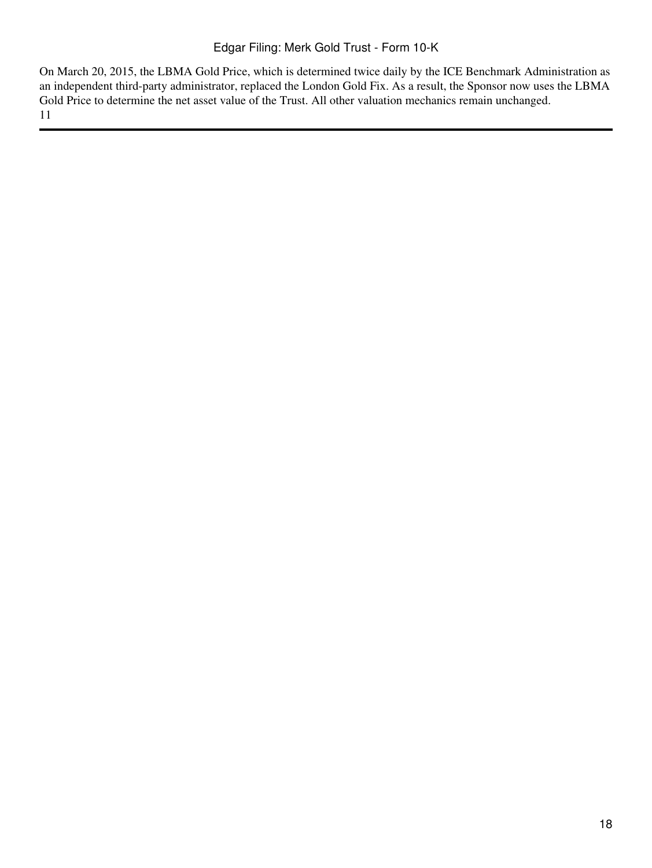On March 20, 2015, the LBMA Gold Price, which is determined twice daily by the ICE Benchmark Administration as an independent third-party administrator, replaced the London Gold Fix. As a result, the Sponsor now uses the LBMA Gold Price to determine the net asset value of the Trust. All other valuation mechanics remain unchanged. 11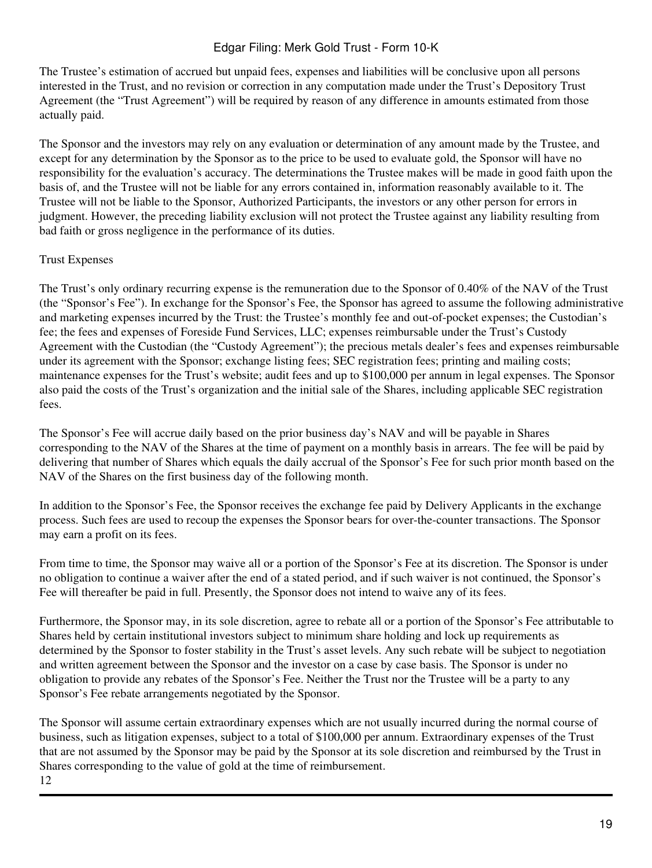The Trustee's estimation of accrued but unpaid fees, expenses and liabilities will be conclusive upon all persons interested in the Trust, and no revision or correction in any computation made under the Trust's Depository Trust Agreement (the "Trust Agreement") will be required by reason of any difference in amounts estimated from those actually paid.

The Sponsor and the investors may rely on any evaluation or determination of any amount made by the Trustee, and except for any determination by the Sponsor as to the price to be used to evaluate gold, the Sponsor will have no responsibility for the evaluation's accuracy. The determinations the Trustee makes will be made in good faith upon the basis of, and the Trustee will not be liable for any errors contained in, information reasonably available to it. The Trustee will not be liable to the Sponsor, Authorized Participants, the investors or any other person for errors in judgment. However, the preceding liability exclusion will not protect the Trustee against any liability resulting from bad faith or gross negligence in the performance of its duties.

### Trust Expenses

The Trust's only ordinary recurring expense is the remuneration due to the Sponsor of 0.40% of the NAV of the Trust (the "Sponsor's Fee"). In exchange for the Sponsor's Fee, the Sponsor has agreed to assume the following administrative and marketing expenses incurred by the Trust: the Trustee's monthly fee and out-of-pocket expenses; the Custodian's fee; the fees and expenses of Foreside Fund Services, LLC; expenses reimbursable under the Trust's Custody Agreement with the Custodian (the "Custody Agreement"); the precious metals dealer's fees and expenses reimbursable under its agreement with the Sponsor; exchange listing fees; SEC registration fees; printing and mailing costs; maintenance expenses for the Trust's website; audit fees and up to \$100,000 per annum in legal expenses. The Sponsor also paid the costs of the Trust's organization and the initial sale of the Shares, including applicable SEC registration fees.

The Sponsor's Fee will accrue daily based on the prior business day's NAV and will be payable in Shares corresponding to the NAV of the Shares at the time of payment on a monthly basis in arrears. The fee will be paid by delivering that number of Shares which equals the daily accrual of the Sponsor's Fee for such prior month based on the NAV of the Shares on the first business day of the following month.

In addition to the Sponsor's Fee, the Sponsor receives the exchange fee paid by Delivery Applicants in the exchange process. Such fees are used to recoup the expenses the Sponsor bears for over-the-counter transactions. The Sponsor may earn a profit on its fees.

From time to time, the Sponsor may waive all or a portion of the Sponsor's Fee at its discretion. The Sponsor is under no obligation to continue a waiver after the end of a stated period, and if such waiver is not continued, the Sponsor's Fee will thereafter be paid in full. Presently, the Sponsor does not intend to waive any of its fees.

Furthermore, the Sponsor may, in its sole discretion, agree to rebate all or a portion of the Sponsor's Fee attributable to Shares held by certain institutional investors subject to minimum share holding and lock up requirements as determined by the Sponsor to foster stability in the Trust's asset levels. Any such rebate will be subject to negotiation and written agreement between the Sponsor and the investor on a case by case basis. The Sponsor is under no obligation to provide any rebates of the Sponsor's Fee. Neither the Trust nor the Trustee will be a party to any Sponsor's Fee rebate arrangements negotiated by the Sponsor.

The Sponsor will assume certain extraordinary expenses which are not usually incurred during the normal course of business, such as litigation expenses, subject to a total of \$100,000 per annum. Extraordinary expenses of the Trust that are not assumed by the Sponsor may be paid by the Sponsor at its sole discretion and reimbursed by the Trust in Shares corresponding to the value of gold at the time of reimbursement. 12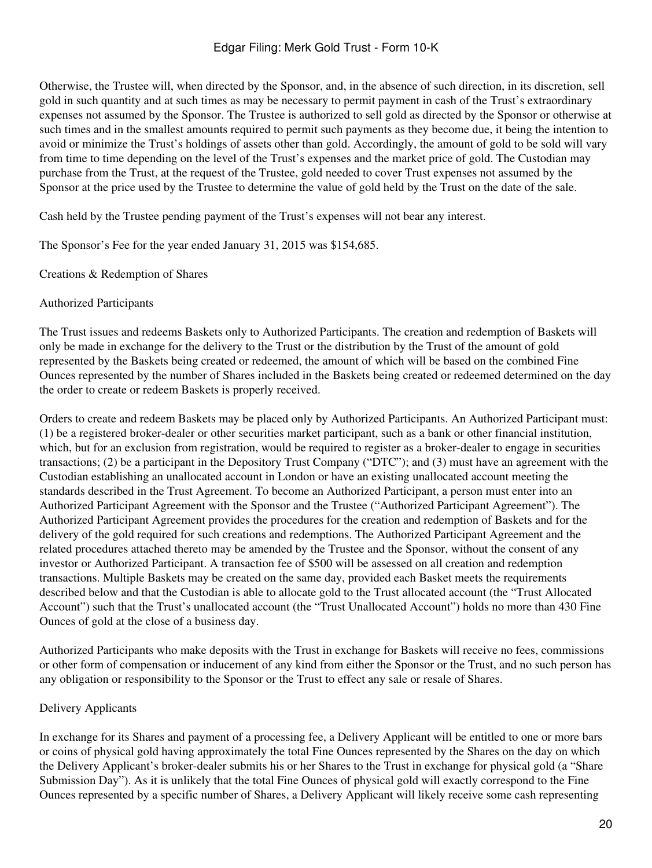Otherwise, the Trustee will, when directed by the Sponsor, and, in the absence of such direction, in its discretion, sell gold in such quantity and at such times as may be necessary to permit payment in cash of the Trust's extraordinary expenses not assumed by the Sponsor. The Trustee is authorized to sell gold as directed by the Sponsor or otherwise at such times and in the smallest amounts required to permit such payments as they become due, it being the intention to avoid or minimize the Trust's holdings of assets other than gold. Accordingly, the amount of gold to be sold will vary from time to time depending on the level of the Trust's expenses and the market price of gold. The Custodian may purchase from the Trust, at the request of the Trustee, gold needed to cover Trust expenses not assumed by the Sponsor at the price used by the Trustee to determine the value of gold held by the Trust on the date of the sale.

Cash held by the Trustee pending payment of the Trust's expenses will not bear any interest.

The Sponsor's Fee for the year ended January 31, 2015 was \$154,685.

Creations & Redemption of Shares

### Authorized Participants

The Trust issues and redeems Baskets only to Authorized Participants. The creation and redemption of Baskets will only be made in exchange for the delivery to the Trust or the distribution by the Trust of the amount of gold represented by the Baskets being created or redeemed, the amount of which will be based on the combined Fine Ounces represented by the number of Shares included in the Baskets being created or redeemed determined on the day the order to create or redeem Baskets is properly received.

Orders to create and redeem Baskets may be placed only by Authorized Participants. An Authorized Participant must: (1) be a registered broker-dealer or other securities market participant, such as a bank or other financial institution, which, but for an exclusion from registration, would be required to register as a broker-dealer to engage in securities transactions; (2) be a participant in the Depository Trust Company ("DTC"); and (3) must have an agreement with the Custodian establishing an unallocated account in London or have an existing unallocated account meeting the standards described in the Trust Agreement. To become an Authorized Participant, a person must enter into an Authorized Participant Agreement with the Sponsor and the Trustee ("Authorized Participant Agreement"). The Authorized Participant Agreement provides the procedures for the creation and redemption of Baskets and for the delivery of the gold required for such creations and redemptions. The Authorized Participant Agreement and the related procedures attached thereto may be amended by the Trustee and the Sponsor, without the consent of any investor or Authorized Participant. A transaction fee of \$500 will be assessed on all creation and redemption transactions. Multiple Baskets may be created on the same day, provided each Basket meets the requirements described below and that the Custodian is able to allocate gold to the Trust allocated account (the "Trust Allocated Account") such that the Trust's unallocated account (the "Trust Unallocated Account") holds no more than 430 Fine Ounces of gold at the close of a business day.

Authorized Participants who make deposits with the Trust in exchange for Baskets will receive no fees, commissions or other form of compensation or inducement of any kind from either the Sponsor or the Trust, and no such person has any obligation or responsibility to the Sponsor or the Trust to effect any sale or resale of Shares.

## Delivery Applicants

In exchange for its Shares and payment of a processing fee, a Delivery Applicant will be entitled to one or more bars or coins of physical gold having approximately the total Fine Ounces represented by the Shares on the day on which the Delivery Applicant's broker-dealer submits his or her Shares to the Trust in exchange for physical gold (a "Share Submission Day"). As it is unlikely that the total Fine Ounces of physical gold will exactly correspond to the Fine Ounces represented by a specific number of Shares, a Delivery Applicant will likely receive some cash representing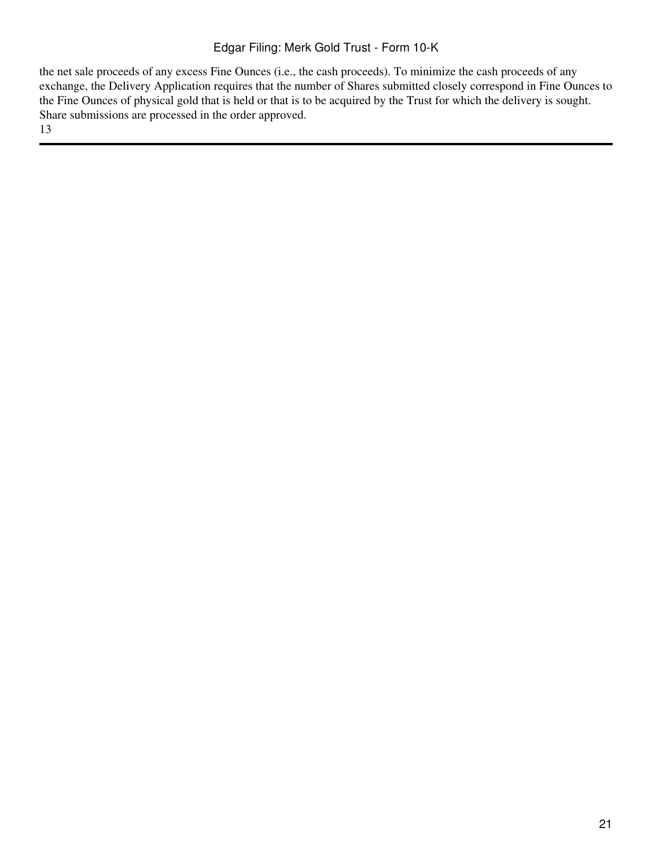the net sale proceeds of any excess Fine Ounces (i.e., the cash proceeds). To minimize the cash proceeds of any exchange, the Delivery Application requires that the number of Shares submitted closely correspond in Fine Ounces to the Fine Ounces of physical gold that is held or that is to be acquired by the Trust for which the delivery is sought. Share submissions are processed in the order approved. 13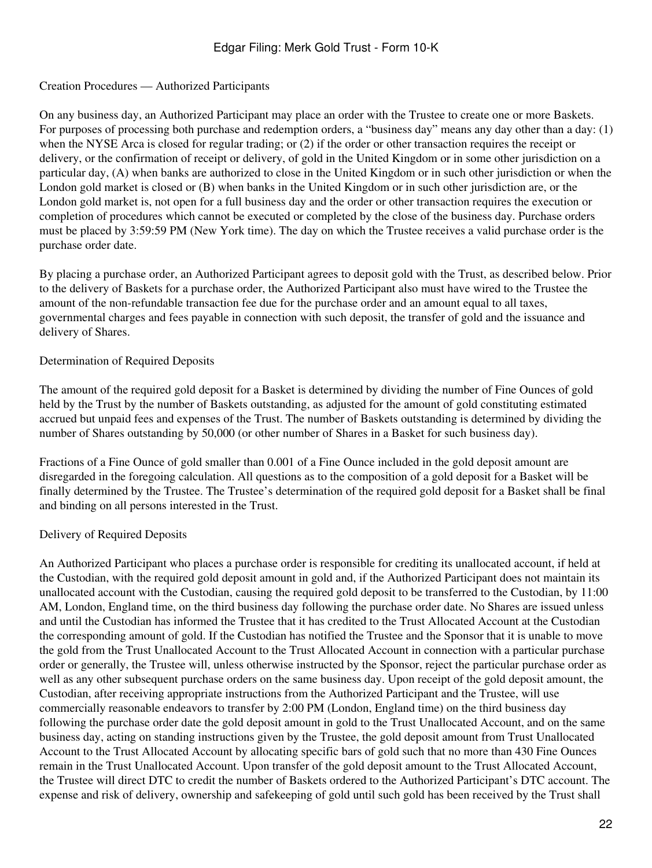## Creation Procedures — Authorized Participants

On any business day, an Authorized Participant may place an order with the Trustee to create one or more Baskets. For purposes of processing both purchase and redemption orders, a "business day" means any day other than a day: (1) when the NYSE Arca is closed for regular trading; or (2) if the order or other transaction requires the receipt or delivery, or the confirmation of receipt or delivery, of gold in the United Kingdom or in some other jurisdiction on a particular day, (A) when banks are authorized to close in the United Kingdom or in such other jurisdiction or when the London gold market is closed or (B) when banks in the United Kingdom or in such other jurisdiction are, or the London gold market is, not open for a full business day and the order or other transaction requires the execution or completion of procedures which cannot be executed or completed by the close of the business day. Purchase orders must be placed by 3:59:59 PM (New York time). The day on which the Trustee receives a valid purchase order is the purchase order date.

By placing a purchase order, an Authorized Participant agrees to deposit gold with the Trust, as described below. Prior to the delivery of Baskets for a purchase order, the Authorized Participant also must have wired to the Trustee the amount of the non-refundable transaction fee due for the purchase order and an amount equal to all taxes, governmental charges and fees payable in connection with such deposit, the transfer of gold and the issuance and delivery of Shares.

### Determination of Required Deposits

The amount of the required gold deposit for a Basket is determined by dividing the number of Fine Ounces of gold held by the Trust by the number of Baskets outstanding, as adjusted for the amount of gold constituting estimated accrued but unpaid fees and expenses of the Trust. The number of Baskets outstanding is determined by dividing the number of Shares outstanding by 50,000 (or other number of Shares in a Basket for such business day).

Fractions of a Fine Ounce of gold smaller than 0.001 of a Fine Ounce included in the gold deposit amount are disregarded in the foregoing calculation. All questions as to the composition of a gold deposit for a Basket will be finally determined by the Trustee. The Trustee's determination of the required gold deposit for a Basket shall be final and binding on all persons interested in the Trust.

## Delivery of Required Deposits

An Authorized Participant who places a purchase order is responsible for crediting its unallocated account, if held at the Custodian, with the required gold deposit amount in gold and, if the Authorized Participant does not maintain its unallocated account with the Custodian, causing the required gold deposit to be transferred to the Custodian, by 11:00 AM, London, England time, on the third business day following the purchase order date. No Shares are issued unless and until the Custodian has informed the Trustee that it has credited to the Trust Allocated Account at the Custodian the corresponding amount of gold. If the Custodian has notified the Trustee and the Sponsor that it is unable to move the gold from the Trust Unallocated Account to the Trust Allocated Account in connection with a particular purchase order or generally, the Trustee will, unless otherwise instructed by the Sponsor, reject the particular purchase order as well as any other subsequent purchase orders on the same business day. Upon receipt of the gold deposit amount, the Custodian, after receiving appropriate instructions from the Authorized Participant and the Trustee, will use commercially reasonable endeavors to transfer by 2:00 PM (London, England time) on the third business day following the purchase order date the gold deposit amount in gold to the Trust Unallocated Account, and on the same business day, acting on standing instructions given by the Trustee, the gold deposit amount from Trust Unallocated Account to the Trust Allocated Account by allocating specific bars of gold such that no more than 430 Fine Ounces remain in the Trust Unallocated Account. Upon transfer of the gold deposit amount to the Trust Allocated Account, the Trustee will direct DTC to credit the number of Baskets ordered to the Authorized Participant's DTC account. The expense and risk of delivery, ownership and safekeeping of gold until such gold has been received by the Trust shall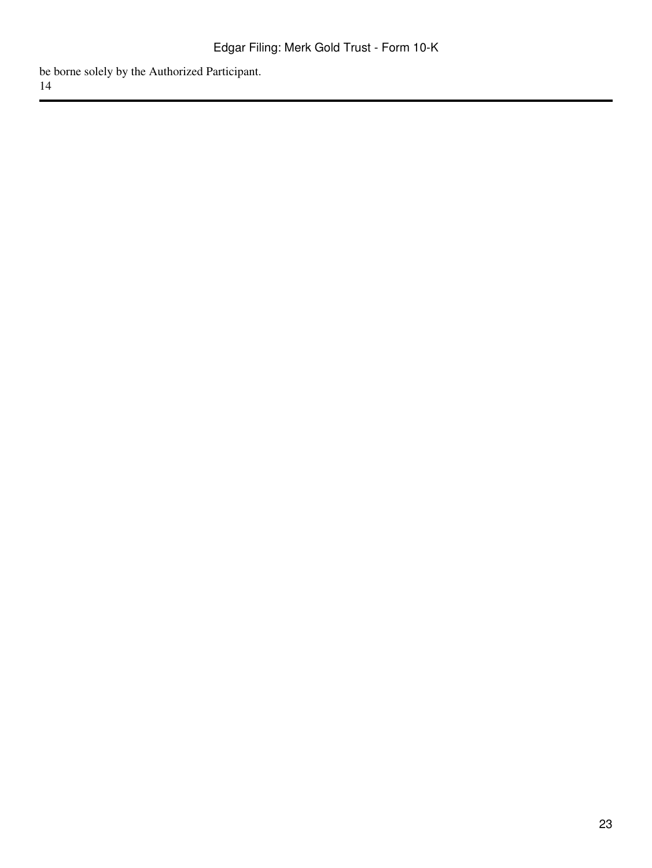be borne solely by the Authorized Participant. 14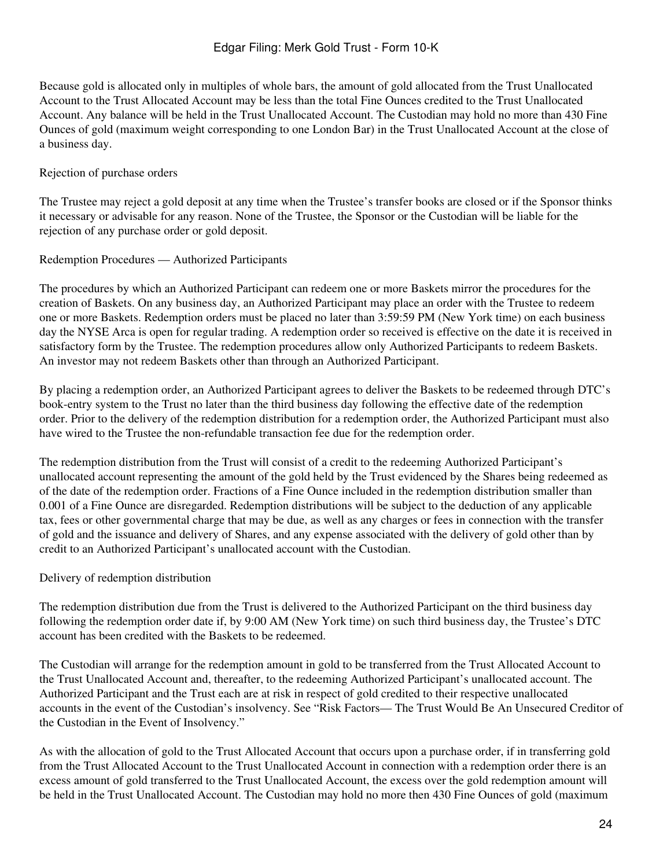Because gold is allocated only in multiples of whole bars, the amount of gold allocated from the Trust Unallocated Account to the Trust Allocated Account may be less than the total Fine Ounces credited to the Trust Unallocated Account. Any balance will be held in the Trust Unallocated Account. The Custodian may hold no more than 430 Fine Ounces of gold (maximum weight corresponding to one London Bar) in the Trust Unallocated Account at the close of a business day.

### Rejection of purchase orders

The Trustee may reject a gold deposit at any time when the Trustee's transfer books are closed or if the Sponsor thinks it necessary or advisable for any reason. None of the Trustee, the Sponsor or the Custodian will be liable for the rejection of any purchase order or gold deposit.

Redemption Procedures — Authorized Participants

The procedures by which an Authorized Participant can redeem one or more Baskets mirror the procedures for the creation of Baskets. On any business day, an Authorized Participant may place an order with the Trustee to redeem one or more Baskets. Redemption orders must be placed no later than 3:59:59 PM (New York time) on each business day the NYSE Arca is open for regular trading. A redemption order so received is effective on the date it is received in satisfactory form by the Trustee. The redemption procedures allow only Authorized Participants to redeem Baskets. An investor may not redeem Baskets other than through an Authorized Participant.

By placing a redemption order, an Authorized Participant agrees to deliver the Baskets to be redeemed through DTC's book-entry system to the Trust no later than the third business day following the effective date of the redemption order. Prior to the delivery of the redemption distribution for a redemption order, the Authorized Participant must also have wired to the Trustee the non-refundable transaction fee due for the redemption order.

The redemption distribution from the Trust will consist of a credit to the redeeming Authorized Participant's unallocated account representing the amount of the gold held by the Trust evidenced by the Shares being redeemed as of the date of the redemption order. Fractions of a Fine Ounce included in the redemption distribution smaller than 0.001 of a Fine Ounce are disregarded. Redemption distributions will be subject to the deduction of any applicable tax, fees or other governmental charge that may be due, as well as any charges or fees in connection with the transfer of gold and the issuance and delivery of Shares, and any expense associated with the delivery of gold other than by credit to an Authorized Participant's unallocated account with the Custodian.

#### Delivery of redemption distribution

The redemption distribution due from the Trust is delivered to the Authorized Participant on the third business day following the redemption order date if, by 9:00 AM (New York time) on such third business day, the Trustee's DTC account has been credited with the Baskets to be redeemed.

The Custodian will arrange for the redemption amount in gold to be transferred from the Trust Allocated Account to the Trust Unallocated Account and, thereafter, to the redeeming Authorized Participant's unallocated account. The Authorized Participant and the Trust each are at risk in respect of gold credited to their respective unallocated accounts in the event of the Custodian's insolvency. See "Risk Factors— The Trust Would Be An Unsecured Creditor of the Custodian in the Event of Insolvency."

As with the allocation of gold to the Trust Allocated Account that occurs upon a purchase order, if in transferring gold from the Trust Allocated Account to the Trust Unallocated Account in connection with a redemption order there is an excess amount of gold transferred to the Trust Unallocated Account, the excess over the gold redemption amount will be held in the Trust Unallocated Account. The Custodian may hold no more then 430 Fine Ounces of gold (maximum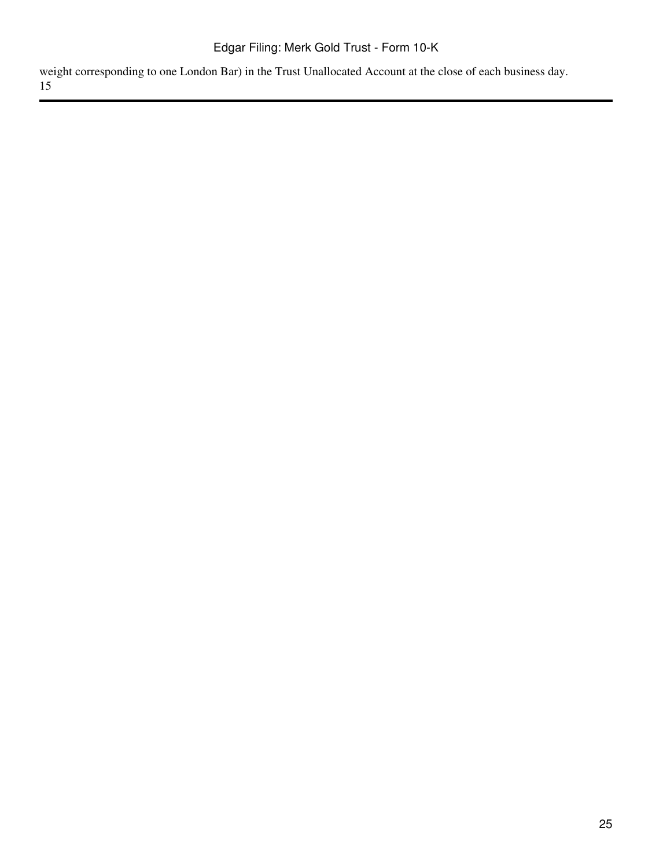weight corresponding to one London Bar) in the Trust Unallocated Account at the close of each business day. 15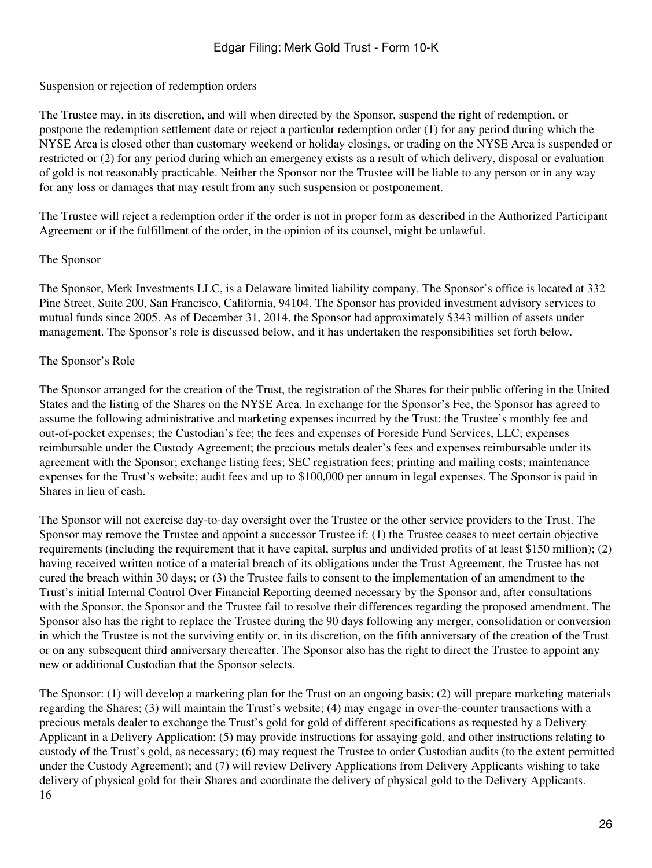Suspension or rejection of redemption orders

The Trustee may, in its discretion, and will when directed by the Sponsor, suspend the right of redemption, or postpone the redemption settlement date or reject a particular redemption order (1) for any period during which the NYSE Arca is closed other than customary weekend or holiday closings, or trading on the NYSE Arca is suspended or restricted or (2) for any period during which an emergency exists as a result of which delivery, disposal or evaluation of gold is not reasonably practicable. Neither the Sponsor nor the Trustee will be liable to any person or in any way for any loss or damages that may result from any such suspension or postponement.

The Trustee will reject a redemption order if the order is not in proper form as described in the Authorized Participant Agreement or if the fulfillment of the order, in the opinion of its counsel, might be unlawful.

### The Sponsor

The Sponsor, Merk Investments LLC, is a Delaware limited liability company. The Sponsor's office is located at 332 Pine Street, Suite 200, San Francisco, California, 94104. The Sponsor has provided investment advisory services to mutual funds since 2005. As of December 31, 2014, the Sponsor had approximately \$343 million of assets under management. The Sponsor's role is discussed below, and it has undertaken the responsibilities set forth below.

## The Sponsor's Role

The Sponsor arranged for the creation of the Trust, the registration of the Shares for their public offering in the United States and the listing of the Shares on the NYSE Arca. In exchange for the Sponsor's Fee, the Sponsor has agreed to assume the following administrative and marketing expenses incurred by the Trust: the Trustee's monthly fee and out-of-pocket expenses; the Custodian's fee; the fees and expenses of Foreside Fund Services, LLC; expenses reimbursable under the Custody Agreement; the precious metals dealer's fees and expenses reimbursable under its agreement with the Sponsor; exchange listing fees; SEC registration fees; printing and mailing costs; maintenance expenses for the Trust's website; audit fees and up to \$100,000 per annum in legal expenses. The Sponsor is paid in Shares in lieu of cash.

The Sponsor will not exercise day-to-day oversight over the Trustee or the other service providers to the Trust. The Sponsor may remove the Trustee and appoint a successor Trustee if: (1) the Trustee ceases to meet certain objective requirements (including the requirement that it have capital, surplus and undivided profits of at least \$150 million); (2) having received written notice of a material breach of its obligations under the Trust Agreement, the Trustee has not cured the breach within 30 days; or (3) the Trustee fails to consent to the implementation of an amendment to the Trust's initial Internal Control Over Financial Reporting deemed necessary by the Sponsor and, after consultations with the Sponsor, the Sponsor and the Trustee fail to resolve their differences regarding the proposed amendment. The Sponsor also has the right to replace the Trustee during the 90 days following any merger, consolidation or conversion in which the Trustee is not the surviving entity or, in its discretion, on the fifth anniversary of the creation of the Trust or on any subsequent third anniversary thereafter. The Sponsor also has the right to direct the Trustee to appoint any new or additional Custodian that the Sponsor selects.

The Sponsor: (1) will develop a marketing plan for the Trust on an ongoing basis; (2) will prepare marketing materials regarding the Shares; (3) will maintain the Trust's website; (4) may engage in over-the-counter transactions with a precious metals dealer to exchange the Trust's gold for gold of different specifications as requested by a Delivery Applicant in a Delivery Application; (5) may provide instructions for assaying gold, and other instructions relating to custody of the Trust's gold, as necessary; (6) may request the Trustee to order Custodian audits (to the extent permitted under the Custody Agreement); and (7) will review Delivery Applications from Delivery Applicants wishing to take delivery of physical gold for their Shares and coordinate the delivery of physical gold to the Delivery Applicants. 16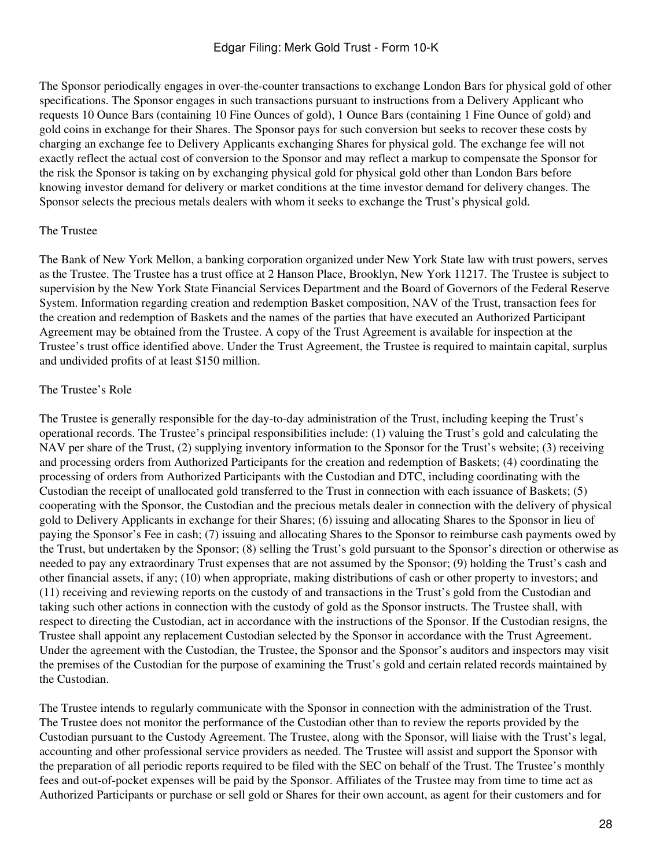The Sponsor periodically engages in over-the-counter transactions to exchange London Bars for physical gold of other specifications. The Sponsor engages in such transactions pursuant to instructions from a Delivery Applicant who requests 10 Ounce Bars (containing 10 Fine Ounces of gold), 1 Ounce Bars (containing 1 Fine Ounce of gold) and gold coins in exchange for their Shares. The Sponsor pays for such conversion but seeks to recover these costs by charging an exchange fee to Delivery Applicants exchanging Shares for physical gold. The exchange fee will not exactly reflect the actual cost of conversion to the Sponsor and may reflect a markup to compensate the Sponsor for the risk the Sponsor is taking on by exchanging physical gold for physical gold other than London Bars before knowing investor demand for delivery or market conditions at the time investor demand for delivery changes. The Sponsor selects the precious metals dealers with whom it seeks to exchange the Trust's physical gold.

## The Trustee

The Bank of New York Mellon, a banking corporation organized under New York State law with trust powers, serves as the Trustee. The Trustee has a trust office at 2 Hanson Place, Brooklyn, New York 11217. The Trustee is subject to supervision by the New York State Financial Services Department and the Board of Governors of the Federal Reserve System. Information regarding creation and redemption Basket composition, NAV of the Trust, transaction fees for the creation and redemption of Baskets and the names of the parties that have executed an Authorized Participant Agreement may be obtained from the Trustee. A copy of the Trust Agreement is available for inspection at the Trustee's trust office identified above. Under the Trust Agreement, the Trustee is required to maintain capital, surplus and undivided profits of at least \$150 million.

## The Trustee's Role

The Trustee is generally responsible for the day-to-day administration of the Trust, including keeping the Trust's operational records. The Trustee's principal responsibilities include: (1) valuing the Trust's gold and calculating the NAV per share of the Trust, (2) supplying inventory information to the Sponsor for the Trust's website; (3) receiving and processing orders from Authorized Participants for the creation and redemption of Baskets; (4) coordinating the processing of orders from Authorized Participants with the Custodian and DTC, including coordinating with the Custodian the receipt of unallocated gold transferred to the Trust in connection with each issuance of Baskets; (5) cooperating with the Sponsor, the Custodian and the precious metals dealer in connection with the delivery of physical gold to Delivery Applicants in exchange for their Shares; (6) issuing and allocating Shares to the Sponsor in lieu of paying the Sponsor's Fee in cash; (7) issuing and allocating Shares to the Sponsor to reimburse cash payments owed by the Trust, but undertaken by the Sponsor; (8) selling the Trust's gold pursuant to the Sponsor's direction or otherwise as needed to pay any extraordinary Trust expenses that are not assumed by the Sponsor; (9) holding the Trust's cash and other financial assets, if any; (10) when appropriate, making distributions of cash or other property to investors; and (11) receiving and reviewing reports on the custody of and transactions in the Trust's gold from the Custodian and taking such other actions in connection with the custody of gold as the Sponsor instructs. The Trustee shall, with respect to directing the Custodian, act in accordance with the instructions of the Sponsor. If the Custodian resigns, the Trustee shall appoint any replacement Custodian selected by the Sponsor in accordance with the Trust Agreement. Under the agreement with the Custodian, the Trustee, the Sponsor and the Sponsor's auditors and inspectors may visit the premises of the Custodian for the purpose of examining the Trust's gold and certain related records maintained by the Custodian.

The Trustee intends to regularly communicate with the Sponsor in connection with the administration of the Trust. The Trustee does not monitor the performance of the Custodian other than to review the reports provided by the Custodian pursuant to the Custody Agreement. The Trustee, along with the Sponsor, will liaise with the Trust's legal, accounting and other professional service providers as needed. The Trustee will assist and support the Sponsor with the preparation of all periodic reports required to be filed with the SEC on behalf of the Trust. The Trustee's monthly fees and out-of-pocket expenses will be paid by the Sponsor. Affiliates of the Trustee may from time to time act as Authorized Participants or purchase or sell gold or Shares for their own account, as agent for their customers and for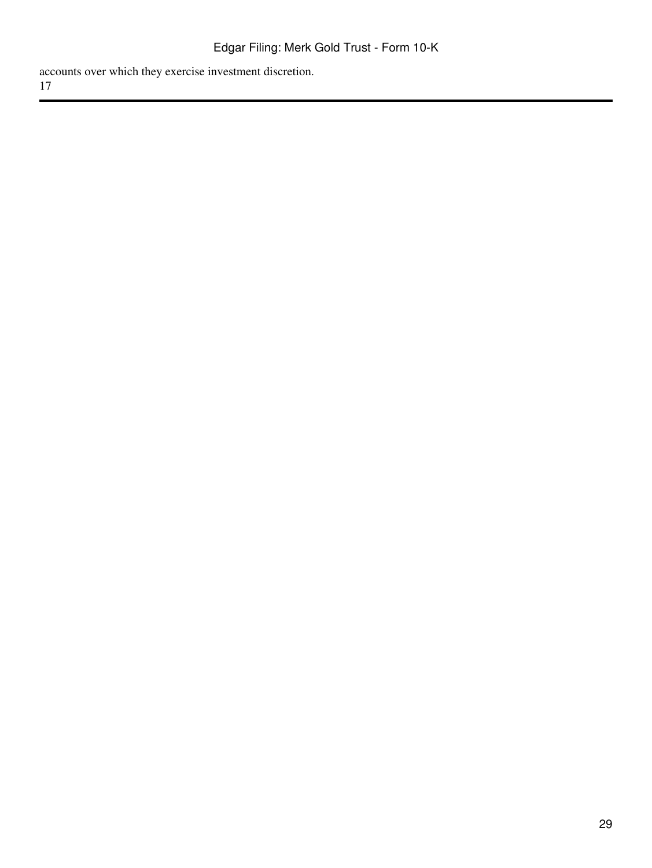accounts over which they exercise investment discretion. 17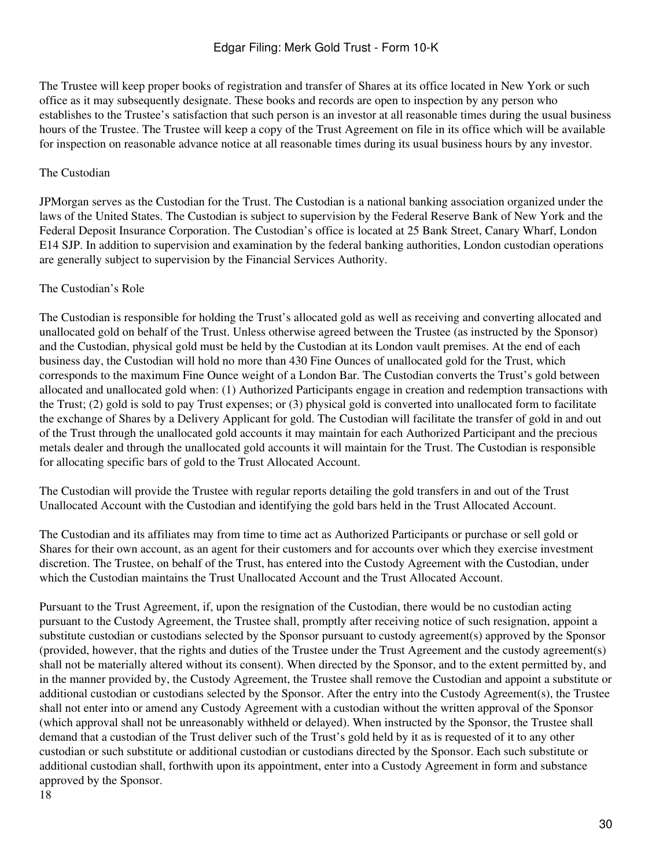The Trustee will keep proper books of registration and transfer of Shares at its office located in New York or such office as it may subsequently designate. These books and records are open to inspection by any person who establishes to the Trustee's satisfaction that such person is an investor at all reasonable times during the usual business hours of the Trustee. The Trustee will keep a copy of the Trust Agreement on file in its office which will be available for inspection on reasonable advance notice at all reasonable times during its usual business hours by any investor.

### The Custodian

JPMorgan serves as the Custodian for the Trust. The Custodian is a national banking association organized under the laws of the United States. The Custodian is subject to supervision by the Federal Reserve Bank of New York and the Federal Deposit Insurance Corporation. The Custodian's office is located at 25 Bank Street, Canary Wharf, London E14 SJP. In addition to supervision and examination by the federal banking authorities, London custodian operations are generally subject to supervision by the Financial Services Authority.

#### The Custodian's Role

The Custodian is responsible for holding the Trust's allocated gold as well as receiving and converting allocated and unallocated gold on behalf of the Trust. Unless otherwise agreed between the Trustee (as instructed by the Sponsor) and the Custodian, physical gold must be held by the Custodian at its London vault premises. At the end of each business day, the Custodian will hold no more than 430 Fine Ounces of unallocated gold for the Trust, which corresponds to the maximum Fine Ounce weight of a London Bar. The Custodian converts the Trust's gold between allocated and unallocated gold when: (1) Authorized Participants engage in creation and redemption transactions with the Trust; (2) gold is sold to pay Trust expenses; or (3) physical gold is converted into unallocated form to facilitate the exchange of Shares by a Delivery Applicant for gold. The Custodian will facilitate the transfer of gold in and out of the Trust through the unallocated gold accounts it may maintain for each Authorized Participant and the precious metals dealer and through the unallocated gold accounts it will maintain for the Trust. The Custodian is responsible for allocating specific bars of gold to the Trust Allocated Account.

The Custodian will provide the Trustee with regular reports detailing the gold transfers in and out of the Trust Unallocated Account with the Custodian and identifying the gold bars held in the Trust Allocated Account.

The Custodian and its affiliates may from time to time act as Authorized Participants or purchase or sell gold or Shares for their own account, as an agent for their customers and for accounts over which they exercise investment discretion. The Trustee, on behalf of the Trust, has entered into the Custody Agreement with the Custodian, under which the Custodian maintains the Trust Unallocated Account and the Trust Allocated Account.

Pursuant to the Trust Agreement, if, upon the resignation of the Custodian, there would be no custodian acting pursuant to the Custody Agreement, the Trustee shall, promptly after receiving notice of such resignation, appoint a substitute custodian or custodians selected by the Sponsor pursuant to custody agreement(s) approved by the Sponsor (provided, however, that the rights and duties of the Trustee under the Trust Agreement and the custody agreement(s) shall not be materially altered without its consent). When directed by the Sponsor, and to the extent permitted by, and in the manner provided by, the Custody Agreement, the Trustee shall remove the Custodian and appoint a substitute or additional custodian or custodians selected by the Sponsor. After the entry into the Custody Agreement(s), the Trustee shall not enter into or amend any Custody Agreement with a custodian without the written approval of the Sponsor (which approval shall not be unreasonably withheld or delayed). When instructed by the Sponsor, the Trustee shall demand that a custodian of the Trust deliver such of the Trust's gold held by it as is requested of it to any other custodian or such substitute or additional custodian or custodians directed by the Sponsor. Each such substitute or additional custodian shall, forthwith upon its appointment, enter into a Custody Agreement in form and substance approved by the Sponsor. 18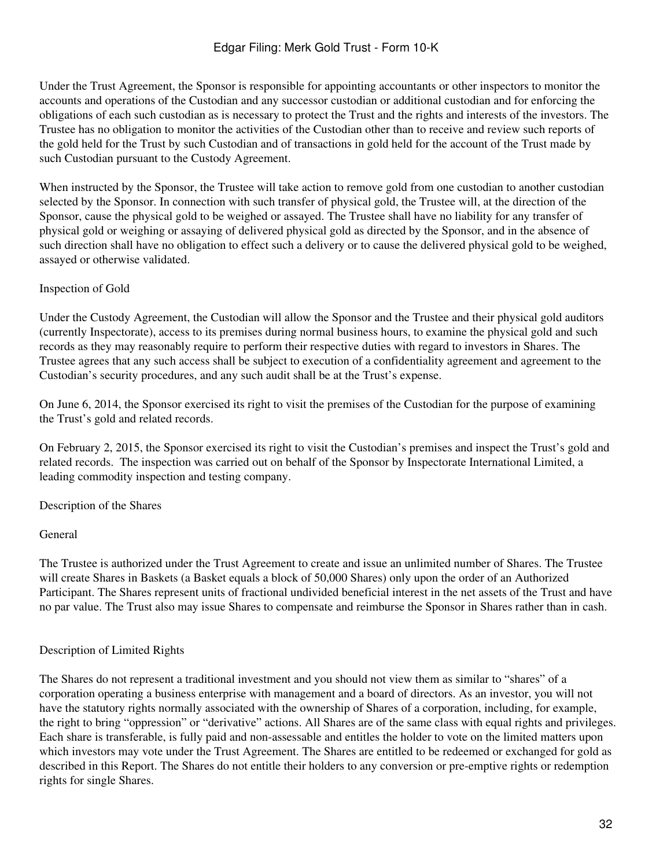Under the Trust Agreement, the Sponsor is responsible for appointing accountants or other inspectors to monitor the accounts and operations of the Custodian and any successor custodian or additional custodian and for enforcing the obligations of each such custodian as is necessary to protect the Trust and the rights and interests of the investors. The Trustee has no obligation to monitor the activities of the Custodian other than to receive and review such reports of the gold held for the Trust by such Custodian and of transactions in gold held for the account of the Trust made by such Custodian pursuant to the Custody Agreement.

When instructed by the Sponsor, the Trustee will take action to remove gold from one custodian to another custodian selected by the Sponsor. In connection with such transfer of physical gold, the Trustee will, at the direction of the Sponsor, cause the physical gold to be weighed or assayed. The Trustee shall have no liability for any transfer of physical gold or weighing or assaying of delivered physical gold as directed by the Sponsor, and in the absence of such direction shall have no obligation to effect such a delivery or to cause the delivered physical gold to be weighed, assayed or otherwise validated.

### Inspection of Gold

Under the Custody Agreement, the Custodian will allow the Sponsor and the Trustee and their physical gold auditors (currently Inspectorate), access to its premises during normal business hours, to examine the physical gold and such records as they may reasonably require to perform their respective duties with regard to investors in Shares. The Trustee agrees that any such access shall be subject to execution of a confidentiality agreement and agreement to the Custodian's security procedures, and any such audit shall be at the Trust's expense.

On June 6, 2014, the Sponsor exercised its right to visit the premises of the Custodian for the purpose of examining the Trust's gold and related records.

On February 2, 2015, the Sponsor exercised its right to visit the Custodian's premises and inspect the Trust's gold and related records. The inspection was carried out on behalf of the Sponsor by Inspectorate International Limited, a leading commodity inspection and testing company.

Description of the Shares

#### General

The Trustee is authorized under the Trust Agreement to create and issue an unlimited number of Shares. The Trustee will create Shares in Baskets (a Basket equals a block of 50,000 Shares) only upon the order of an Authorized Participant. The Shares represent units of fractional undivided beneficial interest in the net assets of the Trust and have no par value. The Trust also may issue Shares to compensate and reimburse the Sponsor in Shares rather than in cash.

## Description of Limited Rights

The Shares do not represent a traditional investment and you should not view them as similar to "shares" of a corporation operating a business enterprise with management and a board of directors. As an investor, you will not have the statutory rights normally associated with the ownership of Shares of a corporation, including, for example, the right to bring "oppression" or "derivative" actions. All Shares are of the same class with equal rights and privileges. Each share is transferable, is fully paid and non-assessable and entitles the holder to vote on the limited matters upon which investors may vote under the Trust Agreement. The Shares are entitled to be redeemed or exchanged for gold as described in this Report. The Shares do not entitle their holders to any conversion or pre-emptive rights or redemption rights for single Shares.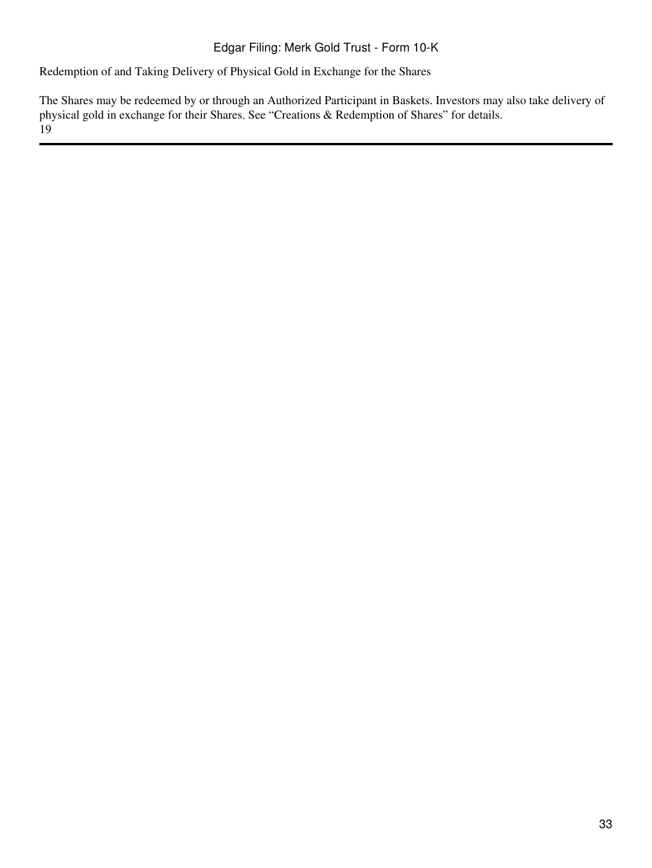Redemption of and Taking Delivery of Physical Gold in Exchange for the Shares

The Shares may be redeemed by or through an Authorized Participant in Baskets. Investors may also take delivery of physical gold in exchange for their Shares. See "Creations & Redemption of Shares" for details. 19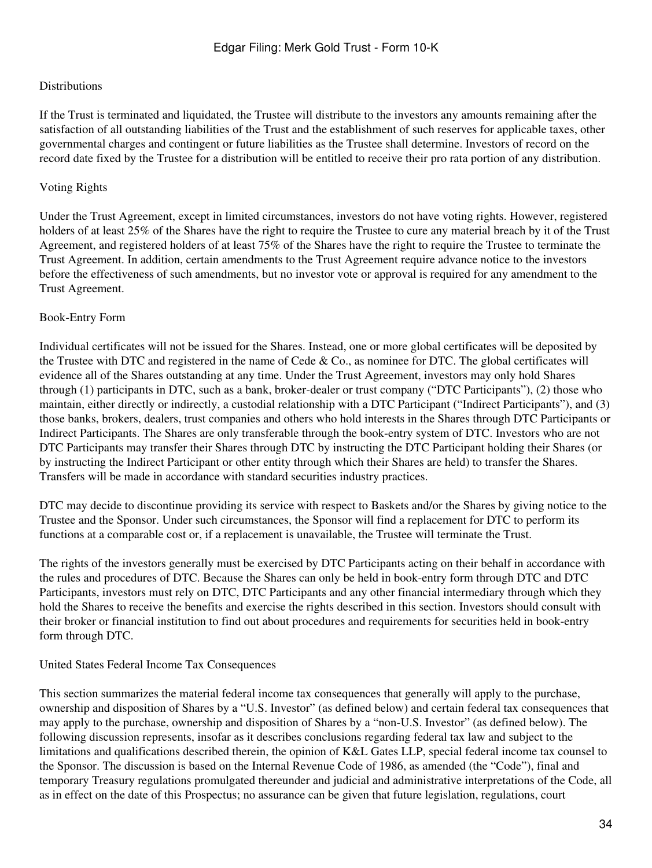## Distributions

If the Trust is terminated and liquidated, the Trustee will distribute to the investors any amounts remaining after the satisfaction of all outstanding liabilities of the Trust and the establishment of such reserves for applicable taxes, other governmental charges and contingent or future liabilities as the Trustee shall determine. Investors of record on the record date fixed by the Trustee for a distribution will be entitled to receive their pro rata portion of any distribution.

## Voting Rights

Under the Trust Agreement, except in limited circumstances, investors do not have voting rights. However, registered holders of at least 25% of the Shares have the right to require the Trustee to cure any material breach by it of the Trust Agreement, and registered holders of at least 75% of the Shares have the right to require the Trustee to terminate the Trust Agreement. In addition, certain amendments to the Trust Agreement require advance notice to the investors before the effectiveness of such amendments, but no investor vote or approval is required for any amendment to the Trust Agreement.

## Book-Entry Form

Individual certificates will not be issued for the Shares. Instead, one or more global certificates will be deposited by the Trustee with DTC and registered in the name of Cede & Co., as nominee for DTC. The global certificates will evidence all of the Shares outstanding at any time. Under the Trust Agreement, investors may only hold Shares through (1) participants in DTC, such as a bank, broker-dealer or trust company ("DTC Participants"), (2) those who maintain, either directly or indirectly, a custodial relationship with a DTC Participant ("Indirect Participants"), and (3) those banks, brokers, dealers, trust companies and others who hold interests in the Shares through DTC Participants or Indirect Participants. The Shares are only transferable through the book-entry system of DTC. Investors who are not DTC Participants may transfer their Shares through DTC by instructing the DTC Participant holding their Shares (or by instructing the Indirect Participant or other entity through which their Shares are held) to transfer the Shares. Transfers will be made in accordance with standard securities industry practices.

DTC may decide to discontinue providing its service with respect to Baskets and/or the Shares by giving notice to the Trustee and the Sponsor. Under such circumstances, the Sponsor will find a replacement for DTC to perform its functions at a comparable cost or, if a replacement is unavailable, the Trustee will terminate the Trust.

The rights of the investors generally must be exercised by DTC Participants acting on their behalf in accordance with the rules and procedures of DTC. Because the Shares can only be held in book-entry form through DTC and DTC Participants, investors must rely on DTC, DTC Participants and any other financial intermediary through which they hold the Shares to receive the benefits and exercise the rights described in this section. Investors should consult with their broker or financial institution to find out about procedures and requirements for securities held in book-entry form through DTC.

## United States Federal Income Tax Consequences

This section summarizes the material federal income tax consequences that generally will apply to the purchase, ownership and disposition of Shares by a "U.S. Investor" (as defined below) and certain federal tax consequences that may apply to the purchase, ownership and disposition of Shares by a "non-U.S. Investor" (as defined below). The following discussion represents, insofar as it describes conclusions regarding federal tax law and subject to the limitations and qualifications described therein, the opinion of K&L Gates LLP, special federal income tax counsel to the Sponsor. The discussion is based on the Internal Revenue Code of 1986, as amended (the "Code"), final and temporary Treasury regulations promulgated thereunder and judicial and administrative interpretations of the Code, all as in effect on the date of this Prospectus; no assurance can be given that future legislation, regulations, court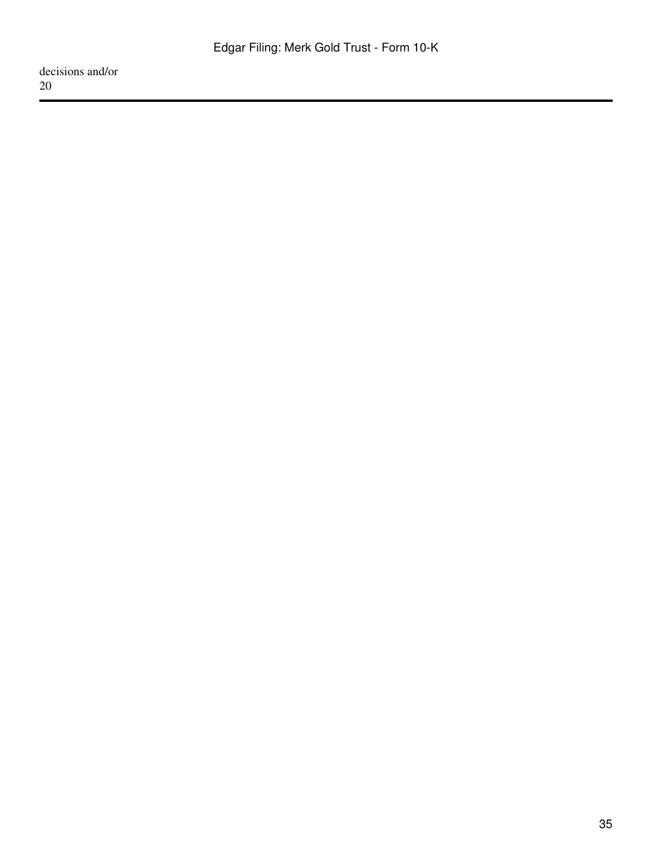decisions and/or 20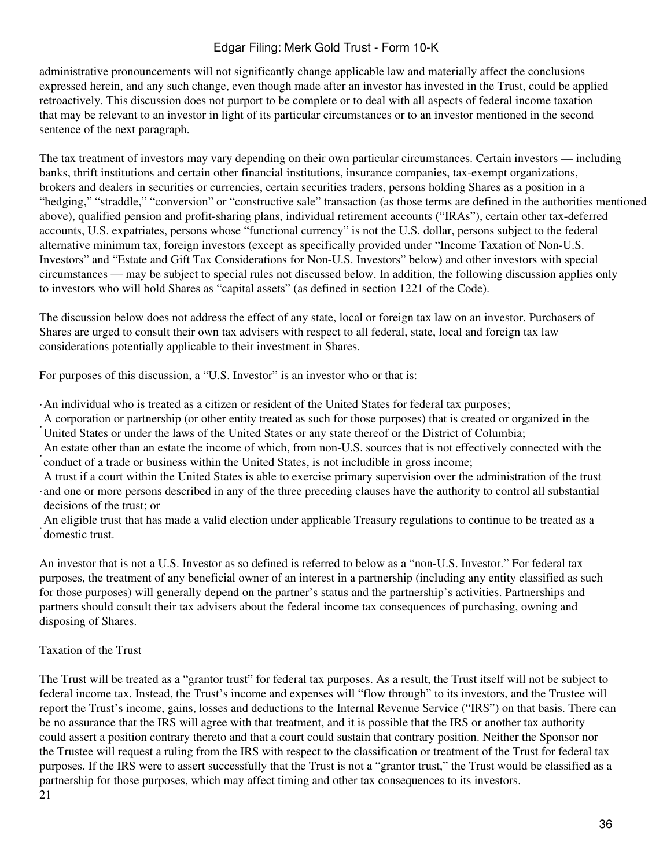administrative pronouncements will not significantly change applicable law and materially affect the conclusions expressed herein, and any such change, even though made after an investor has invested in the Trust, could be applied retroactively. This discussion does not purport to be complete or to deal with all aspects of federal income taxation that may be relevant to an investor in light of its particular circumstances or to an investor mentioned in the second sentence of the next paragraph.

The tax treatment of investors may vary depending on their own particular circumstances. Certain investors — including banks, thrift institutions and certain other financial institutions, insurance companies, tax-exempt organizations, brokers and dealers in securities or currencies, certain securities traders, persons holding Shares as a position in a "hedging," "straddle," "conversion" or "constructive sale" transaction (as those terms are defined in the authorities mentioned above), qualified pension and profit-sharing plans, individual retirement accounts ("IRAs"), certain other tax-deferred accounts, U.S. expatriates, persons whose "functional currency" is not the U.S. dollar, persons subject to the federal alternative minimum tax, foreign investors (except as specifically provided under "Income Taxation of Non-U.S. Investors" and "Estate and Gift Tax Considerations for Non-U.S. Investors" below) and other investors with special circumstances — may be subject to special rules not discussed below. In addition, the following discussion applies only to investors who will hold Shares as "capital assets" (as defined in section 1221 of the Code).

The discussion below does not address the effect of any state, local or foreign tax law on an investor. Purchasers of Shares are urged to consult their own tax advisers with respect to all federal, state, local and foreign tax law considerations potentially applicable to their investment in Shares.

For purposes of this discussion, a "U.S. Investor" is an investor who or that is:

·An individual who is treated as a citizen or resident of the United States for federal tax purposes;

· United States or under the laws of the United States or any state thereof or the District of Columbia; A corporation or partnership (or other entity treated as such for those purposes) that is created or organized in the

· conduct of a trade or business within the United States, is not includible in gross income; An estate other than an estate the income of which, from non-U.S. sources that is not effectively connected with the

· and one or more persons described in any of the three preceding clauses have the authority to control all substantial A trust if a court within the United States is able to exercise primary supervision over the administration of the trust decisions of the trust; or

An eligible trust that has made a valid election under applicable Treasury regulations to continue to be treated as a<br>Compatio trust domestic trust.

An investor that is not a U.S. Investor as so defined is referred to below as a "non-U.S. Investor." For federal tax purposes, the treatment of any beneficial owner of an interest in a partnership (including any entity classified as such for those purposes) will generally depend on the partner's status and the partnership's activities. Partnerships and partners should consult their tax advisers about the federal income tax consequences of purchasing, owning and disposing of Shares.

## Taxation of the Trust

The Trust will be treated as a "grantor trust" for federal tax purposes. As a result, the Trust itself will not be subject to federal income tax. Instead, the Trust's income and expenses will "flow through" to its investors, and the Trustee will report the Trust's income, gains, losses and deductions to the Internal Revenue Service ("IRS") on that basis. There can be no assurance that the IRS will agree with that treatment, and it is possible that the IRS or another tax authority could assert a position contrary thereto and that a court could sustain that contrary position. Neither the Sponsor nor the Trustee will request a ruling from the IRS with respect to the classification or treatment of the Trust for federal tax purposes. If the IRS were to assert successfully that the Trust is not a "grantor trust," the Trust would be classified as a partnership for those purposes, which may affect timing and other tax consequences to its investors. 21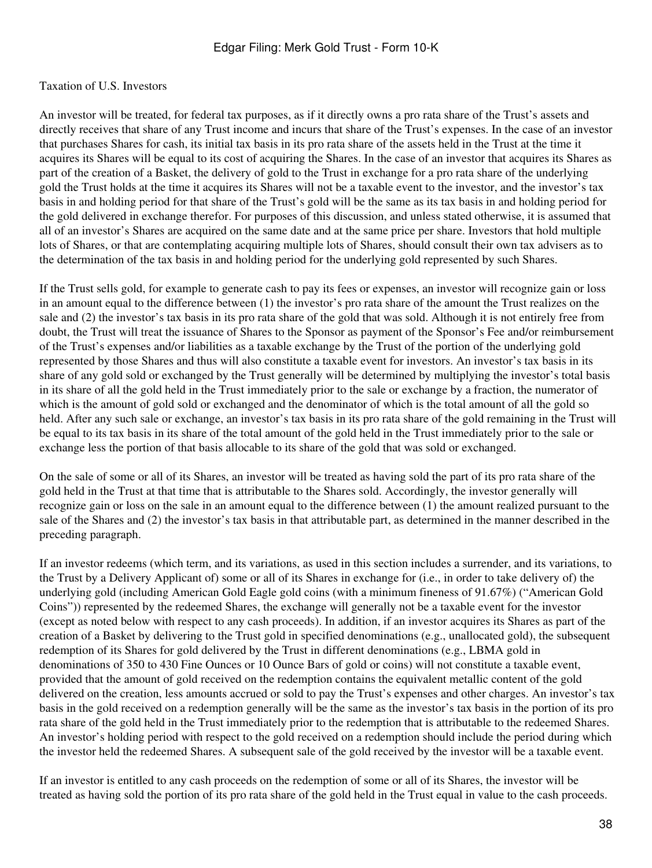### Taxation of U.S. Investors

An investor will be treated, for federal tax purposes, as if it directly owns a pro rata share of the Trust's assets and directly receives that share of any Trust income and incurs that share of the Trust's expenses. In the case of an investor that purchases Shares for cash, its initial tax basis in its pro rata share of the assets held in the Trust at the time it acquires its Shares will be equal to its cost of acquiring the Shares. In the case of an investor that acquires its Shares as part of the creation of a Basket, the delivery of gold to the Trust in exchange for a pro rata share of the underlying gold the Trust holds at the time it acquires its Shares will not be a taxable event to the investor, and the investor's tax basis in and holding period for that share of the Trust's gold will be the same as its tax basis in and holding period for the gold delivered in exchange therefor. For purposes of this discussion, and unless stated otherwise, it is assumed that all of an investor's Shares are acquired on the same date and at the same price per share. Investors that hold multiple lots of Shares, or that are contemplating acquiring multiple lots of Shares, should consult their own tax advisers as to the determination of the tax basis in and holding period for the underlying gold represented by such Shares.

If the Trust sells gold, for example to generate cash to pay its fees or expenses, an investor will recognize gain or loss in an amount equal to the difference between (1) the investor's pro rata share of the amount the Trust realizes on the sale and (2) the investor's tax basis in its pro rata share of the gold that was sold. Although it is not entirely free from doubt, the Trust will treat the issuance of Shares to the Sponsor as payment of the Sponsor's Fee and/or reimbursement of the Trust's expenses and/or liabilities as a taxable exchange by the Trust of the portion of the underlying gold represented by those Shares and thus will also constitute a taxable event for investors. An investor's tax basis in its share of any gold sold or exchanged by the Trust generally will be determined by multiplying the investor's total basis in its share of all the gold held in the Trust immediately prior to the sale or exchange by a fraction, the numerator of which is the amount of gold sold or exchanged and the denominator of which is the total amount of all the gold so held. After any such sale or exchange, an investor's tax basis in its pro rata share of the gold remaining in the Trust will be equal to its tax basis in its share of the total amount of the gold held in the Trust immediately prior to the sale or exchange less the portion of that basis allocable to its share of the gold that was sold or exchanged.

On the sale of some or all of its Shares, an investor will be treated as having sold the part of its pro rata share of the gold held in the Trust at that time that is attributable to the Shares sold. Accordingly, the investor generally will recognize gain or loss on the sale in an amount equal to the difference between (1) the amount realized pursuant to the sale of the Shares and (2) the investor's tax basis in that attributable part, as determined in the manner described in the preceding paragraph.

If an investor redeems (which term, and its variations, as used in this section includes a surrender, and its variations, to the Trust by a Delivery Applicant of) some or all of its Shares in exchange for (i.e., in order to take delivery of) the underlying gold (including American Gold Eagle gold coins (with a minimum fineness of 91.67%) ("American Gold Coins")) represented by the redeemed Shares, the exchange will generally not be a taxable event for the investor (except as noted below with respect to any cash proceeds). In addition, if an investor acquires its Shares as part of the creation of a Basket by delivering to the Trust gold in specified denominations (e.g., unallocated gold), the subsequent redemption of its Shares for gold delivered by the Trust in different denominations (e.g., LBMA gold in denominations of 350 to 430 Fine Ounces or 10 Ounce Bars of gold or coins) will not constitute a taxable event, provided that the amount of gold received on the redemption contains the equivalent metallic content of the gold delivered on the creation, less amounts accrued or sold to pay the Trust's expenses and other charges. An investor's tax basis in the gold received on a redemption generally will be the same as the investor's tax basis in the portion of its pro rata share of the gold held in the Trust immediately prior to the redemption that is attributable to the redeemed Shares. An investor's holding period with respect to the gold received on a redemption should include the period during which the investor held the redeemed Shares. A subsequent sale of the gold received by the investor will be a taxable event.

If an investor is entitled to any cash proceeds on the redemption of some or all of its Shares, the investor will be treated as having sold the portion of its pro rata share of the gold held in the Trust equal in value to the cash proceeds.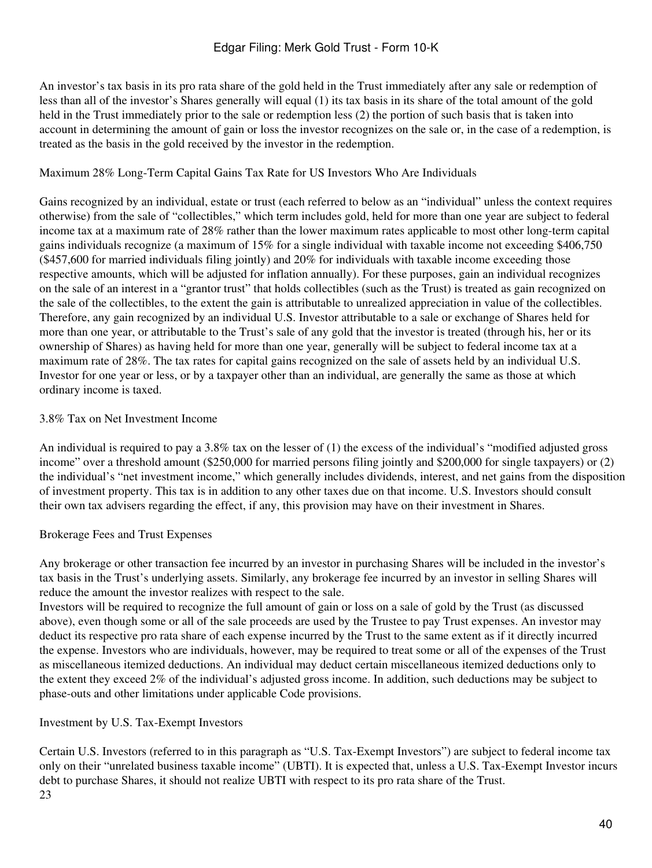An investor's tax basis in its pro rata share of the gold held in the Trust immediately after any sale or redemption of less than all of the investor's Shares generally will equal (1) its tax basis in its share of the total amount of the gold held in the Trust immediately prior to the sale or redemption less (2) the portion of such basis that is taken into account in determining the amount of gain or loss the investor recognizes on the sale or, in the case of a redemption, is treated as the basis in the gold received by the investor in the redemption.

# Maximum 28% Long-Term Capital Gains Tax Rate for US Investors Who Are Individuals

Gains recognized by an individual, estate or trust (each referred to below as an "individual" unless the context requires otherwise) from the sale of "collectibles," which term includes gold, held for more than one year are subject to federal income tax at a maximum rate of 28% rather than the lower maximum rates applicable to most other long-term capital gains individuals recognize (a maximum of 15% for a single individual with taxable income not exceeding \$406,750 (\$457,600 for married individuals filing jointly) and 20% for individuals with taxable income exceeding those respective amounts, which will be adjusted for inflation annually). For these purposes, gain an individual recognizes on the sale of an interest in a "grantor trust" that holds collectibles (such as the Trust) is treated as gain recognized on the sale of the collectibles, to the extent the gain is attributable to unrealized appreciation in value of the collectibles. Therefore, any gain recognized by an individual U.S. Investor attributable to a sale or exchange of Shares held for more than one year, or attributable to the Trust's sale of any gold that the investor is treated (through his, her or its ownership of Shares) as having held for more than one year, generally will be subject to federal income tax at a maximum rate of 28%. The tax rates for capital gains recognized on the sale of assets held by an individual U.S. Investor for one year or less, or by a taxpayer other than an individual, are generally the same as those at which ordinary income is taxed.

# 3.8% Tax on Net Investment Income

An individual is required to pay a 3.8% tax on the lesser of (1) the excess of the individual's "modified adjusted gross income" over a threshold amount (\$250,000 for married persons filing jointly and \$200,000 for single taxpayers) or (2) the individual's "net investment income," which generally includes dividends, interest, and net gains from the disposition of investment property. This tax is in addition to any other taxes due on that income. U.S. Investors should consult their own tax advisers regarding the effect, if any, this provision may have on their investment in Shares.

# Brokerage Fees and Trust Expenses

Any brokerage or other transaction fee incurred by an investor in purchasing Shares will be included in the investor's tax basis in the Trust's underlying assets. Similarly, any brokerage fee incurred by an investor in selling Shares will reduce the amount the investor realizes with respect to the sale.

Investors will be required to recognize the full amount of gain or loss on a sale of gold by the Trust (as discussed above), even though some or all of the sale proceeds are used by the Trustee to pay Trust expenses. An investor may deduct its respective pro rata share of each expense incurred by the Trust to the same extent as if it directly incurred the expense. Investors who are individuals, however, may be required to treat some or all of the expenses of the Trust as miscellaneous itemized deductions. An individual may deduct certain miscellaneous itemized deductions only to the extent they exceed 2% of the individual's adjusted gross income. In addition, such deductions may be subject to phase-outs and other limitations under applicable Code provisions.

# Investment by U.S. Tax-Exempt Investors

Certain U.S. Investors (referred to in this paragraph as "U.S. Tax-Exempt Investors") are subject to federal income tax only on their "unrelated business taxable income" (UBTI). It is expected that, unless a U.S. Tax-Exempt Investor incurs debt to purchase Shares, it should not realize UBTI with respect to its pro rata share of the Trust. 23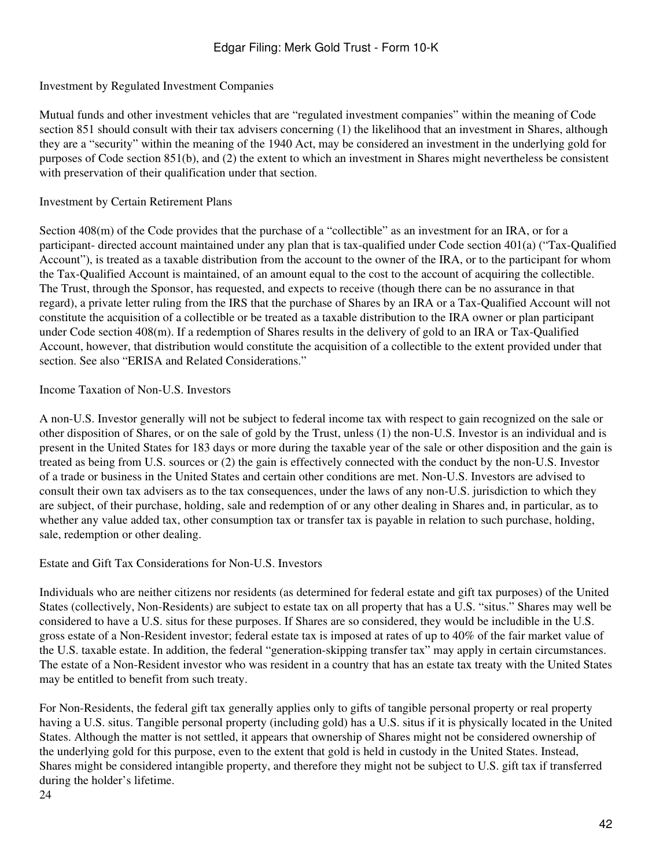Investment by Regulated Investment Companies

Mutual funds and other investment vehicles that are "regulated investment companies" within the meaning of Code section 851 should consult with their tax advisers concerning (1) the likelihood that an investment in Shares, although they are a "security" within the meaning of the 1940 Act, may be considered an investment in the underlying gold for purposes of Code section 851(b), and (2) the extent to which an investment in Shares might nevertheless be consistent with preservation of their qualification under that section.

# Investment by Certain Retirement Plans

Section 408(m) of the Code provides that the purchase of a "collectible" as an investment for an IRA, or for a participant- directed account maintained under any plan that is tax-qualified under Code section 401(a) ("Tax-Qualified Account"), is treated as a taxable distribution from the account to the owner of the IRA, or to the participant for whom the Tax-Qualified Account is maintained, of an amount equal to the cost to the account of acquiring the collectible. The Trust, through the Sponsor, has requested, and expects to receive (though there can be no assurance in that regard), a private letter ruling from the IRS that the purchase of Shares by an IRA or a Tax-Qualified Account will not constitute the acquisition of a collectible or be treated as a taxable distribution to the IRA owner or plan participant under Code section 408(m). If a redemption of Shares results in the delivery of gold to an IRA or Tax-Qualified Account, however, that distribution would constitute the acquisition of a collectible to the extent provided under that section. See also "ERISA and Related Considerations."

# Income Taxation of Non-U.S. Investors

A non-U.S. Investor generally will not be subject to federal income tax with respect to gain recognized on the sale or other disposition of Shares, or on the sale of gold by the Trust, unless (1) the non-U.S. Investor is an individual and is present in the United States for 183 days or more during the taxable year of the sale or other disposition and the gain is treated as being from U.S. sources or (2) the gain is effectively connected with the conduct by the non-U.S. Investor of a trade or business in the United States and certain other conditions are met. Non-U.S. Investors are advised to consult their own tax advisers as to the tax consequences, under the laws of any non-U.S. jurisdiction to which they are subject, of their purchase, holding, sale and redemption of or any other dealing in Shares and, in particular, as to whether any value added tax, other consumption tax or transfer tax is payable in relation to such purchase, holding, sale, redemption or other dealing.

# Estate and Gift Tax Considerations for Non-U.S. Investors

Individuals who are neither citizens nor residents (as determined for federal estate and gift tax purposes) of the United States (collectively, Non-Residents) are subject to estate tax on all property that has a U.S. "situs." Shares may well be considered to have a U.S. situs for these purposes. If Shares are so considered, they would be includible in the U.S. gross estate of a Non-Resident investor; federal estate tax is imposed at rates of up to 40% of the fair market value of the U.S. taxable estate. In addition, the federal "generation-skipping transfer tax" may apply in certain circumstances. The estate of a Non-Resident investor who was resident in a country that has an estate tax treaty with the United States may be entitled to benefit from such treaty.

For Non-Residents, the federal gift tax generally applies only to gifts of tangible personal property or real property having a U.S. situs. Tangible personal property (including gold) has a U.S. situs if it is physically located in the United States. Although the matter is not settled, it appears that ownership of Shares might not be considered ownership of the underlying gold for this purpose, even to the extent that gold is held in custody in the United States. Instead, Shares might be considered intangible property, and therefore they might not be subject to U.S. gift tax if transferred during the holder's lifetime.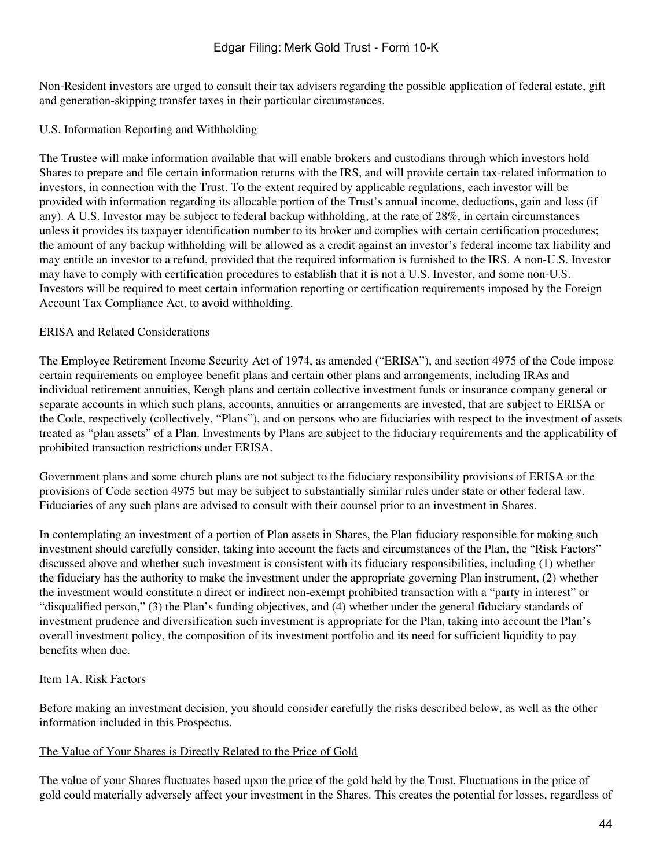Non-Resident investors are urged to consult their tax advisers regarding the possible application of federal estate, gift and generation-skipping transfer taxes in their particular circumstances.

### U.S. Information Reporting and Withholding

The Trustee will make information available that will enable brokers and custodians through which investors hold Shares to prepare and file certain information returns with the IRS, and will provide certain tax-related information to investors, in connection with the Trust. To the extent required by applicable regulations, each investor will be provided with information regarding its allocable portion of the Trust's annual income, deductions, gain and loss (if any). A U.S. Investor may be subject to federal backup withholding, at the rate of 28%, in certain circumstances unless it provides its taxpayer identification number to its broker and complies with certain certification procedures; the amount of any backup withholding will be allowed as a credit against an investor's federal income tax liability and may entitle an investor to a refund, provided that the required information is furnished to the IRS. A non-U.S. Investor may have to comply with certification procedures to establish that it is not a U.S. Investor, and some non-U.S. Investors will be required to meet certain information reporting or certification requirements imposed by the Foreign Account Tax Compliance Act, to avoid withholding.

### ERISA and Related Considerations

The Employee Retirement Income Security Act of 1974, as amended ("ERISA"), and section 4975 of the Code impose certain requirements on employee benefit plans and certain other plans and arrangements, including IRAs and individual retirement annuities, Keogh plans and certain collective investment funds or insurance company general or separate accounts in which such plans, accounts, annuities or arrangements are invested, that are subject to ERISA or the Code, respectively (collectively, "Plans"), and on persons who are fiduciaries with respect to the investment of assets treated as "plan assets" of a Plan. Investments by Plans are subject to the fiduciary requirements and the applicability of prohibited transaction restrictions under ERISA.

Government plans and some church plans are not subject to the fiduciary responsibility provisions of ERISA or the provisions of Code section 4975 but may be subject to substantially similar rules under state or other federal law. Fiduciaries of any such plans are advised to consult with their counsel prior to an investment in Shares.

In contemplating an investment of a portion of Plan assets in Shares, the Plan fiduciary responsible for making such investment should carefully consider, taking into account the facts and circumstances of the Plan, the "Risk Factors" discussed above and whether such investment is consistent with its fiduciary responsibilities, including (1) whether the fiduciary has the authority to make the investment under the appropriate governing Plan instrument, (2) whether the investment would constitute a direct or indirect non-exempt prohibited transaction with a "party in interest" or "disqualified person," (3) the Plan's funding objectives, and (4) whether under the general fiduciary standards of investment prudence and diversification such investment is appropriate for the Plan, taking into account the Plan's overall investment policy, the composition of its investment portfolio and its need for sufficient liquidity to pay benefits when due.

# Item 1A. Risk Factors

Before making an investment decision, you should consider carefully the risks described below, as well as the other information included in this Prospectus.

#### The Value of Your Shares is Directly Related to the Price of Gold

The value of your Shares fluctuates based upon the price of the gold held by the Trust. Fluctuations in the price of gold could materially adversely affect your investment in the Shares. This creates the potential for losses, regardless of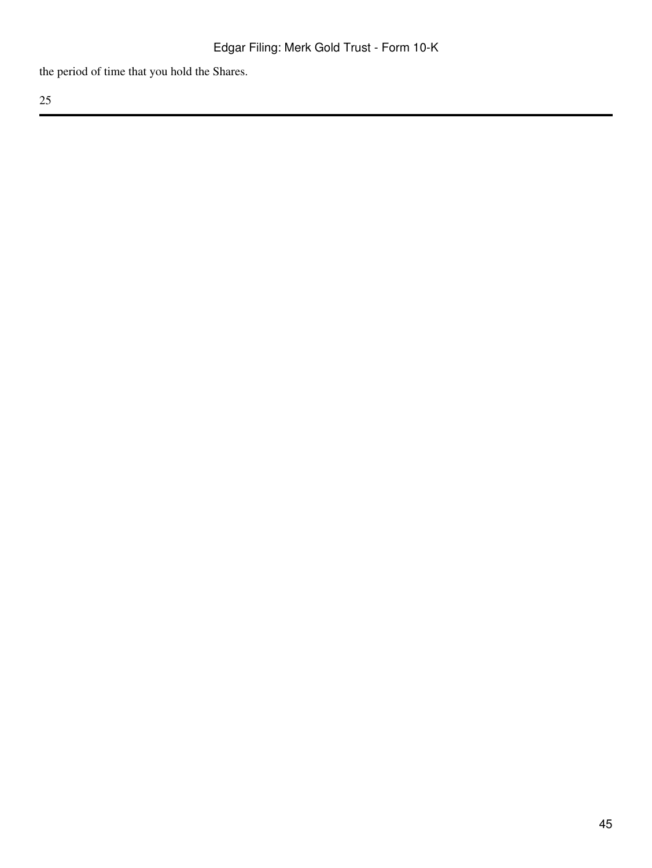the period of time that you hold the Shares.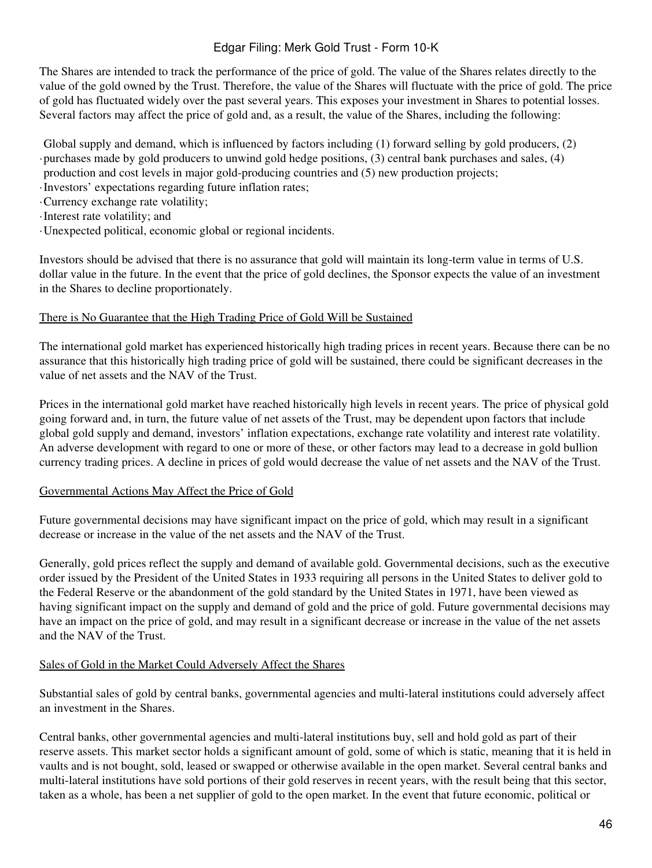The Shares are intended to track the performance of the price of gold. The value of the Shares relates directly to the value of the gold owned by the Trust. Therefore, the value of the Shares will fluctuate with the price of gold. The price of gold has fluctuated widely over the past several years. This exposes your investment in Shares to potential losses. Several factors may affect the price of gold and, as a result, the value of the Shares, including the following:

· purchases made by gold producers to unwind gold hedge positions, (3) central bank purchases and sales, (4) Global supply and demand, which is influenced by factors including (1) forward selling by gold producers, (2) production and cost levels in major gold-producing countries and (5) new production projects;

- ·Investors' expectations regarding future inflation rates;
- ·Currency exchange rate volatility;
- ·Interest rate volatility; and
- ·Unexpected political, economic global or regional incidents.

Investors should be advised that there is no assurance that gold will maintain its long-term value in terms of U.S. dollar value in the future. In the event that the price of gold declines, the Sponsor expects the value of an investment in the Shares to decline proportionately.

#### There is No Guarantee that the High Trading Price of Gold Will be Sustained

The international gold market has experienced historically high trading prices in recent years. Because there can be no assurance that this historically high trading price of gold will be sustained, there could be significant decreases in the value of net assets and the NAV of the Trust.

Prices in the international gold market have reached historically high levels in recent years. The price of physical gold going forward and, in turn, the future value of net assets of the Trust, may be dependent upon factors that include global gold supply and demand, investors' inflation expectations, exchange rate volatility and interest rate volatility. An adverse development with regard to one or more of these, or other factors may lead to a decrease in gold bullion currency trading prices. A decline in prices of gold would decrease the value of net assets and the NAV of the Trust.

# Governmental Actions May Affect the Price of Gold

Future governmental decisions may have significant impact on the price of gold, which may result in a significant decrease or increase in the value of the net assets and the NAV of the Trust.

Generally, gold prices reflect the supply and demand of available gold. Governmental decisions, such as the executive order issued by the President of the United States in 1933 requiring all persons in the United States to deliver gold to the Federal Reserve or the abandonment of the gold standard by the United States in 1971, have been viewed as having significant impact on the supply and demand of gold and the price of gold. Future governmental decisions may have an impact on the price of gold, and may result in a significant decrease or increase in the value of the net assets and the NAV of the Trust.

# Sales of Gold in the Market Could Adversely Affect the Shares

Substantial sales of gold by central banks, governmental agencies and multi-lateral institutions could adversely affect an investment in the Shares.

Central banks, other governmental agencies and multi-lateral institutions buy, sell and hold gold as part of their reserve assets. This market sector holds a significant amount of gold, some of which is static, meaning that it is held in vaults and is not bought, sold, leased or swapped or otherwise available in the open market. Several central banks and multi-lateral institutions have sold portions of their gold reserves in recent years, with the result being that this sector, taken as a whole, has been a net supplier of gold to the open market. In the event that future economic, political or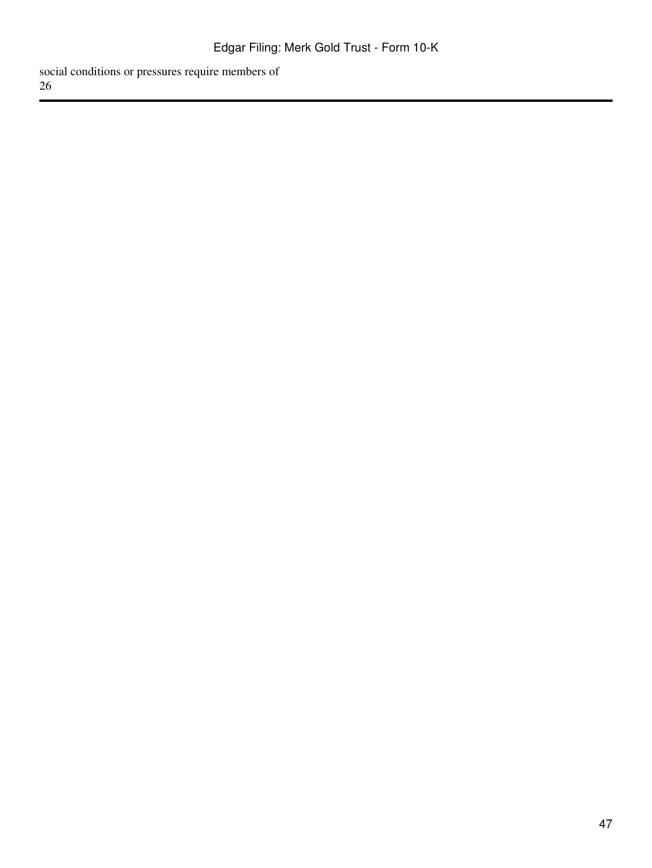social conditions or pressures require members of 26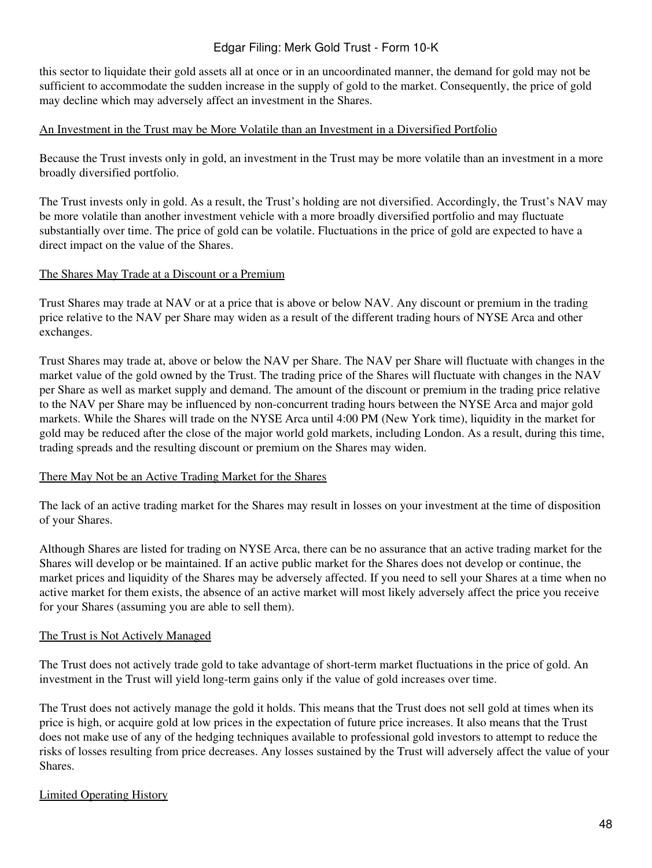this sector to liquidate their gold assets all at once or in an uncoordinated manner, the demand for gold may not be sufficient to accommodate the sudden increase in the supply of gold to the market. Consequently, the price of gold may decline which may adversely affect an investment in the Shares.

### An Investment in the Trust may be More Volatile than an Investment in a Diversified Portfolio

Because the Trust invests only in gold, an investment in the Trust may be more volatile than an investment in a more broadly diversified portfolio.

The Trust invests only in gold. As a result, the Trust's holding are not diversified. Accordingly, the Trust's NAV may be more volatile than another investment vehicle with a more broadly diversified portfolio and may fluctuate substantially over time. The price of gold can be volatile. Fluctuations in the price of gold are expected to have a direct impact on the value of the Shares.

# The Shares May Trade at a Discount or a Premium

Trust Shares may trade at NAV or at a price that is above or below NAV. Any discount or premium in the trading price relative to the NAV per Share may widen as a result of the different trading hours of NYSE Arca and other exchanges.

Trust Shares may trade at, above or below the NAV per Share. The NAV per Share will fluctuate with changes in the market value of the gold owned by the Trust. The trading price of the Shares will fluctuate with changes in the NAV per Share as well as market supply and demand. The amount of the discount or premium in the trading price relative to the NAV per Share may be influenced by non-concurrent trading hours between the NYSE Arca and major gold markets. While the Shares will trade on the NYSE Arca until 4:00 PM (New York time), liquidity in the market for gold may be reduced after the close of the major world gold markets, including London. As a result, during this time, trading spreads and the resulting discount or premium on the Shares may widen.

#### There May Not be an Active Trading Market for the Shares

The lack of an active trading market for the Shares may result in losses on your investment at the time of disposition of your Shares.

Although Shares are listed for trading on NYSE Arca, there can be no assurance that an active trading market for the Shares will develop or be maintained. If an active public market for the Shares does not develop or continue, the market prices and liquidity of the Shares may be adversely affected. If you need to sell your Shares at a time when no active market for them exists, the absence of an active market will most likely adversely affect the price you receive for your Shares (assuming you are able to sell them).

# The Trust is Not Actively Managed

The Trust does not actively trade gold to take advantage of short-term market fluctuations in the price of gold. An investment in the Trust will yield long-term gains only if the value of gold increases over time.

The Trust does not actively manage the gold it holds. This means that the Trust does not sell gold at times when its price is high, or acquire gold at low prices in the expectation of future price increases. It also means that the Trust does not make use of any of the hedging techniques available to professional gold investors to attempt to reduce the risks of losses resulting from price decreases. Any losses sustained by the Trust will adversely affect the value of your Shares.

# Limited Operating History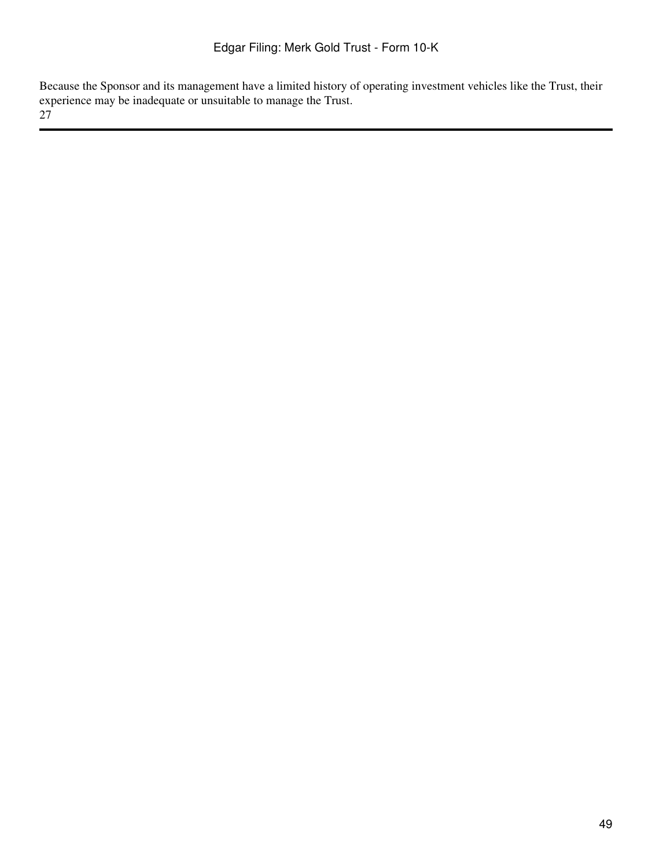Because the Sponsor and its management have a limited history of operating investment vehicles like the Trust, their experience may be inadequate or unsuitable to manage the Trust.

27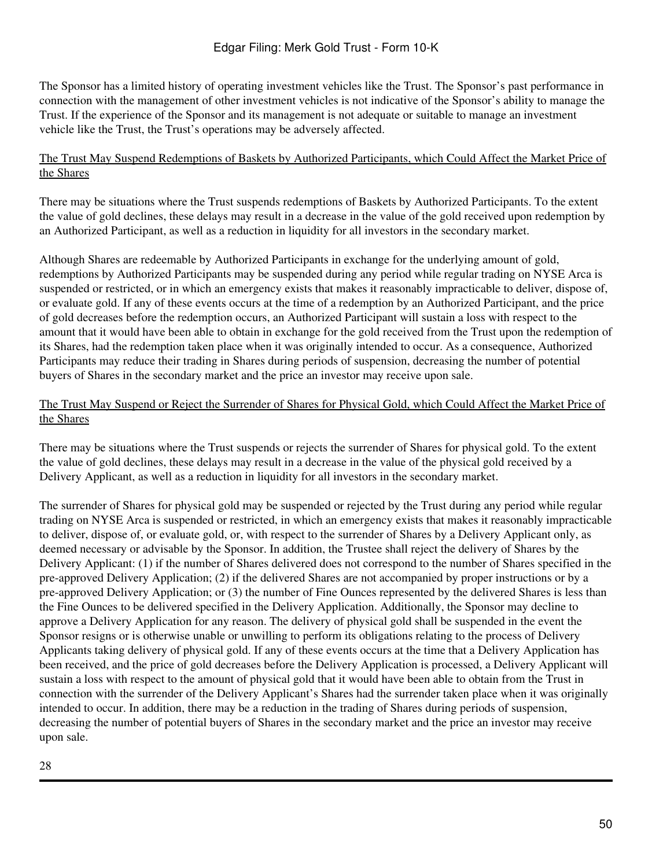The Sponsor has a limited history of operating investment vehicles like the Trust. The Sponsor's past performance in connection with the management of other investment vehicles is not indicative of the Sponsor's ability to manage the Trust. If the experience of the Sponsor and its management is not adequate or suitable to manage an investment vehicle like the Trust, the Trust's operations may be adversely affected.

# The Trust May Suspend Redemptions of Baskets by Authorized Participants, which Could Affect the Market Price of the Shares

There may be situations where the Trust suspends redemptions of Baskets by Authorized Participants. To the extent the value of gold declines, these delays may result in a decrease in the value of the gold received upon redemption by an Authorized Participant, as well as a reduction in liquidity for all investors in the secondary market.

Although Shares are redeemable by Authorized Participants in exchange for the underlying amount of gold, redemptions by Authorized Participants may be suspended during any period while regular trading on NYSE Arca is suspended or restricted, or in which an emergency exists that makes it reasonably impracticable to deliver, dispose of, or evaluate gold. If any of these events occurs at the time of a redemption by an Authorized Participant, and the price of gold decreases before the redemption occurs, an Authorized Participant will sustain a loss with respect to the amount that it would have been able to obtain in exchange for the gold received from the Trust upon the redemption of its Shares, had the redemption taken place when it was originally intended to occur. As a consequence, Authorized Participants may reduce their trading in Shares during periods of suspension, decreasing the number of potential buyers of Shares in the secondary market and the price an investor may receive upon sale.

# The Trust May Suspend or Reject the Surrender of Shares for Physical Gold, which Could Affect the Market Price of the Shares

There may be situations where the Trust suspends or rejects the surrender of Shares for physical gold. To the extent the value of gold declines, these delays may result in a decrease in the value of the physical gold received by a Delivery Applicant, as well as a reduction in liquidity for all investors in the secondary market.

The surrender of Shares for physical gold may be suspended or rejected by the Trust during any period while regular trading on NYSE Arca is suspended or restricted, in which an emergency exists that makes it reasonably impracticable to deliver, dispose of, or evaluate gold, or, with respect to the surrender of Shares by a Delivery Applicant only, as deemed necessary or advisable by the Sponsor. In addition, the Trustee shall reject the delivery of Shares by the Delivery Applicant: (1) if the number of Shares delivered does not correspond to the number of Shares specified in the pre-approved Delivery Application; (2) if the delivered Shares are not accompanied by proper instructions or by a pre-approved Delivery Application; or (3) the number of Fine Ounces represented by the delivered Shares is less than the Fine Ounces to be delivered specified in the Delivery Application. Additionally, the Sponsor may decline to approve a Delivery Application for any reason. The delivery of physical gold shall be suspended in the event the Sponsor resigns or is otherwise unable or unwilling to perform its obligations relating to the process of Delivery Applicants taking delivery of physical gold. If any of these events occurs at the time that a Delivery Application has been received, and the price of gold decreases before the Delivery Application is processed, a Delivery Applicant will sustain a loss with respect to the amount of physical gold that it would have been able to obtain from the Trust in connection with the surrender of the Delivery Applicant's Shares had the surrender taken place when it was originally intended to occur. In addition, there may be a reduction in the trading of Shares during periods of suspension, decreasing the number of potential buyers of Shares in the secondary market and the price an investor may receive upon sale.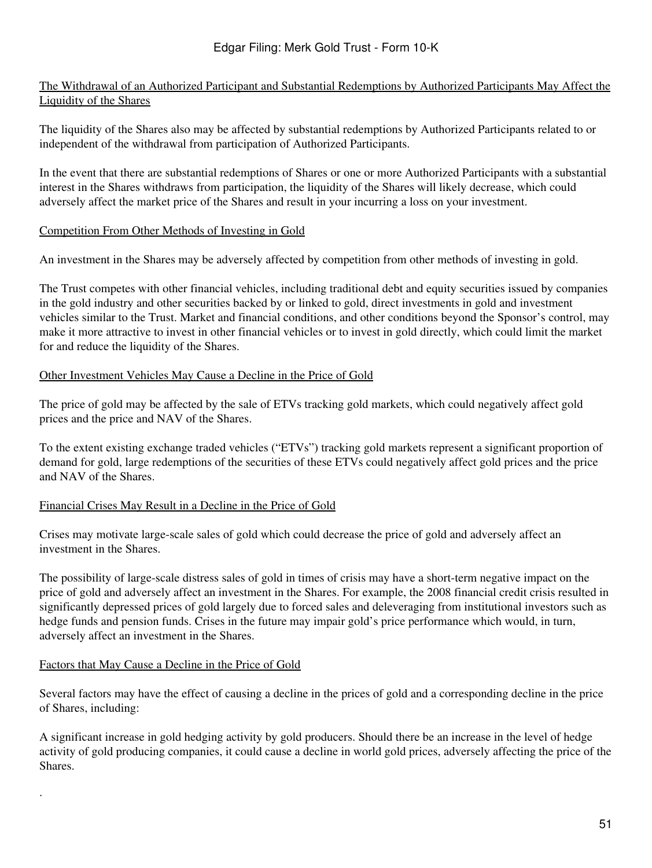# The Withdrawal of an Authorized Participant and Substantial Redemptions by Authorized Participants May Affect the Liquidity of the Shares

The liquidity of the Shares also may be affected by substantial redemptions by Authorized Participants related to or independent of the withdrawal from participation of Authorized Participants.

In the event that there are substantial redemptions of Shares or one or more Authorized Participants with a substantial interest in the Shares withdraws from participation, the liquidity of the Shares will likely decrease, which could adversely affect the market price of the Shares and result in your incurring a loss on your investment.

# Competition From Other Methods of Investing in Gold

An investment in the Shares may be adversely affected by competition from other methods of investing in gold.

The Trust competes with other financial vehicles, including traditional debt and equity securities issued by companies in the gold industry and other securities backed by or linked to gold, direct investments in gold and investment vehicles similar to the Trust. Market and financial conditions, and other conditions beyond the Sponsor's control, may make it more attractive to invest in other financial vehicles or to invest in gold directly, which could limit the market for and reduce the liquidity of the Shares.

# Other Investment Vehicles May Cause a Decline in the Price of Gold

The price of gold may be affected by the sale of ETVs tracking gold markets, which could negatively affect gold prices and the price and NAV of the Shares.

To the extent existing exchange traded vehicles ("ETVs") tracking gold markets represent a significant proportion of demand for gold, large redemptions of the securities of these ETVs could negatively affect gold prices and the price and NAV of the Shares.

# Financial Crises May Result in a Decline in the Price of Gold

Crises may motivate large-scale sales of gold which could decrease the price of gold and adversely affect an investment in the Shares.

The possibility of large-scale distress sales of gold in times of crisis may have a short-term negative impact on the price of gold and adversely affect an investment in the Shares. For example, the 2008 financial credit crisis resulted in significantly depressed prices of gold largely due to forced sales and deleveraging from institutional investors such as hedge funds and pension funds. Crises in the future may impair gold's price performance which would, in turn, adversely affect an investment in the Shares.

# Factors that May Cause a Decline in the Price of Gold

·

Several factors may have the effect of causing a decline in the prices of gold and a corresponding decline in the price of Shares, including:

A significant increase in gold hedging activity by gold producers. Should there be an increase in the level of hedge activity of gold producing companies, it could cause a decline in world gold prices, adversely affecting the price of the Shares.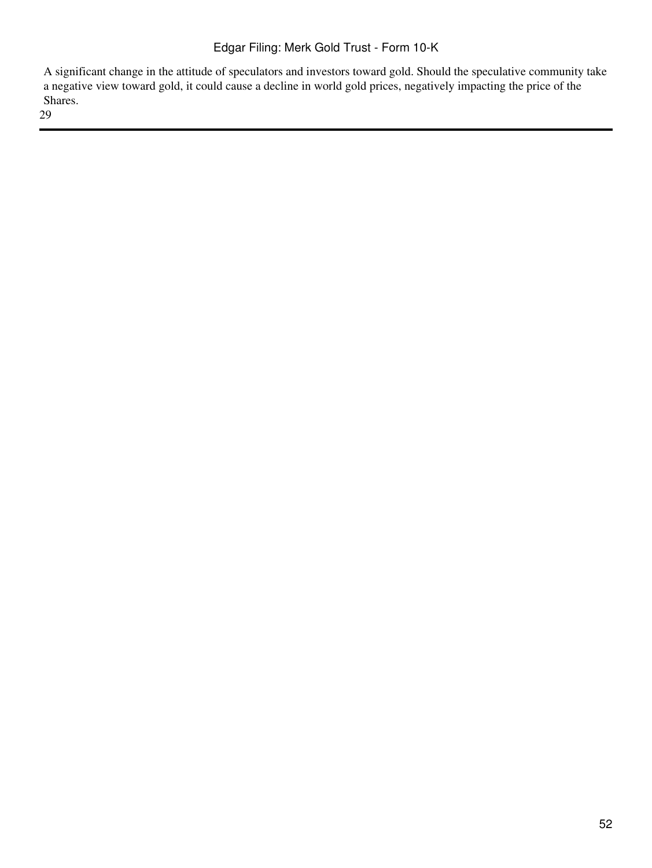A significant change in the attitude of speculators and investors toward gold. Should the speculative community take a negative view toward gold, it could cause a decline in world gold prices, negatively impacting the price of the Shares.

29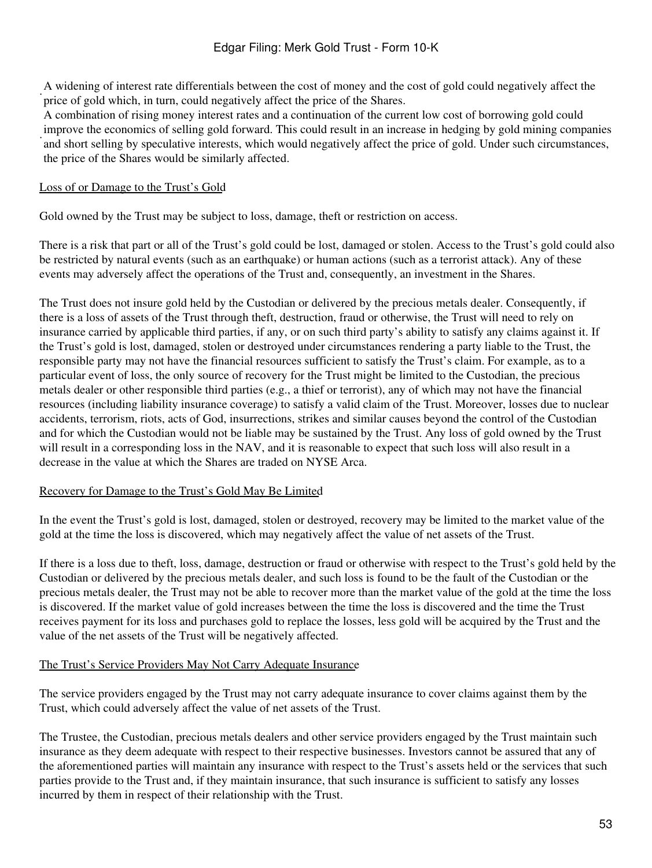· A widening of interest rate differentials between the cost of money and the cost of gold could negatively affect the price of gold which, in turn, could negatively affect the price of the Shares.

· A combination of rising money interest rates and a continuation of the current low cost of borrowing gold could improve the economics of selling gold forward. This could result in an increase in hedging by gold mining companies and short selling by speculative interests, which would negatively affect the price of gold. Under such circumstances, the price of the Shares would be similarly affected.

### Loss of or Damage to the Trust's Gold

Gold owned by the Trust may be subject to loss, damage, theft or restriction on access.

There is a risk that part or all of the Trust's gold could be lost, damaged or stolen. Access to the Trust's gold could also be restricted by natural events (such as an earthquake) or human actions (such as a terrorist attack). Any of these events may adversely affect the operations of the Trust and, consequently, an investment in the Shares.

The Trust does not insure gold held by the Custodian or delivered by the precious metals dealer. Consequently, if there is a loss of assets of the Trust through theft, destruction, fraud or otherwise, the Trust will need to rely on insurance carried by applicable third parties, if any, or on such third party's ability to satisfy any claims against it. If the Trust's gold is lost, damaged, stolen or destroyed under circumstances rendering a party liable to the Trust, the responsible party may not have the financial resources sufficient to satisfy the Trust's claim. For example, as to a particular event of loss, the only source of recovery for the Trust might be limited to the Custodian, the precious metals dealer or other responsible third parties (e.g., a thief or terrorist), any of which may not have the financial resources (including liability insurance coverage) to satisfy a valid claim of the Trust. Moreover, losses due to nuclear accidents, terrorism, riots, acts of God, insurrections, strikes and similar causes beyond the control of the Custodian and for which the Custodian would not be liable may be sustained by the Trust. Any loss of gold owned by the Trust will result in a corresponding loss in the NAV, and it is reasonable to expect that such loss will also result in a decrease in the value at which the Shares are traded on NYSE Arca.

# Recovery for Damage to the Trust's Gold May Be Limited

In the event the Trust's gold is lost, damaged, stolen or destroyed, recovery may be limited to the market value of the gold at the time the loss is discovered, which may negatively affect the value of net assets of the Trust.

If there is a loss due to theft, loss, damage, destruction or fraud or otherwise with respect to the Trust's gold held by the Custodian or delivered by the precious metals dealer, and such loss is found to be the fault of the Custodian or the precious metals dealer, the Trust may not be able to recover more than the market value of the gold at the time the loss is discovered. If the market value of gold increases between the time the loss is discovered and the time the Trust receives payment for its loss and purchases gold to replace the losses, less gold will be acquired by the Trust and the value of the net assets of the Trust will be negatively affected.

#### The Trust's Service Providers May Not Carry Adequate Insurance

The service providers engaged by the Trust may not carry adequate insurance to cover claims against them by the Trust, which could adversely affect the value of net assets of the Trust.

The Trustee, the Custodian, precious metals dealers and other service providers engaged by the Trust maintain such insurance as they deem adequate with respect to their respective businesses. Investors cannot be assured that any of the aforementioned parties will maintain any insurance with respect to the Trust's assets held or the services that such parties provide to the Trust and, if they maintain insurance, that such insurance is sufficient to satisfy any losses incurred by them in respect of their relationship with the Trust.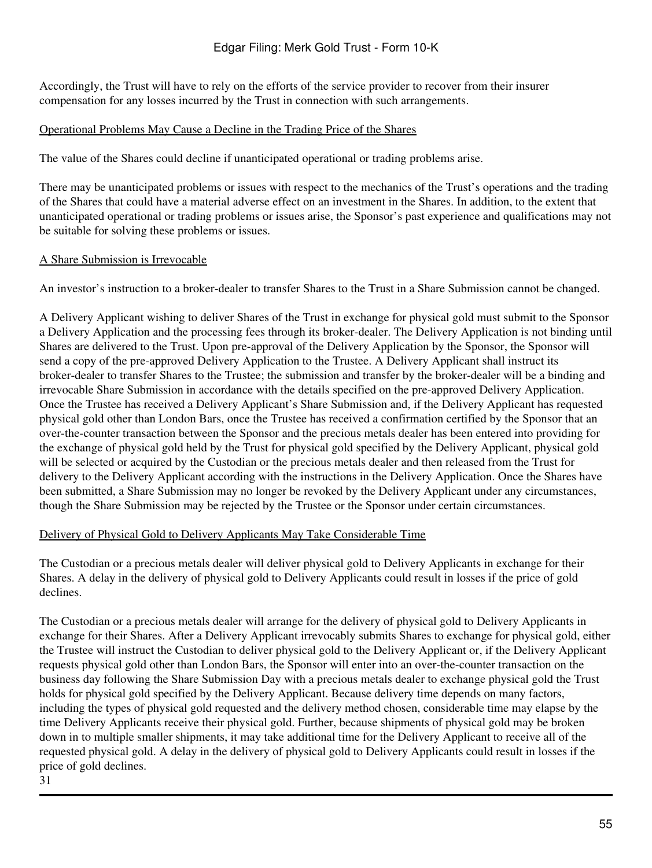Accordingly, the Trust will have to rely on the efforts of the service provider to recover from their insurer compensation for any losses incurred by the Trust in connection with such arrangements.

# Operational Problems May Cause a Decline in the Trading Price of the Shares

The value of the Shares could decline if unanticipated operational or trading problems arise.

There may be unanticipated problems or issues with respect to the mechanics of the Trust's operations and the trading of the Shares that could have a material adverse effect on an investment in the Shares. In addition, to the extent that unanticipated operational or trading problems or issues arise, the Sponsor's past experience and qualifications may not be suitable for solving these problems or issues.

# A Share Submission is Irrevocable

An investor's instruction to a broker-dealer to transfer Shares to the Trust in a Share Submission cannot be changed.

A Delivery Applicant wishing to deliver Shares of the Trust in exchange for physical gold must submit to the Sponsor a Delivery Application and the processing fees through its broker-dealer. The Delivery Application is not binding until Shares are delivered to the Trust. Upon pre-approval of the Delivery Application by the Sponsor, the Sponsor will send a copy of the pre-approved Delivery Application to the Trustee. A Delivery Applicant shall instruct its broker-dealer to transfer Shares to the Trustee; the submission and transfer by the broker-dealer will be a binding and irrevocable Share Submission in accordance with the details specified on the pre-approved Delivery Application. Once the Trustee has received a Delivery Applicant's Share Submission and, if the Delivery Applicant has requested physical gold other than London Bars, once the Trustee has received a confirmation certified by the Sponsor that an over-the-counter transaction between the Sponsor and the precious metals dealer has been entered into providing for the exchange of physical gold held by the Trust for physical gold specified by the Delivery Applicant, physical gold will be selected or acquired by the Custodian or the precious metals dealer and then released from the Trust for delivery to the Delivery Applicant according with the instructions in the Delivery Application. Once the Shares have been submitted, a Share Submission may no longer be revoked by the Delivery Applicant under any circumstances, though the Share Submission may be rejected by the Trustee or the Sponsor under certain circumstances.

# Delivery of Physical Gold to Delivery Applicants May Take Considerable Time

The Custodian or a precious metals dealer will deliver physical gold to Delivery Applicants in exchange for their Shares. A delay in the delivery of physical gold to Delivery Applicants could result in losses if the price of gold declines.

The Custodian or a precious metals dealer will arrange for the delivery of physical gold to Delivery Applicants in exchange for their Shares. After a Delivery Applicant irrevocably submits Shares to exchange for physical gold, either the Trustee will instruct the Custodian to deliver physical gold to the Delivery Applicant or, if the Delivery Applicant requests physical gold other than London Bars, the Sponsor will enter into an over-the-counter transaction on the business day following the Share Submission Day with a precious metals dealer to exchange physical gold the Trust holds for physical gold specified by the Delivery Applicant. Because delivery time depends on many factors, including the types of physical gold requested and the delivery method chosen, considerable time may elapse by the time Delivery Applicants receive their physical gold. Further, because shipments of physical gold may be broken down in to multiple smaller shipments, it may take additional time for the Delivery Applicant to receive all of the requested physical gold. A delay in the delivery of physical gold to Delivery Applicants could result in losses if the price of gold declines.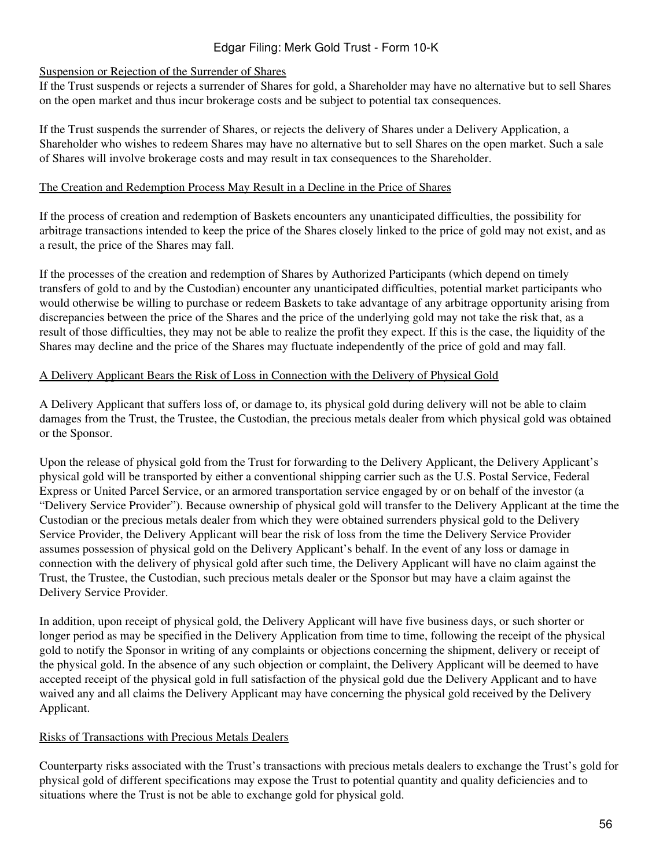### Suspension or Rejection of the Surrender of Shares

If the Trust suspends or rejects a surrender of Shares for gold, a Shareholder may have no alternative but to sell Shares on the open market and thus incur brokerage costs and be subject to potential tax consequences.

If the Trust suspends the surrender of Shares, or rejects the delivery of Shares under a Delivery Application, a Shareholder who wishes to redeem Shares may have no alternative but to sell Shares on the open market. Such a sale of Shares will involve brokerage costs and may result in tax consequences to the Shareholder.

### The Creation and Redemption Process May Result in a Decline in the Price of Shares

If the process of creation and redemption of Baskets encounters any unanticipated difficulties, the possibility for arbitrage transactions intended to keep the price of the Shares closely linked to the price of gold may not exist, and as a result, the price of the Shares may fall.

If the processes of the creation and redemption of Shares by Authorized Participants (which depend on timely transfers of gold to and by the Custodian) encounter any unanticipated difficulties, potential market participants who would otherwise be willing to purchase or redeem Baskets to take advantage of any arbitrage opportunity arising from discrepancies between the price of the Shares and the price of the underlying gold may not take the risk that, as a result of those difficulties, they may not be able to realize the profit they expect. If this is the case, the liquidity of the Shares may decline and the price of the Shares may fluctuate independently of the price of gold and may fall.

# A Delivery Applicant Bears the Risk of Loss in Connection with the Delivery of Physical Gold

A Delivery Applicant that suffers loss of, or damage to, its physical gold during delivery will not be able to claim damages from the Trust, the Trustee, the Custodian, the precious metals dealer from which physical gold was obtained or the Sponsor.

Upon the release of physical gold from the Trust for forwarding to the Delivery Applicant, the Delivery Applicant's physical gold will be transported by either a conventional shipping carrier such as the U.S. Postal Service, Federal Express or United Parcel Service, or an armored transportation service engaged by or on behalf of the investor (a "Delivery Service Provider"). Because ownership of physical gold will transfer to the Delivery Applicant at the time the Custodian or the precious metals dealer from which they were obtained surrenders physical gold to the Delivery Service Provider, the Delivery Applicant will bear the risk of loss from the time the Delivery Service Provider assumes possession of physical gold on the Delivery Applicant's behalf. In the event of any loss or damage in connection with the delivery of physical gold after such time, the Delivery Applicant will have no claim against the Trust, the Trustee, the Custodian, such precious metals dealer or the Sponsor but may have a claim against the Delivery Service Provider.

In addition, upon receipt of physical gold, the Delivery Applicant will have five business days, or such shorter or longer period as may be specified in the Delivery Application from time to time, following the receipt of the physical gold to notify the Sponsor in writing of any complaints or objections concerning the shipment, delivery or receipt of the physical gold. In the absence of any such objection or complaint, the Delivery Applicant will be deemed to have accepted receipt of the physical gold in full satisfaction of the physical gold due the Delivery Applicant and to have waived any and all claims the Delivery Applicant may have concerning the physical gold received by the Delivery Applicant.

# Risks of Transactions with Precious Metals Dealers

Counterparty risks associated with the Trust's transactions with precious metals dealers to exchange the Trust's gold for physical gold of different specifications may expose the Trust to potential quantity and quality deficiencies and to situations where the Trust is not be able to exchange gold for physical gold.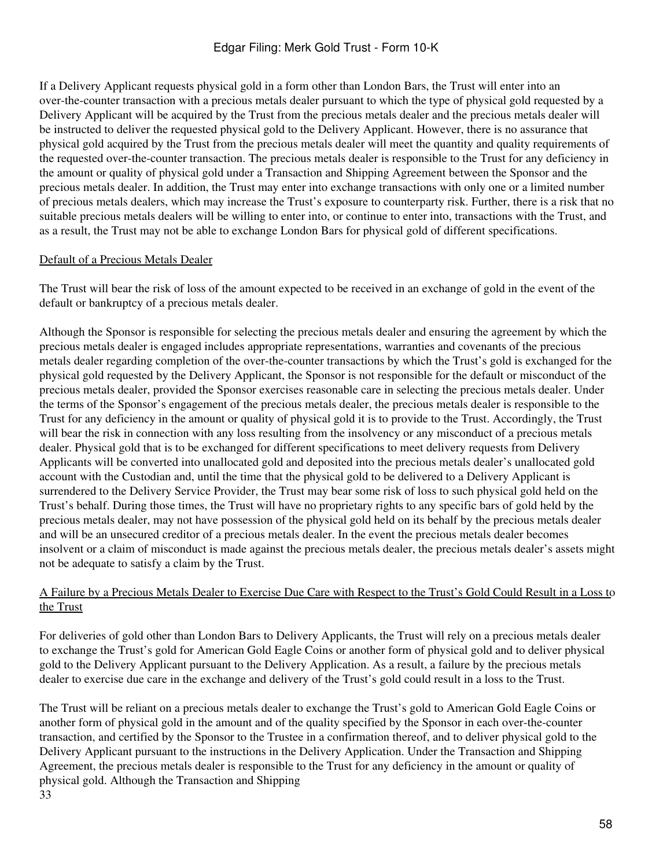If a Delivery Applicant requests physical gold in a form other than London Bars, the Trust will enter into an over-the-counter transaction with a precious metals dealer pursuant to which the type of physical gold requested by a Delivery Applicant will be acquired by the Trust from the precious metals dealer and the precious metals dealer will be instructed to deliver the requested physical gold to the Delivery Applicant. However, there is no assurance that physical gold acquired by the Trust from the precious metals dealer will meet the quantity and quality requirements of the requested over-the-counter transaction. The precious metals dealer is responsible to the Trust for any deficiency in the amount or quality of physical gold under a Transaction and Shipping Agreement between the Sponsor and the precious metals dealer. In addition, the Trust may enter into exchange transactions with only one or a limited number of precious metals dealers, which may increase the Trust's exposure to counterparty risk. Further, there is a risk that no suitable precious metals dealers will be willing to enter into, or continue to enter into, transactions with the Trust, and as a result, the Trust may not be able to exchange London Bars for physical gold of different specifications.

### Default of a Precious Metals Dealer

The Trust will bear the risk of loss of the amount expected to be received in an exchange of gold in the event of the default or bankruptcy of a precious metals dealer.

Although the Sponsor is responsible for selecting the precious metals dealer and ensuring the agreement by which the precious metals dealer is engaged includes appropriate representations, warranties and covenants of the precious metals dealer regarding completion of the over-the-counter transactions by which the Trust's gold is exchanged for the physical gold requested by the Delivery Applicant, the Sponsor is not responsible for the default or misconduct of the precious metals dealer, provided the Sponsor exercises reasonable care in selecting the precious metals dealer. Under the terms of the Sponsor's engagement of the precious metals dealer, the precious metals dealer is responsible to the Trust for any deficiency in the amount or quality of physical gold it is to provide to the Trust. Accordingly, the Trust will bear the risk in connection with any loss resulting from the insolvency or any misconduct of a precious metals dealer. Physical gold that is to be exchanged for different specifications to meet delivery requests from Delivery Applicants will be converted into unallocated gold and deposited into the precious metals dealer's unallocated gold account with the Custodian and, until the time that the physical gold to be delivered to a Delivery Applicant is surrendered to the Delivery Service Provider, the Trust may bear some risk of loss to such physical gold held on the Trust's behalf. During those times, the Trust will have no proprietary rights to any specific bars of gold held by the precious metals dealer, may not have possession of the physical gold held on its behalf by the precious metals dealer and will be an unsecured creditor of a precious metals dealer. In the event the precious metals dealer becomes insolvent or a claim of misconduct is made against the precious metals dealer, the precious metals dealer's assets might not be adequate to satisfy a claim by the Trust.

### A Failure by a Precious Metals Dealer to Exercise Due Care with Respect to the Trust's Gold Could Result in a Loss to the Trust

For deliveries of gold other than London Bars to Delivery Applicants, the Trust will rely on a precious metals dealer to exchange the Trust's gold for American Gold Eagle Coins or another form of physical gold and to deliver physical gold to the Delivery Applicant pursuant to the Delivery Application. As a result, a failure by the precious metals dealer to exercise due care in the exchange and delivery of the Trust's gold could result in a loss to the Trust.

The Trust will be reliant on a precious metals dealer to exchange the Trust's gold to American Gold Eagle Coins or another form of physical gold in the amount and of the quality specified by the Sponsor in each over-the-counter transaction, and certified by the Sponsor to the Trustee in a confirmation thereof, and to deliver physical gold to the Delivery Applicant pursuant to the instructions in the Delivery Application. Under the Transaction and Shipping Agreement, the precious metals dealer is responsible to the Trust for any deficiency in the amount or quality of physical gold. Although the Transaction and Shipping 33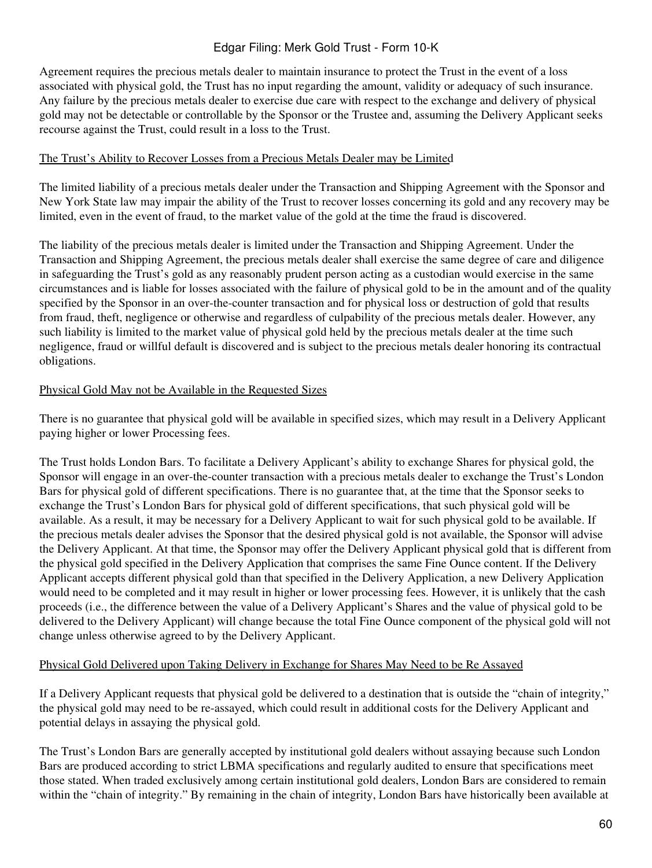Agreement requires the precious metals dealer to maintain insurance to protect the Trust in the event of a loss associated with physical gold, the Trust has no input regarding the amount, validity or adequacy of such insurance. Any failure by the precious metals dealer to exercise due care with respect to the exchange and delivery of physical gold may not be detectable or controllable by the Sponsor or the Trustee and, assuming the Delivery Applicant seeks recourse against the Trust, could result in a loss to the Trust.

### The Trust's Ability to Recover Losses from a Precious Metals Dealer may be Limited

The limited liability of a precious metals dealer under the Transaction and Shipping Agreement with the Sponsor and New York State law may impair the ability of the Trust to recover losses concerning its gold and any recovery may be limited, even in the event of fraud, to the market value of the gold at the time the fraud is discovered.

The liability of the precious metals dealer is limited under the Transaction and Shipping Agreement. Under the Transaction and Shipping Agreement, the precious metals dealer shall exercise the same degree of care and diligence in safeguarding the Trust's gold as any reasonably prudent person acting as a custodian would exercise in the same circumstances and is liable for losses associated with the failure of physical gold to be in the amount and of the quality specified by the Sponsor in an over-the-counter transaction and for physical loss or destruction of gold that results from fraud, theft, negligence or otherwise and regardless of culpability of the precious metals dealer. However, any such liability is limited to the market value of physical gold held by the precious metals dealer at the time such negligence, fraud or willful default is discovered and is subject to the precious metals dealer honoring its contractual obligations.

# Physical Gold May not be Available in the Requested Sizes

There is no guarantee that physical gold will be available in specified sizes, which may result in a Delivery Applicant paying higher or lower Processing fees.

The Trust holds London Bars. To facilitate a Delivery Applicant's ability to exchange Shares for physical gold, the Sponsor will engage in an over-the-counter transaction with a precious metals dealer to exchange the Trust's London Bars for physical gold of different specifications. There is no guarantee that, at the time that the Sponsor seeks to exchange the Trust's London Bars for physical gold of different specifications, that such physical gold will be available. As a result, it may be necessary for a Delivery Applicant to wait for such physical gold to be available. If the precious metals dealer advises the Sponsor that the desired physical gold is not available, the Sponsor will advise the Delivery Applicant. At that time, the Sponsor may offer the Delivery Applicant physical gold that is different from the physical gold specified in the Delivery Application that comprises the same Fine Ounce content. If the Delivery Applicant accepts different physical gold than that specified in the Delivery Application, a new Delivery Application would need to be completed and it may result in higher or lower processing fees. However, it is unlikely that the cash proceeds (i.e., the difference between the value of a Delivery Applicant's Shares and the value of physical gold to be delivered to the Delivery Applicant) will change because the total Fine Ounce component of the physical gold will not change unless otherwise agreed to by the Delivery Applicant.

# Physical Gold Delivered upon Taking Delivery in Exchange for Shares May Need to be Re Assayed

If a Delivery Applicant requests that physical gold be delivered to a destination that is outside the "chain of integrity," the physical gold may need to be re-assayed, which could result in additional costs for the Delivery Applicant and potential delays in assaying the physical gold.

The Trust's London Bars are generally accepted by institutional gold dealers without assaying because such London Bars are produced according to strict LBMA specifications and regularly audited to ensure that specifications meet those stated. When traded exclusively among certain institutional gold dealers, London Bars are considered to remain within the "chain of integrity." By remaining in the chain of integrity, London Bars have historically been available at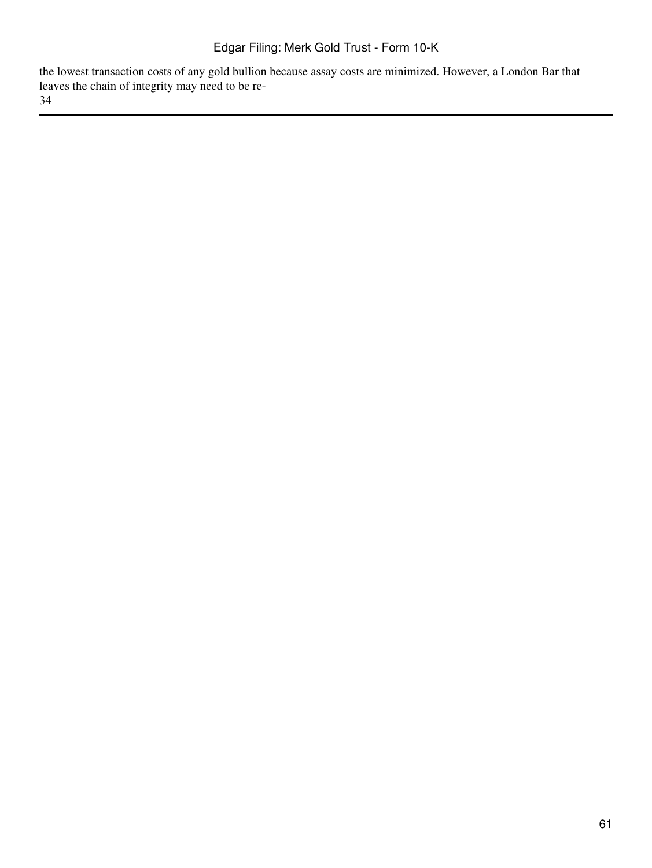the lowest transaction costs of any gold bullion because assay costs are minimized. However, a London Bar that leaves the chain of integrity may need to be re-34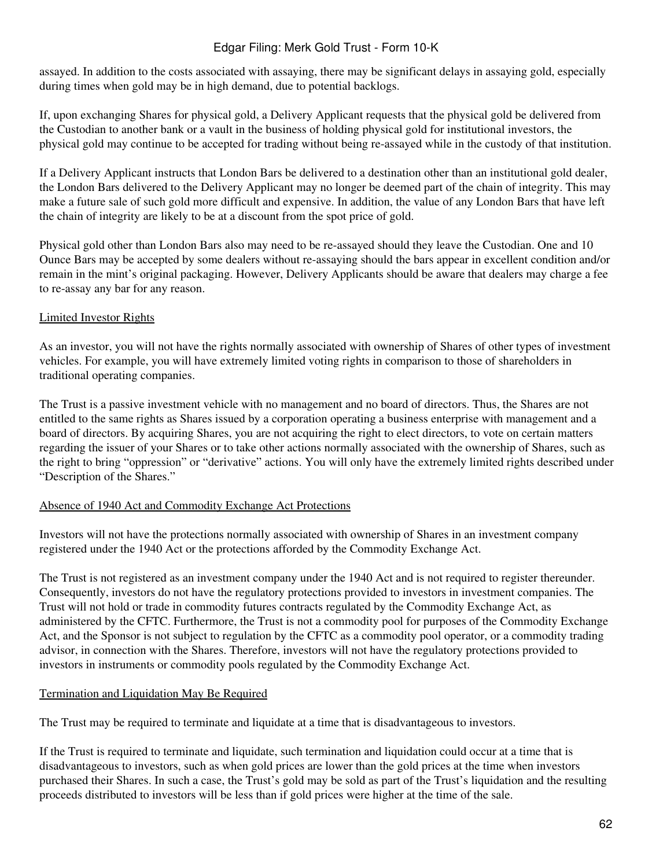assayed. In addition to the costs associated with assaying, there may be significant delays in assaying gold, especially during times when gold may be in high demand, due to potential backlogs.

If, upon exchanging Shares for physical gold, a Delivery Applicant requests that the physical gold be delivered from the Custodian to another bank or a vault in the business of holding physical gold for institutional investors, the physical gold may continue to be accepted for trading without being re-assayed while in the custody of that institution.

If a Delivery Applicant instructs that London Bars be delivered to a destination other than an institutional gold dealer, the London Bars delivered to the Delivery Applicant may no longer be deemed part of the chain of integrity. This may make a future sale of such gold more difficult and expensive. In addition, the value of any London Bars that have left the chain of integrity are likely to be at a discount from the spot price of gold.

Physical gold other than London Bars also may need to be re-assayed should they leave the Custodian. One and 10 Ounce Bars may be accepted by some dealers without re-assaying should the bars appear in excellent condition and/or remain in the mint's original packaging. However, Delivery Applicants should be aware that dealers may charge a fee to re-assay any bar for any reason.

# Limited Investor Rights

As an investor, you will not have the rights normally associated with ownership of Shares of other types of investment vehicles. For example, you will have extremely limited voting rights in comparison to those of shareholders in traditional operating companies.

The Trust is a passive investment vehicle with no management and no board of directors. Thus, the Shares are not entitled to the same rights as Shares issued by a corporation operating a business enterprise with management and a board of directors. By acquiring Shares, you are not acquiring the right to elect directors, to vote on certain matters regarding the issuer of your Shares or to take other actions normally associated with the ownership of Shares, such as the right to bring "oppression" or "derivative" actions. You will only have the extremely limited rights described under "Description of the Shares."

# Absence of 1940 Act and Commodity Exchange Act Protections

Investors will not have the protections normally associated with ownership of Shares in an investment company registered under the 1940 Act or the protections afforded by the Commodity Exchange Act.

The Trust is not registered as an investment company under the 1940 Act and is not required to register thereunder. Consequently, investors do not have the regulatory protections provided to investors in investment companies. The Trust will not hold or trade in commodity futures contracts regulated by the Commodity Exchange Act, as administered by the CFTC. Furthermore, the Trust is not a commodity pool for purposes of the Commodity Exchange Act, and the Sponsor is not subject to regulation by the CFTC as a commodity pool operator, or a commodity trading advisor, in connection with the Shares. Therefore, investors will not have the regulatory protections provided to investors in instruments or commodity pools regulated by the Commodity Exchange Act.

# Termination and Liquidation May Be Required

The Trust may be required to terminate and liquidate at a time that is disadvantageous to investors.

If the Trust is required to terminate and liquidate, such termination and liquidation could occur at a time that is disadvantageous to investors, such as when gold prices are lower than the gold prices at the time when investors purchased their Shares. In such a case, the Trust's gold may be sold as part of the Trust's liquidation and the resulting proceeds distributed to investors will be less than if gold prices were higher at the time of the sale.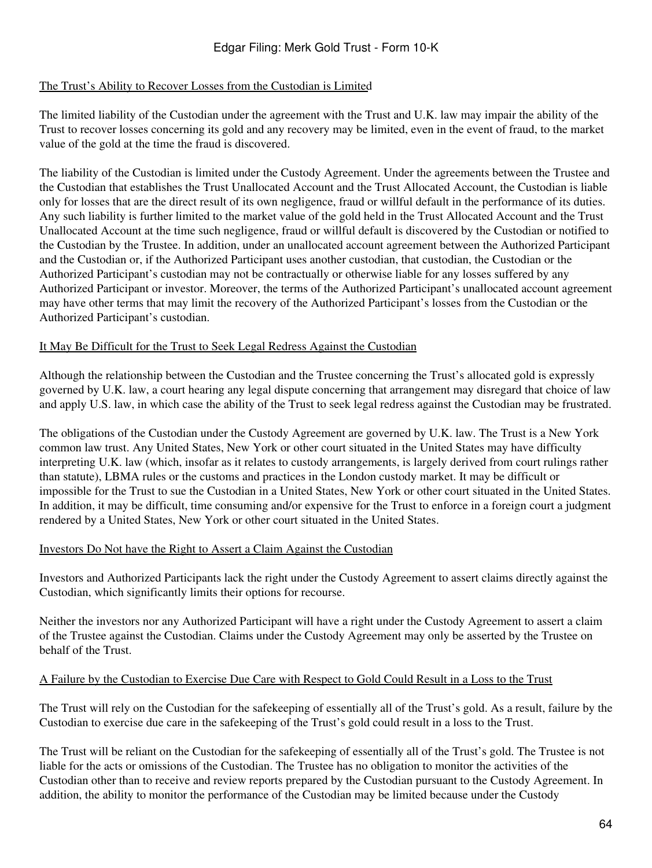### The Trust's Ability to Recover Losses from the Custodian is Limited

The limited liability of the Custodian under the agreement with the Trust and U.K. law may impair the ability of the Trust to recover losses concerning its gold and any recovery may be limited, even in the event of fraud, to the market value of the gold at the time the fraud is discovered.

The liability of the Custodian is limited under the Custody Agreement. Under the agreements between the Trustee and the Custodian that establishes the Trust Unallocated Account and the Trust Allocated Account, the Custodian is liable only for losses that are the direct result of its own negligence, fraud or willful default in the performance of its duties. Any such liability is further limited to the market value of the gold held in the Trust Allocated Account and the Trust Unallocated Account at the time such negligence, fraud or willful default is discovered by the Custodian or notified to the Custodian by the Trustee. In addition, under an unallocated account agreement between the Authorized Participant and the Custodian or, if the Authorized Participant uses another custodian, that custodian, the Custodian or the Authorized Participant's custodian may not be contractually or otherwise liable for any losses suffered by any Authorized Participant or investor. Moreover, the terms of the Authorized Participant's unallocated account agreement may have other terms that may limit the recovery of the Authorized Participant's losses from the Custodian or the Authorized Participant's custodian.

### It May Be Difficult for the Trust to Seek Legal Redress Against the Custodian

Although the relationship between the Custodian and the Trustee concerning the Trust's allocated gold is expressly governed by U.K. law, a court hearing any legal dispute concerning that arrangement may disregard that choice of law and apply U.S. law, in which case the ability of the Trust to seek legal redress against the Custodian may be frustrated.

The obligations of the Custodian under the Custody Agreement are governed by U.K. law. The Trust is a New York common law trust. Any United States, New York or other court situated in the United States may have difficulty interpreting U.K. law (which, insofar as it relates to custody arrangements, is largely derived from court rulings rather than statute), LBMA rules or the customs and practices in the London custody market. It may be difficult or impossible for the Trust to sue the Custodian in a United States, New York or other court situated in the United States. In addition, it may be difficult, time consuming and/or expensive for the Trust to enforce in a foreign court a judgment rendered by a United States, New York or other court situated in the United States.

#### Investors Do Not have the Right to Assert a Claim Against the Custodian

Investors and Authorized Participants lack the right under the Custody Agreement to assert claims directly against the Custodian, which significantly limits their options for recourse.

Neither the investors nor any Authorized Participant will have a right under the Custody Agreement to assert a claim of the Trustee against the Custodian. Claims under the Custody Agreement may only be asserted by the Trustee on behalf of the Trust.

#### A Failure by the Custodian to Exercise Due Care with Respect to Gold Could Result in a Loss to the Trust

The Trust will rely on the Custodian for the safekeeping of essentially all of the Trust's gold. As a result, failure by the Custodian to exercise due care in the safekeeping of the Trust's gold could result in a loss to the Trust.

The Trust will be reliant on the Custodian for the safekeeping of essentially all of the Trust's gold. The Trustee is not liable for the acts or omissions of the Custodian. The Trustee has no obligation to monitor the activities of the Custodian other than to receive and review reports prepared by the Custodian pursuant to the Custody Agreement. In addition, the ability to monitor the performance of the Custodian may be limited because under the Custody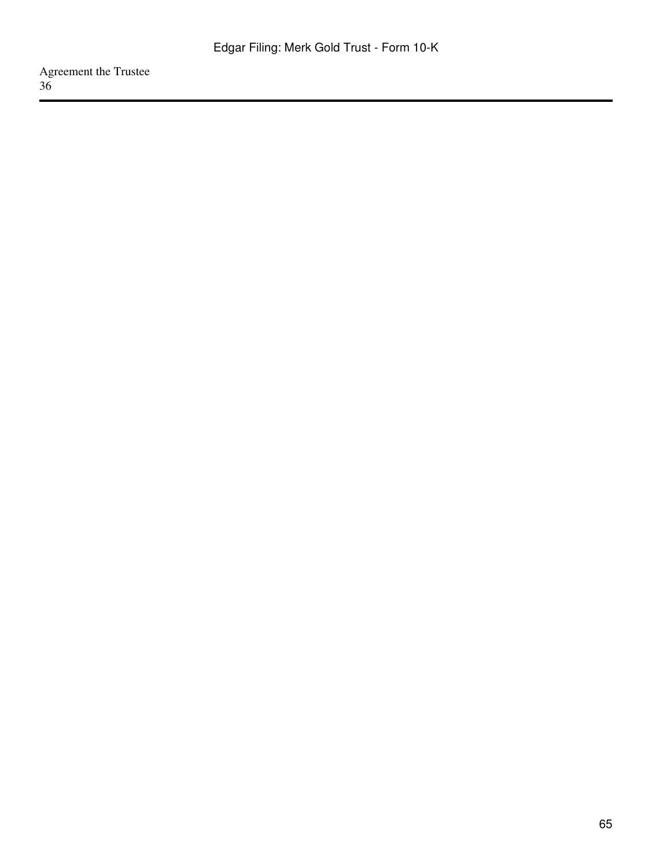Agreement the Trustee 36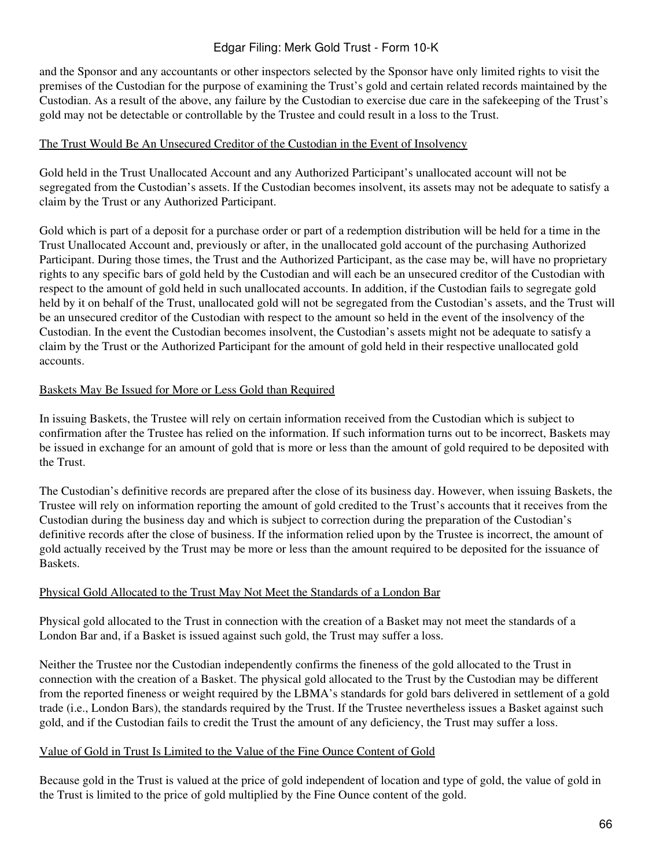and the Sponsor and any accountants or other inspectors selected by the Sponsor have only limited rights to visit the premises of the Custodian for the purpose of examining the Trust's gold and certain related records maintained by the Custodian. As a result of the above, any failure by the Custodian to exercise due care in the safekeeping of the Trust's gold may not be detectable or controllable by the Trustee and could result in a loss to the Trust.

# The Trust Would Be An Unsecured Creditor of the Custodian in the Event of Insolvency

Gold held in the Trust Unallocated Account and any Authorized Participant's unallocated account will not be segregated from the Custodian's assets. If the Custodian becomes insolvent, its assets may not be adequate to satisfy a claim by the Trust or any Authorized Participant.

Gold which is part of a deposit for a purchase order or part of a redemption distribution will be held for a time in the Trust Unallocated Account and, previously or after, in the unallocated gold account of the purchasing Authorized Participant. During those times, the Trust and the Authorized Participant, as the case may be, will have no proprietary rights to any specific bars of gold held by the Custodian and will each be an unsecured creditor of the Custodian with respect to the amount of gold held in such unallocated accounts. In addition, if the Custodian fails to segregate gold held by it on behalf of the Trust, unallocated gold will not be segregated from the Custodian's assets, and the Trust will be an unsecured creditor of the Custodian with respect to the amount so held in the event of the insolvency of the Custodian. In the event the Custodian becomes insolvent, the Custodian's assets might not be adequate to satisfy a claim by the Trust or the Authorized Participant for the amount of gold held in their respective unallocated gold accounts.

# Baskets May Be Issued for More or Less Gold than Required

In issuing Baskets, the Trustee will rely on certain information received from the Custodian which is subject to confirmation after the Trustee has relied on the information. If such information turns out to be incorrect, Baskets may be issued in exchange for an amount of gold that is more or less than the amount of gold required to be deposited with the Trust.

The Custodian's definitive records are prepared after the close of its business day. However, when issuing Baskets, the Trustee will rely on information reporting the amount of gold credited to the Trust's accounts that it receives from the Custodian during the business day and which is subject to correction during the preparation of the Custodian's definitive records after the close of business. If the information relied upon by the Trustee is incorrect, the amount of gold actually received by the Trust may be more or less than the amount required to be deposited for the issuance of Baskets.

# Physical Gold Allocated to the Trust May Not Meet the Standards of a London Bar

Physical gold allocated to the Trust in connection with the creation of a Basket may not meet the standards of a London Bar and, if a Basket is issued against such gold, the Trust may suffer a loss.

Neither the Trustee nor the Custodian independently confirms the fineness of the gold allocated to the Trust in connection with the creation of a Basket. The physical gold allocated to the Trust by the Custodian may be different from the reported fineness or weight required by the LBMA's standards for gold bars delivered in settlement of a gold trade (i.e., London Bars), the standards required by the Trust. If the Trustee nevertheless issues a Basket against such gold, and if the Custodian fails to credit the Trust the amount of any deficiency, the Trust may suffer a loss.

# Value of Gold in Trust Is Limited to the Value of the Fine Ounce Content of Gold

Because gold in the Trust is valued at the price of gold independent of location and type of gold, the value of gold in the Trust is limited to the price of gold multiplied by the Fine Ounce content of the gold.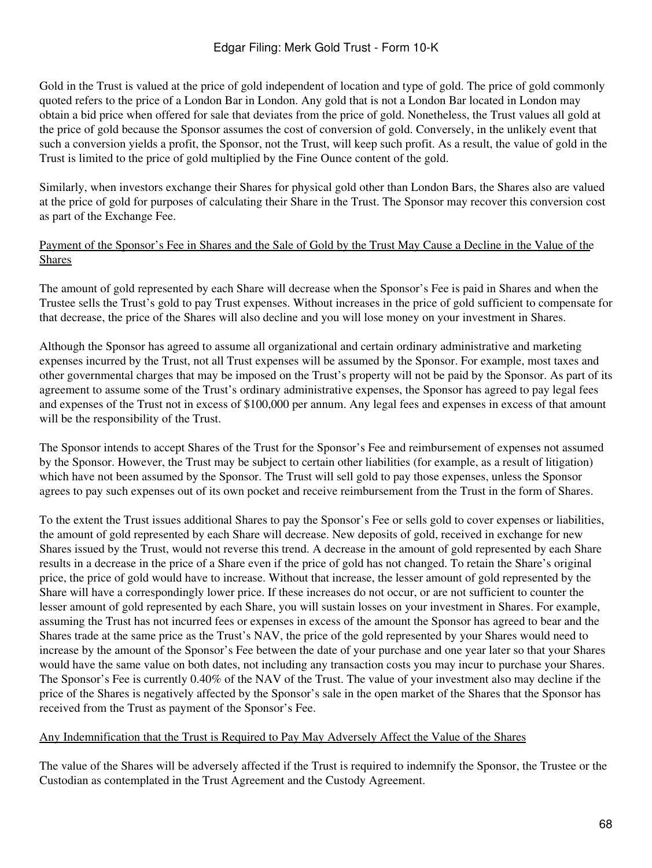Gold in the Trust is valued at the price of gold independent of location and type of gold. The price of gold commonly quoted refers to the price of a London Bar in London. Any gold that is not a London Bar located in London may obtain a bid price when offered for sale that deviates from the price of gold. Nonetheless, the Trust values all gold at the price of gold because the Sponsor assumes the cost of conversion of gold. Conversely, in the unlikely event that such a conversion yields a profit, the Sponsor, not the Trust, will keep such profit. As a result, the value of gold in the Trust is limited to the price of gold multiplied by the Fine Ounce content of the gold.

Similarly, when investors exchange their Shares for physical gold other than London Bars, the Shares also are valued at the price of gold for purposes of calculating their Share in the Trust. The Sponsor may recover this conversion cost as part of the Exchange Fee.

### Payment of the Sponsor's Fee in Shares and the Sale of Gold by the Trust May Cause a Decline in the Value of the Shares

The amount of gold represented by each Share will decrease when the Sponsor's Fee is paid in Shares and when the Trustee sells the Trust's gold to pay Trust expenses. Without increases in the price of gold sufficient to compensate for that decrease, the price of the Shares will also decline and you will lose money on your investment in Shares.

Although the Sponsor has agreed to assume all organizational and certain ordinary administrative and marketing expenses incurred by the Trust, not all Trust expenses will be assumed by the Sponsor. For example, most taxes and other governmental charges that may be imposed on the Trust's property will not be paid by the Sponsor. As part of its agreement to assume some of the Trust's ordinary administrative expenses, the Sponsor has agreed to pay legal fees and expenses of the Trust not in excess of \$100,000 per annum. Any legal fees and expenses in excess of that amount will be the responsibility of the Trust.

The Sponsor intends to accept Shares of the Trust for the Sponsor's Fee and reimbursement of expenses not assumed by the Sponsor. However, the Trust may be subject to certain other liabilities (for example, as a result of litigation) which have not been assumed by the Sponsor. The Trust will sell gold to pay those expenses, unless the Sponsor agrees to pay such expenses out of its own pocket and receive reimbursement from the Trust in the form of Shares.

To the extent the Trust issues additional Shares to pay the Sponsor's Fee or sells gold to cover expenses or liabilities, the amount of gold represented by each Share will decrease. New deposits of gold, received in exchange for new Shares issued by the Trust, would not reverse this trend. A decrease in the amount of gold represented by each Share results in a decrease in the price of a Share even if the price of gold has not changed. To retain the Share's original price, the price of gold would have to increase. Without that increase, the lesser amount of gold represented by the Share will have a correspondingly lower price. If these increases do not occur, or are not sufficient to counter the lesser amount of gold represented by each Share, you will sustain losses on your investment in Shares. For example, assuming the Trust has not incurred fees or expenses in excess of the amount the Sponsor has agreed to bear and the Shares trade at the same price as the Trust's NAV, the price of the gold represented by your Shares would need to increase by the amount of the Sponsor's Fee between the date of your purchase and one year later so that your Shares would have the same value on both dates, not including any transaction costs you may incur to purchase your Shares. The Sponsor's Fee is currently 0.40% of the NAV of the Trust. The value of your investment also may decline if the price of the Shares is negatively affected by the Sponsor's sale in the open market of the Shares that the Sponsor has received from the Trust as payment of the Sponsor's Fee.

#### Any Indemnification that the Trust is Required to Pay May Adversely Affect the Value of the Shares

The value of the Shares will be adversely affected if the Trust is required to indemnify the Sponsor, the Trustee or the Custodian as contemplated in the Trust Agreement and the Custody Agreement.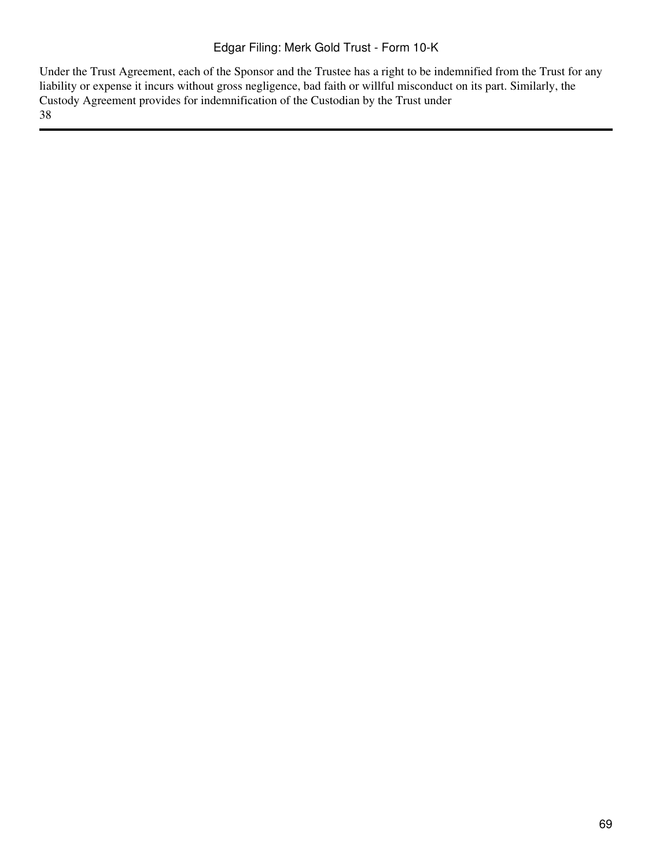Under the Trust Agreement, each of the Sponsor and the Trustee has a right to be indemnified from the Trust for any liability or expense it incurs without gross negligence, bad faith or willful misconduct on its part. Similarly, the Custody Agreement provides for indemnification of the Custodian by the Trust under 38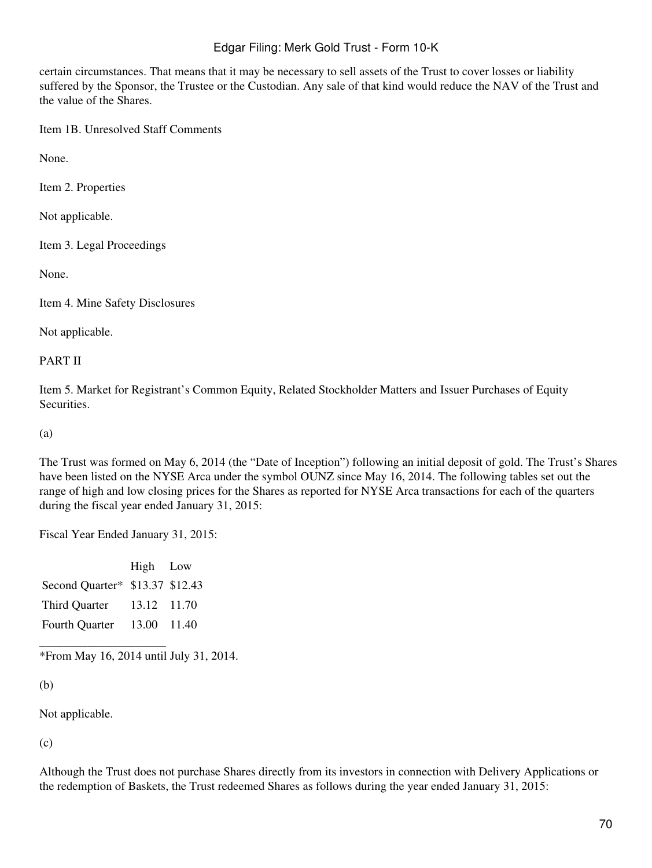certain circumstances. That means that it may be necessary to sell assets of the Trust to cover losses or liability suffered by the Sponsor, the Trustee or the Custodian. Any sale of that kind would reduce the NAV of the Trust and the value of the Shares.

Item 1B. Unresolved Staff Comments

None.

Item 2. Properties

Not applicable.

Item 3. Legal Proceedings

None.

Item 4. Mine Safety Disclosures

Not applicable.

#### PART II

Item 5. Market for Registrant's Common Equity, Related Stockholder Matters and Issuer Purchases of Equity Securities.

(a)

The Trust was formed on May 6, 2014 (the "Date of Inception") following an initial deposit of gold. The Trust's Shares have been listed on the NYSE Arca under the symbol OUNZ since May 16, 2014. The following tables set out the range of high and low closing prices for the Shares as reported for NYSE Arca transactions for each of the quarters during the fiscal year ended January 31, 2015:

Fiscal Year Ended January 31, 2015:

|                                 | High Low    |  |
|---------------------------------|-------------|--|
| Second Quarter* \$13.37 \$12.43 |             |  |
| Third Quarter                   | 13.12 11.70 |  |
| <b>Fourth Quarter</b>           | 13.00 11.40 |  |

\_\_\_\_\_\_\_\_\_\_\_\_\_\_\_\_\_\_\_\_\_ \*From May 16, 2014 until July 31, 2014.

(b)

Not applicable.

(c)

Although the Trust does not purchase Shares directly from its investors in connection with Delivery Applications or the redemption of Baskets, the Trust redeemed Shares as follows during the year ended January 31, 2015: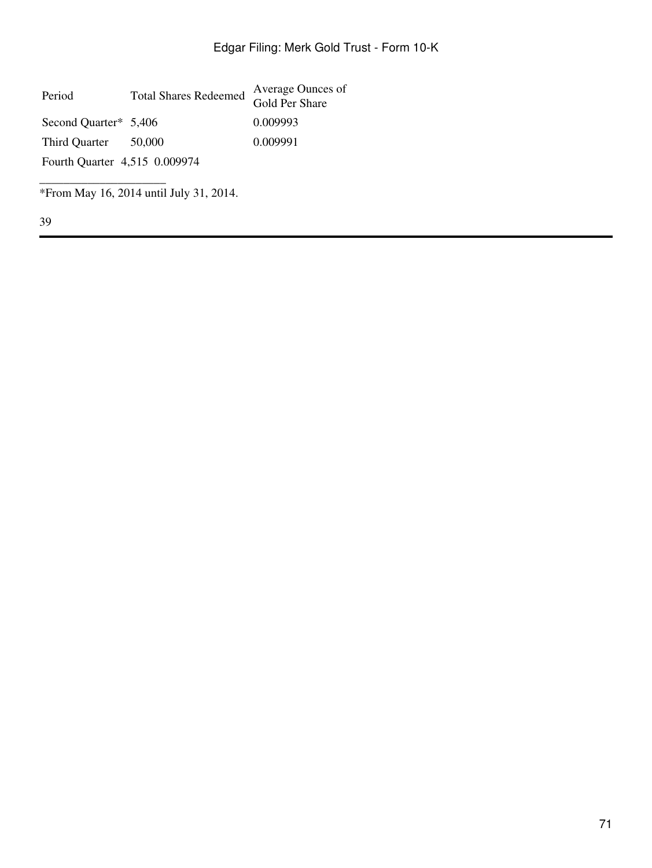| Period                        | <b>Total Shares Redeemed</b> | Average Ounces of<br>Gold Per Share |  |  |
|-------------------------------|------------------------------|-------------------------------------|--|--|
| Second Quarter* 5,406         |                              | 0.009993                            |  |  |
| Third Quarter                 | 50,000                       | 0.009991                            |  |  |
| Fourth Quarter 4,515 0.009974 |                              |                                     |  |  |
|                               |                              |                                     |  |  |

\*From May 16, 2014 until July 31, 2014.

39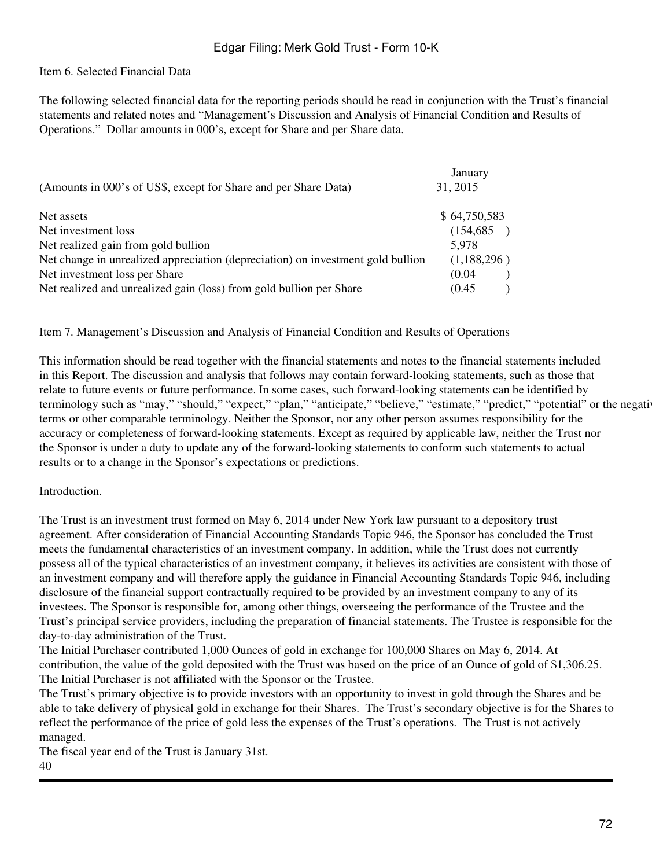#### Item 6. Selected Financial Data

The following selected financial data for the reporting periods should be read in conjunction with the Trust's financial statements and related notes and "Management's Discussion and Analysis of Financial Condition and Results of Operations." Dollar amounts in 000's, except for Share and per Share data.

|                                                                                 | January      |
|---------------------------------------------------------------------------------|--------------|
| (Amounts in 000's of US\$, except for Share and per Share Data)                 | 31, 2015     |
| Net assets                                                                      | \$64,750,583 |
| Net investment loss                                                             | (154,685)    |
| Net realized gain from gold bullion                                             | 5.978        |
| Net change in unrealized appreciation (depreciation) on investment gold bullion | (1,188,296)  |
| Net investment loss per Share                                                   | (0.04)       |
| Net realized and unrealized gain (loss) from gold bullion per Share             | (0.45)       |

Item 7. Management's Discussion and Analysis of Financial Condition and Results of Operations

This information should be read together with the financial statements and notes to the financial statements included in this Report. The discussion and analysis that follows may contain forward-looking statements, such as those that relate to future events or future performance. In some cases, such forward-looking statements can be identified by terminology such as "may," "should," "expect," "plan," "anticipate," "believe," "estimate," "predict," "potential" or the negative terms or other comparable terminology. Neither the Sponsor, nor any other person assumes responsibility for the accuracy or completeness of forward-looking statements. Except as required by applicable law, neither the Trust nor the Sponsor is under a duty to update any of the forward-looking statements to conform such statements to actual results or to a change in the Sponsor's expectations or predictions.

#### **Introduction**

The Trust is an investment trust formed on May 6, 2014 under New York law pursuant to a depository trust agreement. After consideration of Financial Accounting Standards Topic 946, the Sponsor has concluded the Trust meets the fundamental characteristics of an investment company. In addition, while the Trust does not currently possess all of the typical characteristics of an investment company, it believes its activities are consistent with those of an investment company and will therefore apply the guidance in Financial Accounting Standards Topic 946, including disclosure of the financial support contractually required to be provided by an investment company to any of its investees. The Sponsor is responsible for, among other things, overseeing the performance of the Trustee and the Trust's principal service providers, including the preparation of financial statements. The Trustee is responsible for the day-to-day administration of the Trust.

The Initial Purchaser contributed 1,000 Ounces of gold in exchange for 100,000 Shares on May 6, 2014. At contribution, the value of the gold deposited with the Trust was based on the price of an Ounce of gold of \$1,306.25. The Initial Purchaser is not affiliated with the Sponsor or the Trustee.

The Trust's primary objective is to provide investors with an opportunity to invest in gold through the Shares and be able to take delivery of physical gold in exchange for their Shares. The Trust's secondary objective is for the Shares to reflect the performance of the price of gold less the expenses of the Trust's operations. The Trust is not actively managed.

The fiscal year end of the Trust is January 31st.

40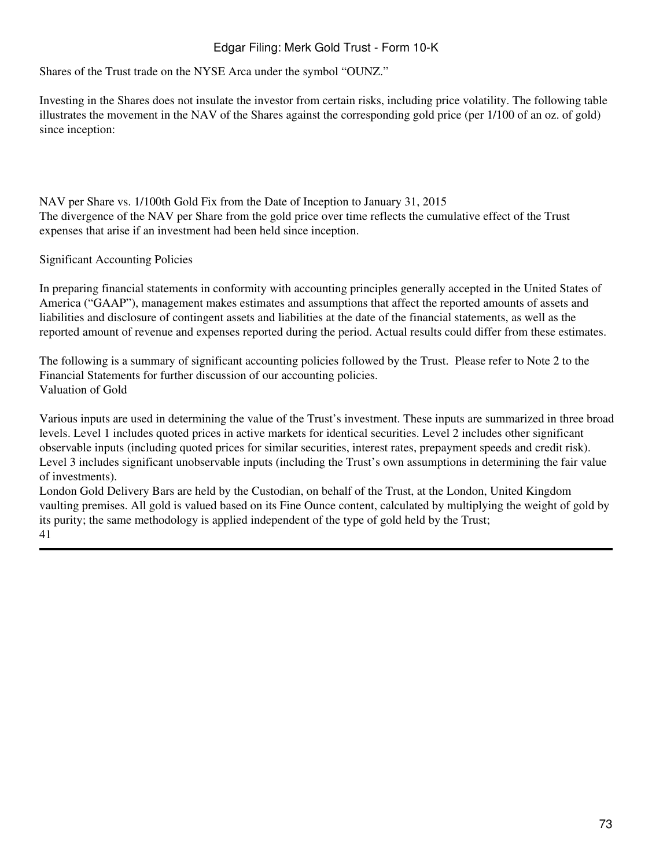Shares of the Trust trade on the NYSE Arca under the symbol "OUNZ."

Investing in the Shares does not insulate the investor from certain risks, including price volatility. The following table illustrates the movement in the NAV of the Shares against the corresponding gold price (per 1/100 of an oz. of gold) since inception:

NAV per Share vs. 1/100th Gold Fix from the Date of Inception to January 31, 2015 The divergence of the NAV per Share from the gold price over time reflects the cumulative effect of the Trust expenses that arise if an investment had been held since inception.

Significant Accounting Policies

In preparing financial statements in conformity with accounting principles generally accepted in the United States of America ("GAAP"), management makes estimates and assumptions that affect the reported amounts of assets and liabilities and disclosure of contingent assets and liabilities at the date of the financial statements, as well as the reported amount of revenue and expenses reported during the period. Actual results could differ from these estimates.

The following is a summary of significant accounting policies followed by the Trust. Please refer to Note 2 to the Financial Statements for further discussion of our accounting policies. Valuation of Gold

Various inputs are used in determining the value of the Trust's investment. These inputs are summarized in three broad levels. Level 1 includes quoted prices in active markets for identical securities. Level 2 includes other significant observable inputs (including quoted prices for similar securities, interest rates, prepayment speeds and credit risk). Level 3 includes significant unobservable inputs (including the Trust's own assumptions in determining the fair value of investments).

London Gold Delivery Bars are held by the Custodian, on behalf of the Trust, at the London, United Kingdom vaulting premises. All gold is valued based on its Fine Ounce content, calculated by multiplying the weight of gold by its purity; the same methodology is applied independent of the type of gold held by the Trust; 41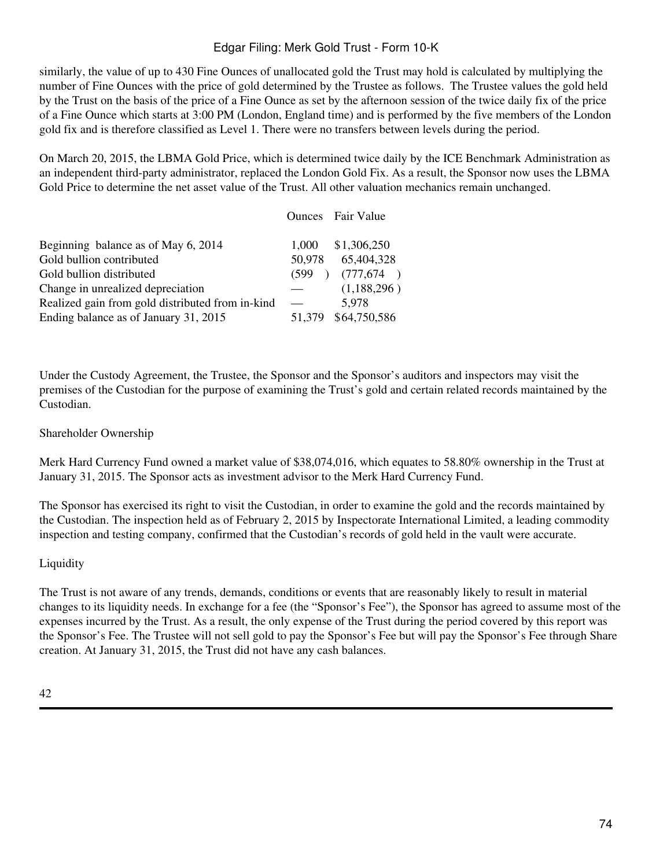similarly, the value of up to 430 Fine Ounces of unallocated gold the Trust may hold is calculated by multiplying the number of Fine Ounces with the price of gold determined by the Trustee as follows. The Trustee values the gold held by the Trust on the basis of the price of a Fine Ounce as set by the afternoon session of the twice daily fix of the price of a Fine Ounce which starts at 3:00 PM (London, England time) and is performed by the five members of the London gold fix and is therefore classified as Level 1. There were no transfers between levels during the period.

On March 20, 2015, the LBMA Gold Price, which is determined twice daily by the ICE Benchmark Administration as an independent third-party administrator, replaced the London Gold Fix. As a result, the Sponsor now uses the LBMA Gold Price to determine the net asset value of the Trust. All other valuation mechanics remain unchanged.

|                                                  |                        | <b>Ounces</b> Fair Value |
|--------------------------------------------------|------------------------|--------------------------|
| Beginning balance as of May 6, 2014              | 1.000                  | \$1,306,250              |
| Gold bullion contributed                         | 50,978                 | 65,404,328               |
| Gold bullion distributed                         | (599)<br>$\rightarrow$ | (777, 674)               |
| Change in unrealized depreciation                |                        | (1,188,296)              |
| Realized gain from gold distributed from in-kind |                        | 5,978                    |
| Ending balance as of January 31, 2015            | 51.379                 | \$64,750,586             |

Under the Custody Agreement, the Trustee, the Sponsor and the Sponsor's auditors and inspectors may visit the premises of the Custodian for the purpose of examining the Trust's gold and certain related records maintained by the Custodian.

#### Shareholder Ownership

Merk Hard Currency Fund owned a market value of \$38,074,016, which equates to 58.80% ownership in the Trust at January 31, 2015. The Sponsor acts as investment advisor to the Merk Hard Currency Fund.

The Sponsor has exercised its right to visit the Custodian, in order to examine the gold and the records maintained by the Custodian. The inspection held as of February 2, 2015 by Inspectorate International Limited, a leading commodity inspection and testing company, confirmed that the Custodian's records of gold held in the vault were accurate.

#### Liquidity

The Trust is not aware of any trends, demands, conditions or events that are reasonably likely to result in material changes to its liquidity needs. In exchange for a fee (the "Sponsor's Fee"), the Sponsor has agreed to assume most of the expenses incurred by the Trust. As a result, the only expense of the Trust during the period covered by this report was the Sponsor's Fee. The Trustee will not sell gold to pay the Sponsor's Fee but will pay the Sponsor's Fee through Share creation. At January 31, 2015, the Trust did not have any cash balances.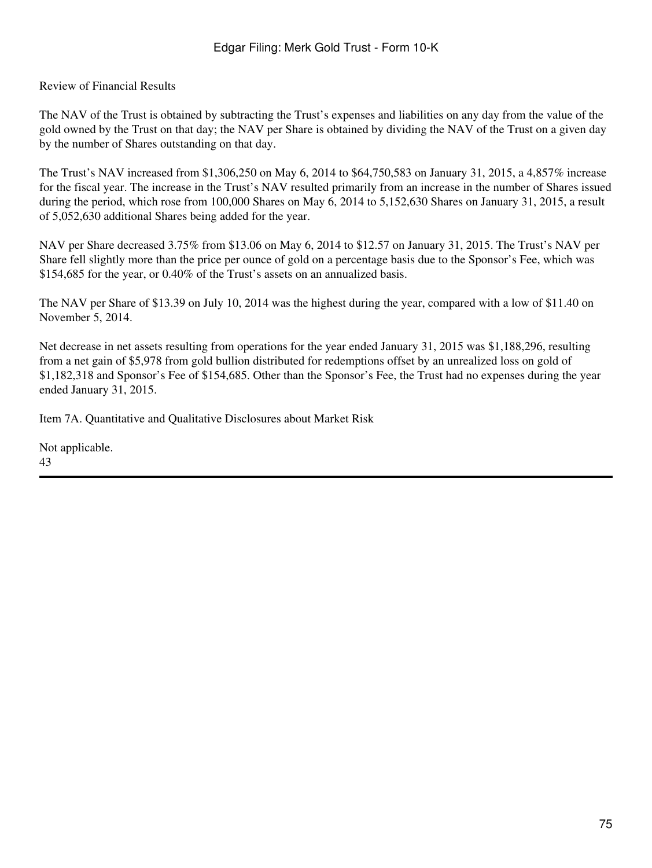Review of Financial Results

The NAV of the Trust is obtained by subtracting the Trust's expenses and liabilities on any day from the value of the gold owned by the Trust on that day; the NAV per Share is obtained by dividing the NAV of the Trust on a given day by the number of Shares outstanding on that day.

The Trust's NAV increased from \$1,306,250 on May 6, 2014 to \$64,750,583 on January 31, 2015, a 4,857% increase for the fiscal year. The increase in the Trust's NAV resulted primarily from an increase in the number of Shares issued during the period, which rose from 100,000 Shares on May 6, 2014 to 5,152,630 Shares on January 31, 2015, a result of 5,052,630 additional Shares being added for the year.

NAV per Share decreased 3.75% from \$13.06 on May 6, 2014 to \$12.57 on January 31, 2015. The Trust's NAV per Share fell slightly more than the price per ounce of gold on a percentage basis due to the Sponsor's Fee, which was \$154,685 for the year, or 0.40% of the Trust's assets on an annualized basis.

The NAV per Share of \$13.39 on July 10, 2014 was the highest during the year, compared with a low of \$11.40 on November 5, 2014.

Net decrease in net assets resulting from operations for the year ended January 31, 2015 was \$1,188,296, resulting from a net gain of \$5,978 from gold bullion distributed for redemptions offset by an unrealized loss on gold of \$1,182,318 and Sponsor's Fee of \$154,685. Other than the Sponsor's Fee, the Trust had no expenses during the year ended January 31, 2015.

Item 7A. Quantitative and Qualitative Disclosures about Market Risk

Not applicable. 43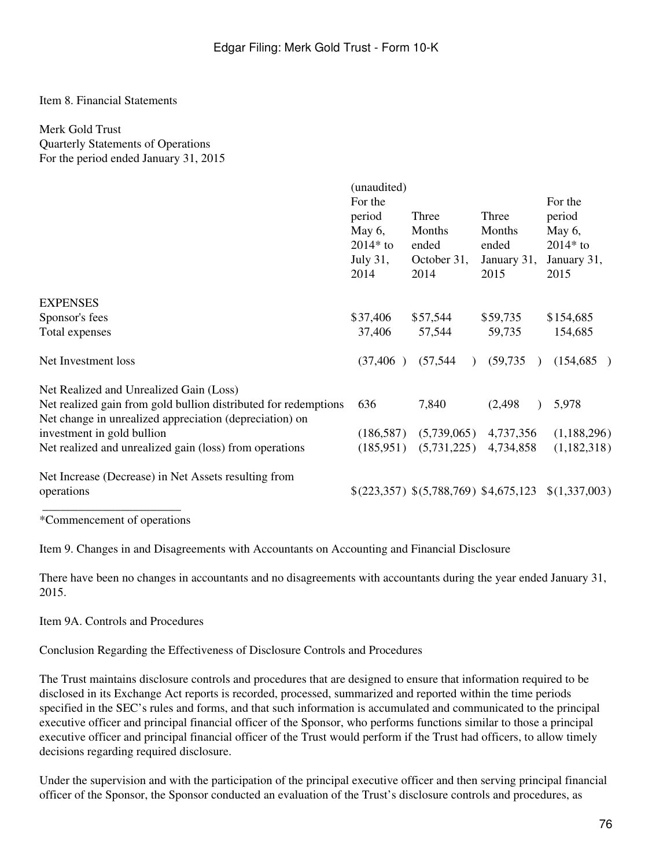#### Item 8. Financial Statements

### Merk Gold Trust

Quarterly Statements of Operations For the period ended January 31, 2015

|                                                                                                                            | (unaudited)<br>For the<br>period<br>May $6$ ,<br>$2014*$ to<br>July $31$ , | Three<br>Months<br>ended<br>October 31, | Three<br>Months<br>ended<br>January 31, | For the<br>period<br>May $6$ ,<br>$2014*$ to<br>January 31, |
|----------------------------------------------------------------------------------------------------------------------------|----------------------------------------------------------------------------|-----------------------------------------|-----------------------------------------|-------------------------------------------------------------|
|                                                                                                                            | 2014                                                                       | 2014                                    | 2015                                    | 2015                                                        |
| <b>EXPENSES</b>                                                                                                            |                                                                            |                                         |                                         |                                                             |
| Sponsor's fees                                                                                                             | \$37,406                                                                   | \$57,544                                | \$59,735                                | \$154,685                                                   |
| Total expenses                                                                                                             | 37,406                                                                     | 57,544                                  | 59,735                                  | 154,685                                                     |
| Net Investment loss                                                                                                        | (37, 406)                                                                  | (57, 544)<br>$\mathcal{L}$              | (59, 735)                               | (154, 685)                                                  |
| Net Realized and Unrealized Gain (Loss)                                                                                    |                                                                            |                                         |                                         |                                                             |
| Net realized gain from gold bullion distributed for redemptions<br>Net change in unrealized appreciation (depreciation) on | 636                                                                        | 7,840                                   | (2, 498)                                | 5,978                                                       |
| investment in gold bullion                                                                                                 | (186, 587)                                                                 | (5,739,065)                             | 4,737,356                               | (1,188,296)                                                 |
| Net realized and unrealized gain (loss) from operations                                                                    | (185, 951)                                                                 | (5,731,225)                             | 4,734,858                               | (1,182,318)                                                 |
| Net Increase (Decrease) in Net Assets resulting from                                                                       |                                                                            |                                         |                                         |                                                             |
| operations                                                                                                                 |                                                                            |                                         |                                         | $$(223,357) $(5,788,769) $4,675,123 \ $(1,337,003)$         |
|                                                                                                                            |                                                                            |                                         |                                         |                                                             |

\*Commencement of operations

Item 9. Changes in and Disagreements with Accountants on Accounting and Financial Disclosure

There have been no changes in accountants and no disagreements with accountants during the year ended January 31, 2015.

Item 9A. Controls and Procedures

Conclusion Regarding the Effectiveness of Disclosure Controls and Procedures

The Trust maintains disclosure controls and procedures that are designed to ensure that information required to be disclosed in its Exchange Act reports is recorded, processed, summarized and reported within the time periods specified in the SEC's rules and forms, and that such information is accumulated and communicated to the principal executive officer and principal financial officer of the Sponsor, who performs functions similar to those a principal executive officer and principal financial officer of the Trust would perform if the Trust had officers, to allow timely decisions regarding required disclosure.

Under the supervision and with the participation of the principal executive officer and then serving principal financial officer of the Sponsor, the Sponsor conducted an evaluation of the Trust's disclosure controls and procedures, as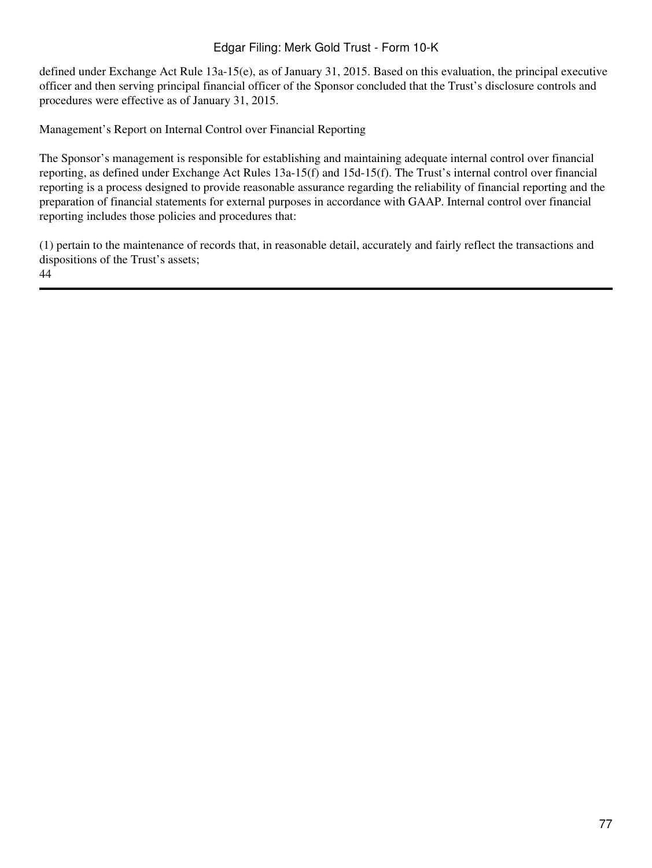defined under Exchange Act Rule 13a-15(e), as of January 31, 2015. Based on this evaluation, the principal executive officer and then serving principal financial officer of the Sponsor concluded that the Trust's disclosure controls and procedures were effective as of January 31, 2015.

Management's Report on Internal Control over Financial Reporting

The Sponsor's management is responsible for establishing and maintaining adequate internal control over financial reporting, as defined under Exchange Act Rules 13a-15(f) and 15d-15(f). The Trust's internal control over financial reporting is a process designed to provide reasonable assurance regarding the reliability of financial reporting and the preparation of financial statements for external purposes in accordance with GAAP. Internal control over financial reporting includes those policies and procedures that:

(1) pertain to the maintenance of records that, in reasonable detail, accurately and fairly reflect the transactions and dispositions of the Trust's assets; 44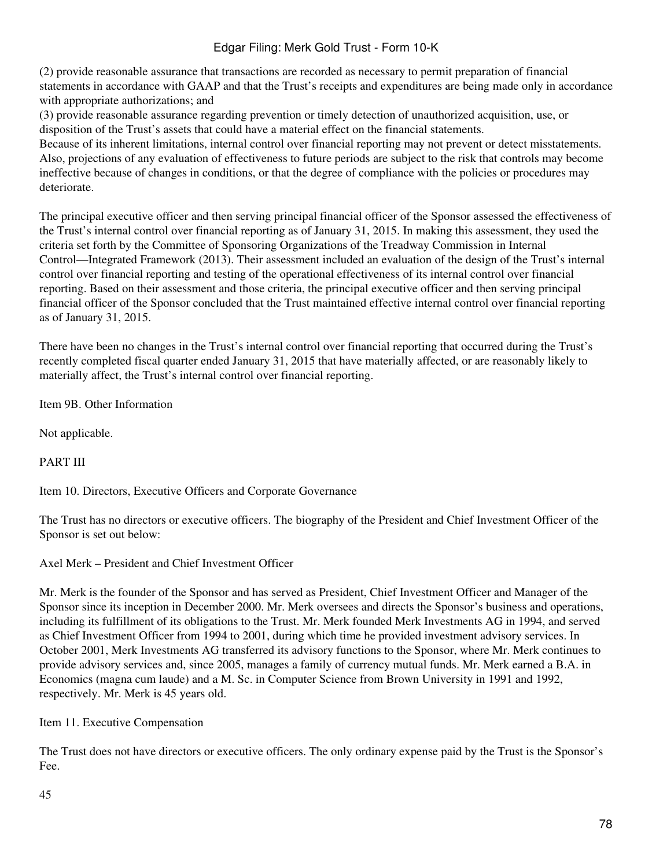(2) provide reasonable assurance that transactions are recorded as necessary to permit preparation of financial statements in accordance with GAAP and that the Trust's receipts and expenditures are being made only in accordance with appropriate authorizations; and

(3) provide reasonable assurance regarding prevention or timely detection of unauthorized acquisition, use, or disposition of the Trust's assets that could have a material effect on the financial statements.

Because of its inherent limitations, internal control over financial reporting may not prevent or detect misstatements. Also, projections of any evaluation of effectiveness to future periods are subject to the risk that controls may become ineffective because of changes in conditions, or that the degree of compliance with the policies or procedures may deteriorate.

The principal executive officer and then serving principal financial officer of the Sponsor assessed the effectiveness of the Trust's internal control over financial reporting as of January 31, 2015. In making this assessment, they used the criteria set forth by the Committee of Sponsoring Organizations of the Treadway Commission in Internal Control—Integrated Framework (2013). Their assessment included an evaluation of the design of the Trust's internal control over financial reporting and testing of the operational effectiveness of its internal control over financial reporting. Based on their assessment and those criteria, the principal executive officer and then serving principal financial officer of the Sponsor concluded that the Trust maintained effective internal control over financial reporting as of January 31, 2015.

There have been no changes in the Trust's internal control over financial reporting that occurred during the Trust's recently completed fiscal quarter ended January 31, 2015 that have materially affected, or are reasonably likely to materially affect, the Trust's internal control over financial reporting.

Item 9B. Other Information

Not applicable.

PART III

Item 10. Directors, Executive Officers and Corporate Governance

The Trust has no directors or executive officers. The biography of the President and Chief Investment Officer of the Sponsor is set out below:

Axel Merk – President and Chief Investment Officer

Mr. Merk is the founder of the Sponsor and has served as President, Chief Investment Officer and Manager of the Sponsor since its inception in December 2000. Mr. Merk oversees and directs the Sponsor's business and operations, including its fulfillment of its obligations to the Trust. Mr. Merk founded Merk Investments AG in 1994, and served as Chief Investment Officer from 1994 to 2001, during which time he provided investment advisory services. In October 2001, Merk Investments AG transferred its advisory functions to the Sponsor, where Mr. Merk continues to provide advisory services and, since 2005, manages a family of currency mutual funds. Mr. Merk earned a B.A. in Economics (magna cum laude) and a M. Sc. in Computer Science from Brown University in 1991 and 1992, respectively. Mr. Merk is 45 years old.

Item 11. Executive Compensation

The Trust does not have directors or executive officers. The only ordinary expense paid by the Trust is the Sponsor's Fee.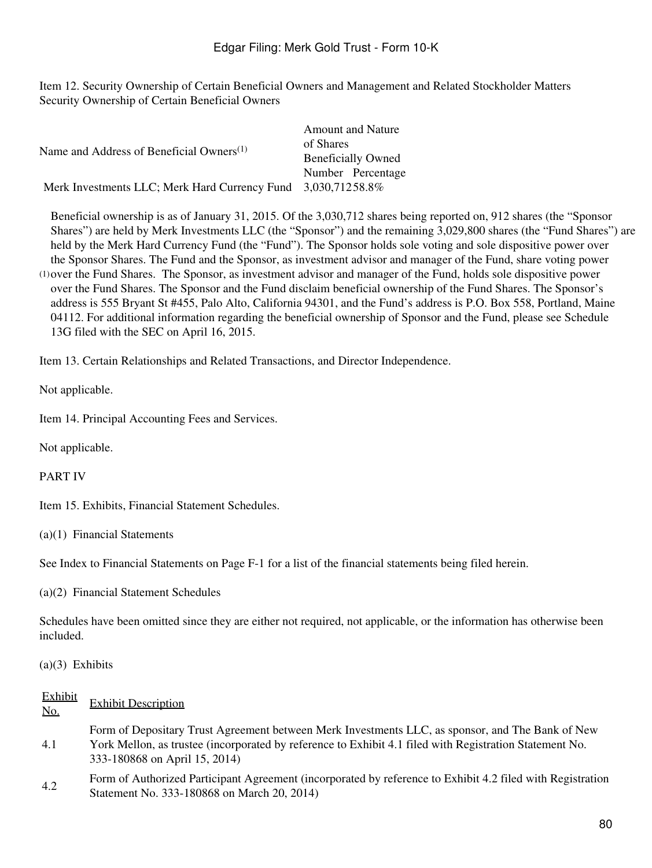Item 12. Security Ownership of Certain Beneficial Owners and Management and Related Stockholder Matters Security Ownership of Certain Beneficial Owners

|                                                              | <b>Amount and Nature</b>  |
|--------------------------------------------------------------|---------------------------|
|                                                              | of Shares                 |
| Name and Address of Beneficial Owners <sup>(1)</sup>         | <b>Beneficially Owned</b> |
|                                                              | Number Percentage         |
| Merk Investments LLC; Merk Hard Currency Fund 3,030,71258.8% |                           |

(1) over the Fund Shares. The Sponsor, as investment advisor and manager of the Fund, holds sole dispositive power Beneficial ownership is as of January 31, 2015. Of the 3,030,712 shares being reported on, 912 shares (the "Sponsor Shares") are held by Merk Investments LLC (the "Sponsor") and the remaining 3,029,800 shares (the "Fund Shares") are held by the Merk Hard Currency Fund (the "Fund"). The Sponsor holds sole voting and sole dispositive power over the Sponsor Shares. The Fund and the Sponsor, as investment advisor and manager of the Fund, share voting power over the Fund Shares. The Sponsor and the Fund disclaim beneficial ownership of the Fund Shares. The Sponsor's address is 555 Bryant St #455, Palo Alto, California 94301, and the Fund's address is P.O. Box 558, Portland, Maine 04112. For additional information regarding the beneficial ownership of Sponsor and the Fund, please see Schedule 13G filed with the SEC on April 16, 2015.

Item 13. Certain Relationships and Related Transactions, and Director Independence.

Not applicable.

Item 14. Principal Accounting Fees and Services.

Not applicable.

PART IV

Item 15. Exhibits, Financial Statement Schedules.

(a)(1) Financial Statements

See Index to Financial Statements on Page F-1 for a list of the financial statements being filed herein.

(a)(2) Financial Statement Schedules

Schedules have been omitted since they are either not required, not applicable, or the information has otherwise been included.

(a)(3) Exhibits

Exhibit

| <b>EXHIOIL</b><br>No. | <b>Exhibit Description</b>                                                                                                                                                                                                                   |
|-----------------------|----------------------------------------------------------------------------------------------------------------------------------------------------------------------------------------------------------------------------------------------|
| 4.1                   | Form of Depositary Trust Agreement between Merk Investments LLC, as sponsor, and The Bank of New<br>York Mellon, as trustee (incorporated by reference to Exhibit 4.1 filed with Registration Statement No.<br>333-180868 on April 15, 2014) |
| 4.2                   | Form of Authorized Participant Agreement (incorporated by reference to Exhibit 4.2 filed with Registration<br>Statement No. 333-180868 on March 20, 2014)                                                                                    |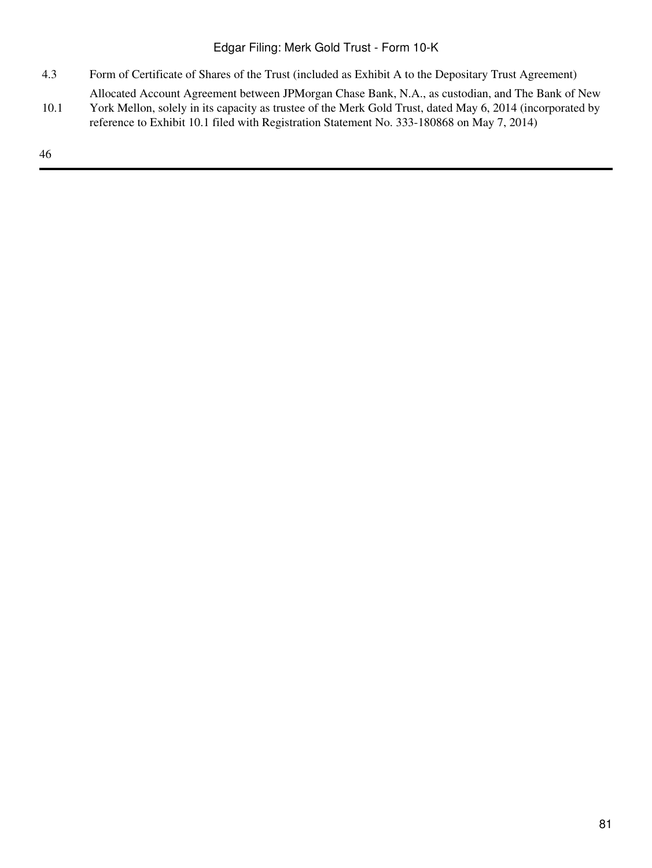- 4.3 Form of Certificate of Shares of the Trust (included as Exhibit A to the Depositary Trust Agreement)
- 10.1 Allocated Account Agreement between JPMorgan Chase Bank, N.A., as custodian, and The Bank of New York Mellon, solely in its capacity as trustee of the Merk Gold Trust, dated May 6, 2014 (incorporated by reference to Exhibit 10.1 filed with Registration Statement No. 333-180868 on May 7, 2014)

46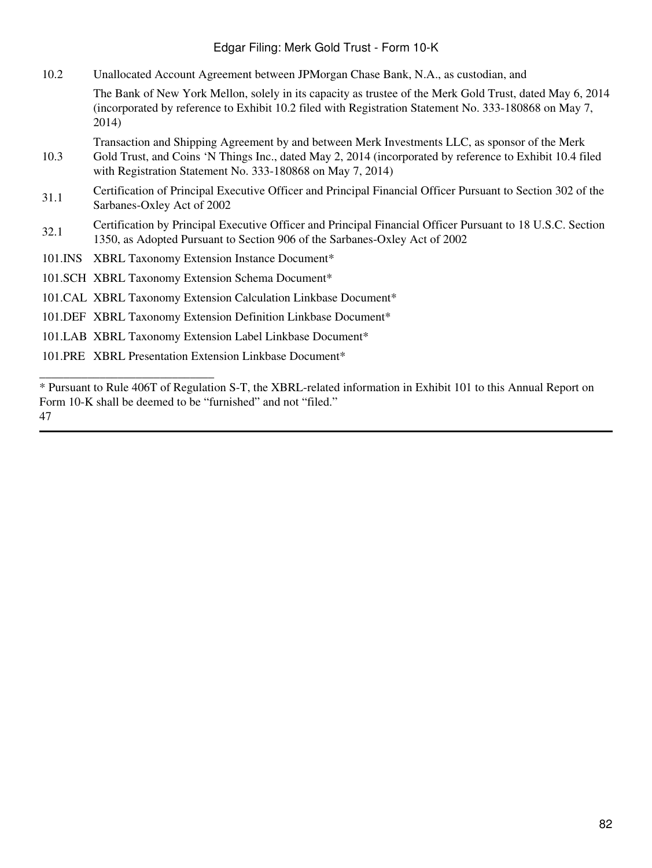10.2 Unallocated Account Agreement between JPMorgan Chase Bank, N.A., as custodian, and

The Bank of New York Mellon, solely in its capacity as trustee of the Merk Gold Trust, dated May 6, 2014 (incorporated by reference to Exhibit 10.2 filed with Registration Statement No. 333-180868 on May 7, 2014)

- 10.3 Transaction and Shipping Agreement by and between Merk Investments LLC, as sponsor of the Merk Gold Trust, and Coins 'N Things Inc., dated May 2, 2014 (incorporated by reference to Exhibit 10.4 filed with Registration Statement No. 333-180868 on May 7, 2014)
- 31.1 Certification of Principal Executive Officer and Principal Financial Officer Pursuant to Section 302 of the Sarbanes-Oxley Act of 2002
- 32.1 Certification by Principal Executive Officer and Principal Financial Officer Pursuant to 18 U.S.C. Section 1350, as Adopted Pursuant to Section 906 of the Sarbanes-Oxley Act of 2002
- 101.INS XBRL Taxonomy Extension Instance Document\*
- 101.SCH XBRL Taxonomy Extension Schema Document\*
- 101.CAL XBRL Taxonomy Extension Calculation Linkbase Document\*
- 101.DEF XBRL Taxonomy Extension Definition Linkbase Document\*
- 101.LAB XBRL Taxonomy Extension Label Linkbase Document\*
- 101.PRE XBRL Presentation Extension Linkbase Document\*

\_\_\_\_\_\_\_\_\_\_\_\_\_\_\_\_\_\_\_\_\_\_\_\_\_\_\_\_\_

\* Pursuant to Rule 406T of Regulation S-T, the XBRL-related information in Exhibit 101 to this Annual Report on Form 10-K shall be deemed to be "furnished" and not "filed." 47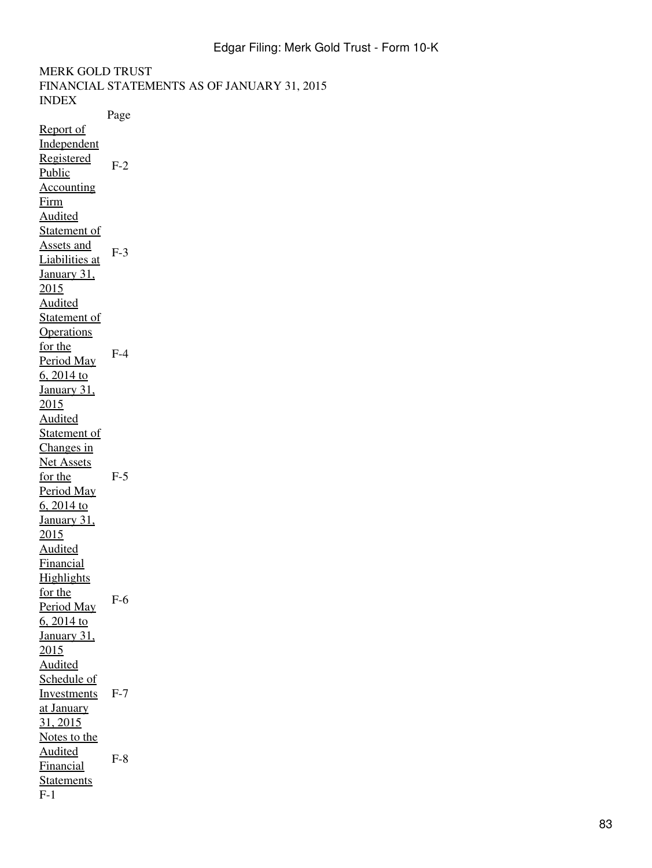MERK GOLD TRUST FINANCIAL STATEMENTS AS OF JANUARY 31, 2015 INDEX Page Report of Independent Registered Public Accounting Firm  $F-2$ Audited Statement of Assets and Liabilities at January 31, 2015 F-3 Audited Statement of **Operations** for the Period May 6, 2014 to January 31, 2015 F-4 Audited Statement of Changes in Net Assets for the Period May 6, 2014 to January 31, 2015 F-5 Audited Financial **Highlights** for the Period May 6, 2014 to January 31, 2015 F-6 Audited Schedule of **Investments** at January 31, 2015 F-7 Notes to the Audited **Financial Statements** F-8 F-1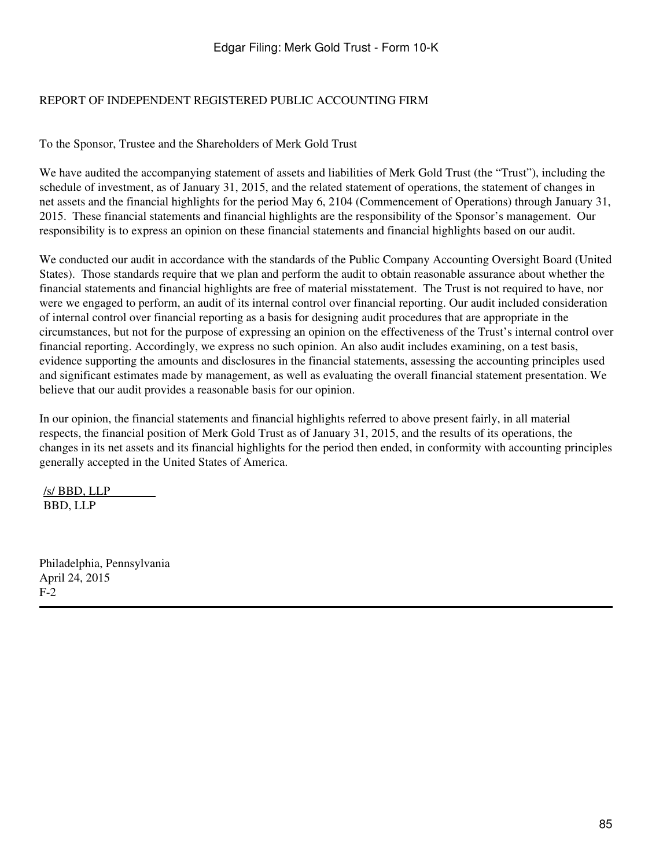## REPORT OF INDEPENDENT REGISTERED PUBLIC ACCOUNTING FIRM

To the Sponsor, Trustee and the Shareholders of Merk Gold Trust

We have audited the accompanying statement of assets and liabilities of Merk Gold Trust (the "Trust"), including the schedule of investment, as of January 31, 2015, and the related statement of operations, the statement of changes in net assets and the financial highlights for the period May 6, 2104 (Commencement of Operations) through January 31, 2015. These financial statements and financial highlights are the responsibility of the Sponsor's management. Our responsibility is to express an opinion on these financial statements and financial highlights based on our audit.

We conducted our audit in accordance with the standards of the Public Company Accounting Oversight Board (United States). Those standards require that we plan and perform the audit to obtain reasonable assurance about whether the financial statements and financial highlights are free of material misstatement. The Trust is not required to have, nor were we engaged to perform, an audit of its internal control over financial reporting. Our audit included consideration of internal control over financial reporting as a basis for designing audit procedures that are appropriate in the circumstances, but not for the purpose of expressing an opinion on the effectiveness of the Trust's internal control over financial reporting. Accordingly, we express no such opinion. An also audit includes examining, on a test basis, evidence supporting the amounts and disclosures in the financial statements, assessing the accounting principles used and significant estimates made by management, as well as evaluating the overall financial statement presentation. We believe that our audit provides a reasonable basis for our opinion.

In our opinion, the financial statements and financial highlights referred to above present fairly, in all material respects, the financial position of Merk Gold Trust as of January 31, 2015, and the results of its operations, the changes in its net assets and its financial highlights for the period then ended, in conformity with accounting principles generally accepted in the United States of America.

/s/ BBD, LLP BBD, LLP

Philadelphia, Pennsylvania April 24, 2015 F-2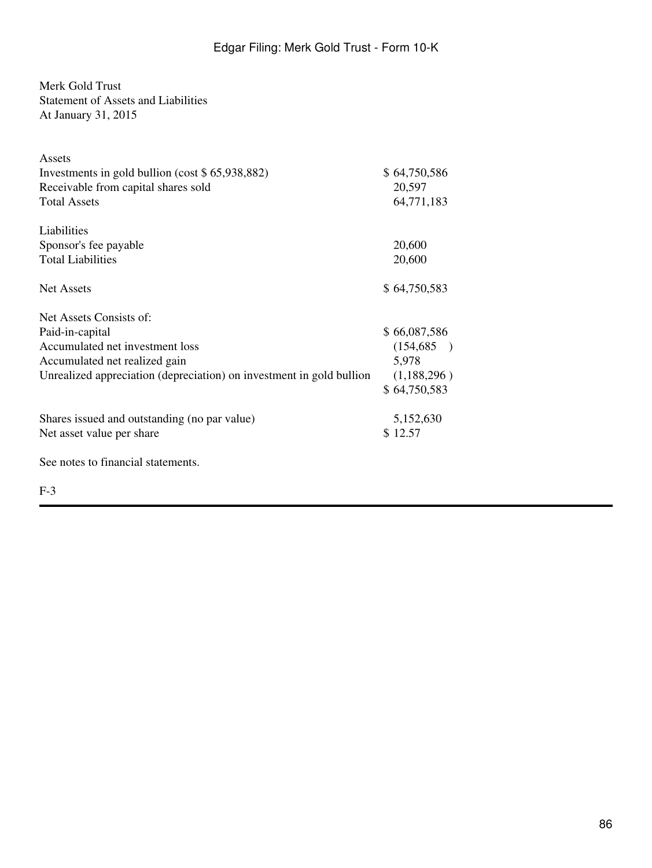# Merk Gold Trust

Statement of Assets and Liabilities

At January 31, 2015

| Assets                                                               |              |
|----------------------------------------------------------------------|--------------|
| Investments in gold bullion (cost $$65,938,882)$ )                   | \$64,750,586 |
| Receivable from capital shares sold                                  | 20,597       |
| <b>Total Assets</b>                                                  | 64,771,183   |
| Liabilities                                                          |              |
| Sponsor's fee payable                                                | 20,600       |
| <b>Total Liabilities</b>                                             | 20,600       |
| <b>Net Assets</b>                                                    | \$64,750,583 |
| Net Assets Consists of:                                              |              |
| Paid-in-capital                                                      | \$66,087,586 |
| Accumulated net investment loss                                      | (154, 685)   |
| Accumulated net realized gain                                        | 5,978        |
| Unrealized appreciation (depreciation) on investment in gold bullion | (1,188,296)  |
|                                                                      | \$64,750,583 |
| Shares issued and outstanding (no par value)                         | 5,152,630    |
| Net asset value per share                                            | \$12.57      |
| See notes to financial statements.                                   |              |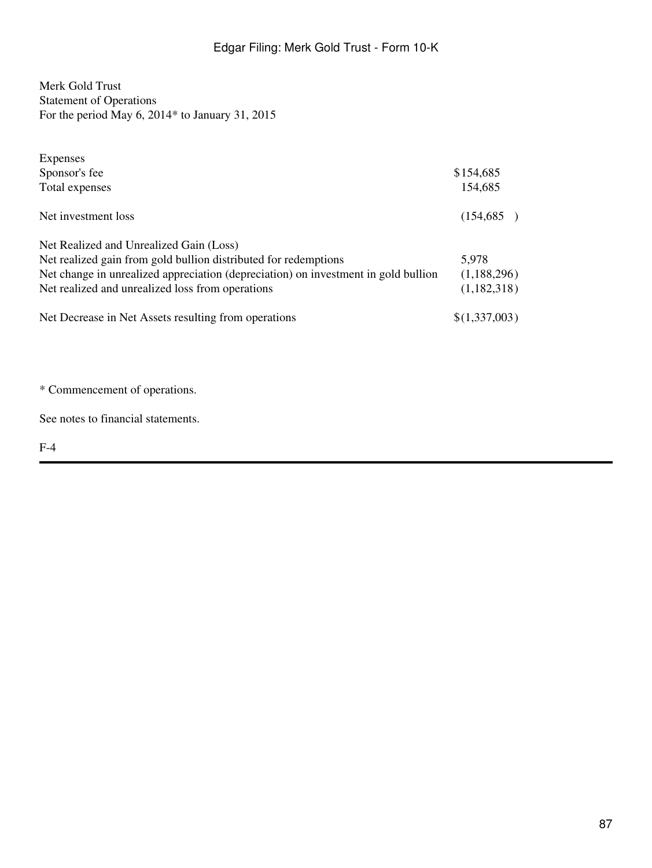Merk Gold Trust Statement of Operations For the period May 6, 2014\* to January 31, 2015

| Expenses                                                                           |               |
|------------------------------------------------------------------------------------|---------------|
| Sponsor's fee                                                                      | \$154,685     |
| Total expenses                                                                     | 154,685       |
| Net investment loss                                                                | (154, 685)    |
| Net Realized and Unrealized Gain (Loss)                                            |               |
| Net realized gain from gold bullion distributed for redemptions                    | 5,978         |
| Net change in unrealized appreciation (depreciation) on investment in gold bullion | (1,188,296)   |
| Net realized and unrealized loss from operations                                   | (1,182,318)   |
| Net Decrease in Net Assets resulting from operations                               | \$(1,337,003) |

\* Commencement of operations.

See notes to financial statements.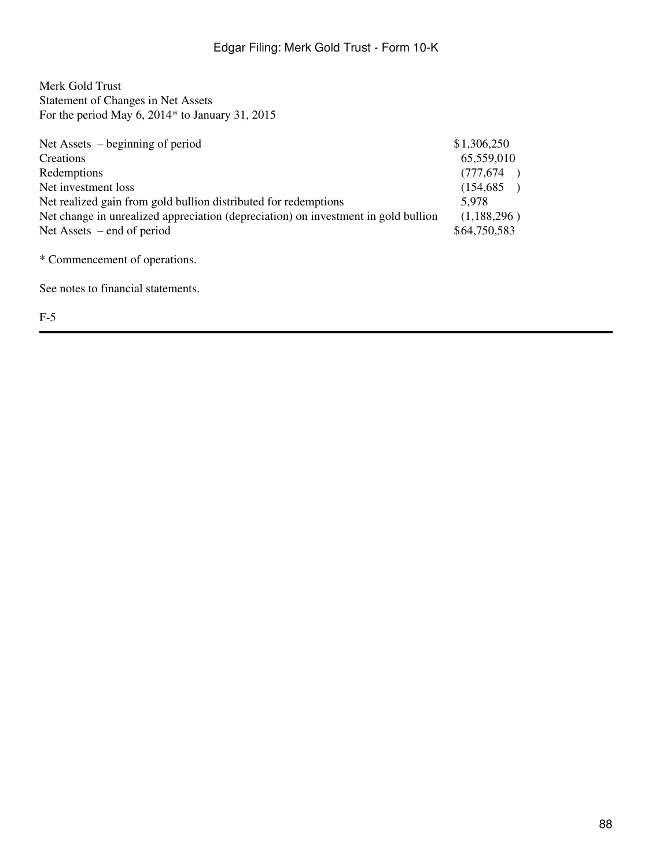Merk Gold Trust Statement of Changes in Net Assets For the period May 6, 2014\* to January 31, 2015

| Net Assets $-$ beginning of period                                                 | \$1,306,250  |
|------------------------------------------------------------------------------------|--------------|
| Creations                                                                          | 65,559,010   |
| Redemptions                                                                        | (777, 674)   |
| Net investment loss                                                                | (154, 685)   |
| Net realized gain from gold bullion distributed for redemptions                    | 5.978        |
| Net change in unrealized appreciation (depreciation) on investment in gold bullion | (1,188,296)  |
| Net Assets $-$ end of period                                                       | \$64,750,583 |

\* Commencement of operations.

See notes to financial statements.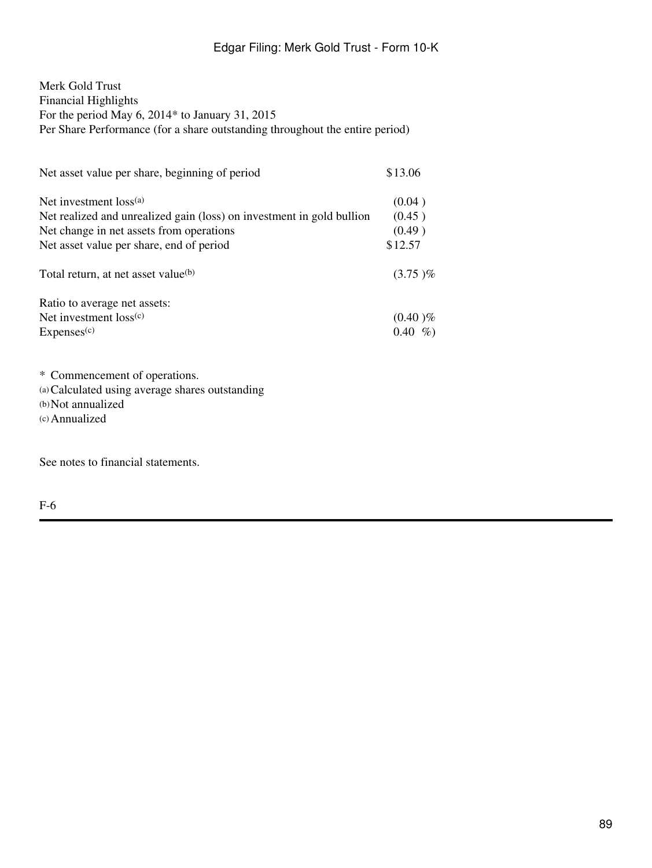Merk Gold Trust Financial Highlights For the period May 6, 2014\* to January 31, 2015 Per Share Performance (for a share outstanding throughout the entire period)

| Net asset value per share, beginning of period                        | \$13.06      |
|-----------------------------------------------------------------------|--------------|
| Net investment loss <sup>(a)</sup>                                    | (0.04)       |
| Net realized and unrealized gain (loss) on investment in gold bullion | (0.45)       |
| Net change in net assets from operations                              | (0.49)       |
| Net asset value per share, end of period                              | \$12.57      |
| Total return, at net asset value <sup>(b)</sup>                       | $(3.75)\%$   |
| Ratio to average net assets:                                          |              |
| Net investment $loss^{(c)}$                                           | $(0.40)$ %   |
| Express <sup>(c)</sup>                                                | 0.40<br>$\%$ |

\* Commencement of operations.

(a)Calculated using average shares outstanding

(b)Not annualized (c)Annualized

See notes to financial statements.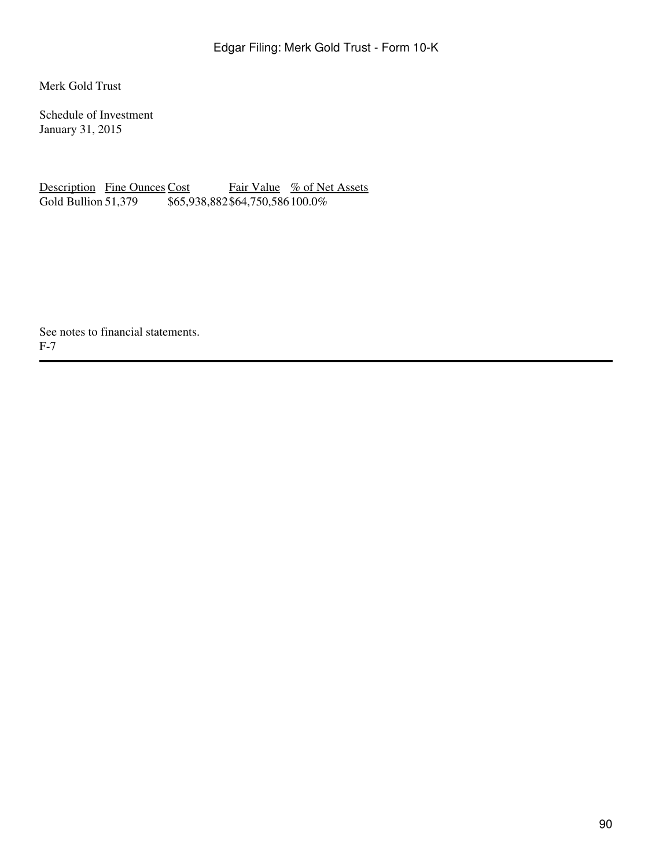Merk Gold Trust

Schedule of Investment January 31, 2015

Description Fine Ounces Cost Fair Value % of Net Assets<br>Gold Bullion 51,379 \$65,938,882\$64,750,586100.0%  $\frac{1}{65,938,882\,564,750,586\,100.0\%}$ 

See notes to financial statements. F-7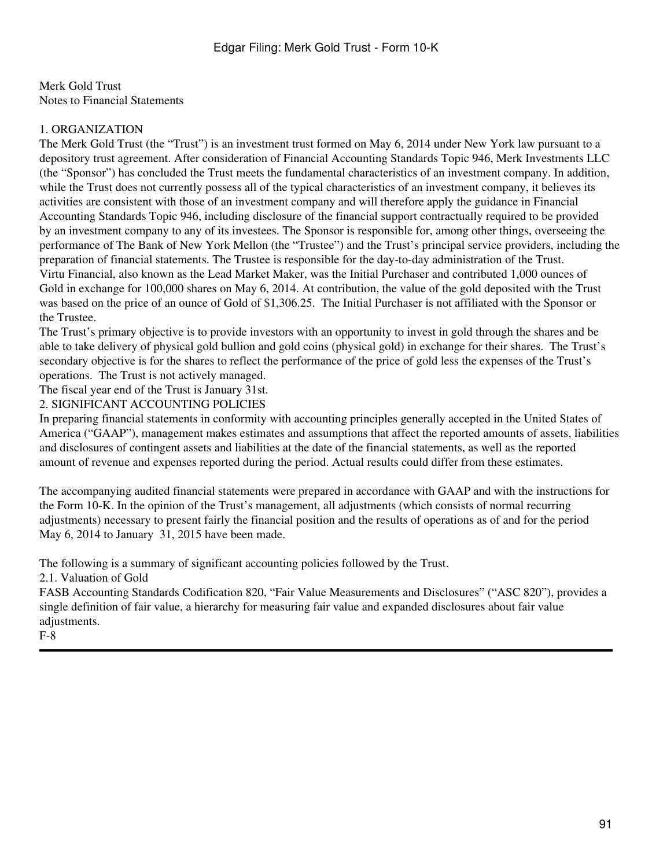Merk Gold Trust Notes to Financial Statements

### 1. ORGANIZATION

The Merk Gold Trust (the "Trust") is an investment trust formed on May 6, 2014 under New York law pursuant to a depository trust agreement. After consideration of Financial Accounting Standards Topic 946, Merk Investments LLC (the "Sponsor") has concluded the Trust meets the fundamental characteristics of an investment company. In addition, while the Trust does not currently possess all of the typical characteristics of an investment company, it believes its activities are consistent with those of an investment company and will therefore apply the guidance in Financial Accounting Standards Topic 946, including disclosure of the financial support contractually required to be provided by an investment company to any of its investees. The Sponsor is responsible for, among other things, overseeing the performance of The Bank of New York Mellon (the "Trustee") and the Trust's principal service providers, including the preparation of financial statements. The Trustee is responsible for the day-to-day administration of the Trust. Virtu Financial, also known as the Lead Market Maker, was the Initial Purchaser and contributed 1,000 ounces of Gold in exchange for 100,000 shares on May 6, 2014. At contribution, the value of the gold deposited with the Trust was based on the price of an ounce of Gold of \$1,306.25. The Initial Purchaser is not affiliated with the Sponsor or the Trustee.

The Trust's primary objective is to provide investors with an opportunity to invest in gold through the shares and be able to take delivery of physical gold bullion and gold coins (physical gold) in exchange for their shares. The Trust's secondary objective is for the shares to reflect the performance of the price of gold less the expenses of the Trust's operations. The Trust is not actively managed.

The fiscal year end of the Trust is January 31st.

2. SIGNIFICANT ACCOUNTING POLICIES

In preparing financial statements in conformity with accounting principles generally accepted in the United States of America ("GAAP"), management makes estimates and assumptions that affect the reported amounts of assets, liabilities and disclosures of contingent assets and liabilities at the date of the financial statements, as well as the reported amount of revenue and expenses reported during the period. Actual results could differ from these estimates.

The accompanying audited financial statements were prepared in accordance with GAAP and with the instructions for the Form 10-K. In the opinion of the Trust's management, all adjustments (which consists of normal recurring adjustments) necessary to present fairly the financial position and the results of operations as of and for the period May 6, 2014 to January 31, 2015 have been made.

The following is a summary of significant accounting policies followed by the Trust.

2.1. Valuation of Gold

FASB Accounting Standards Codification 820, "Fair Value Measurements and Disclosures" ("ASC 820"), provides a single definition of fair value, a hierarchy for measuring fair value and expanded disclosures about fair value adjustments.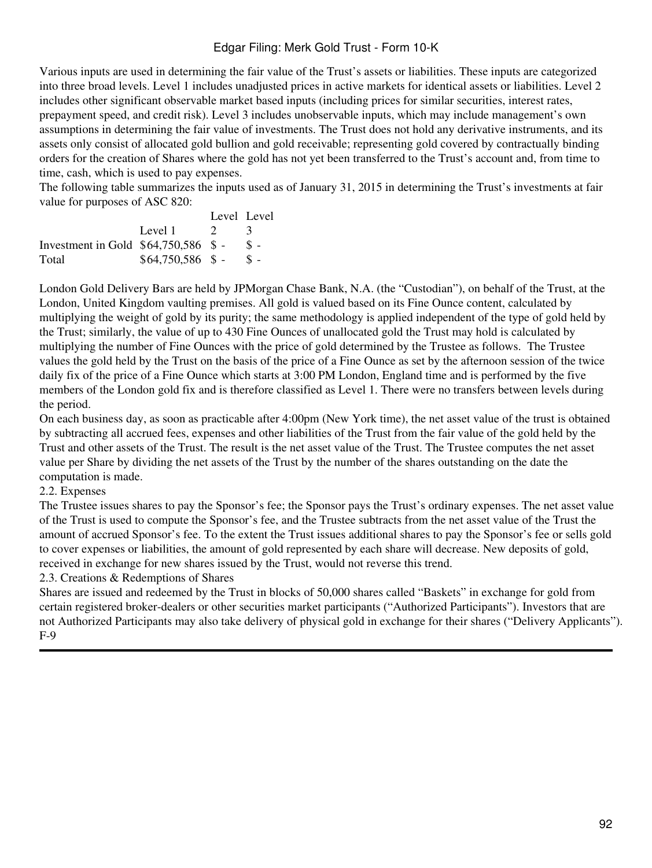Various inputs are used in determining the fair value of the Trust's assets or liabilities. These inputs are categorized into three broad levels. Level 1 includes unadjusted prices in active markets for identical assets or liabilities. Level 2 includes other significant observable market based inputs (including prices for similar securities, interest rates, prepayment speed, and credit risk). Level 3 includes unobservable inputs, which may include management's own assumptions in determining the fair value of investments. The Trust does not hold any derivative instruments, and its assets only consist of allocated gold bullion and gold receivable; representing gold covered by contractually binding orders for the creation of Shares where the gold has not yet been transferred to the Trust's account and, from time to time, cash, which is used to pay expenses.

The following table summarizes the inputs used as of January 31, 2015 in determining the Trust's investments at fair value for purposes of ASC 820:

|                                       |                    | Level Level   |                 |
|---------------------------------------|--------------------|---------------|-----------------|
|                                       | Level 1            | $\mathcal{D}$ |                 |
| Investment in Gold $$64,750,586$ \$ - |                    |               | $S -$           |
| Total                                 | $$64,750,586$ \$ - |               | $\mathcal{S}$ – |

London Gold Delivery Bars are held by JPMorgan Chase Bank, N.A. (the "Custodian"), on behalf of the Trust, at the London, United Kingdom vaulting premises. All gold is valued based on its Fine Ounce content, calculated by multiplying the weight of gold by its purity; the same methodology is applied independent of the type of gold held by the Trust; similarly, the value of up to 430 Fine Ounces of unallocated gold the Trust may hold is calculated by multiplying the number of Fine Ounces with the price of gold determined by the Trustee as follows. The Trustee values the gold held by the Trust on the basis of the price of a Fine Ounce as set by the afternoon session of the twice daily fix of the price of a Fine Ounce which starts at 3:00 PM London, England time and is performed by the five members of the London gold fix and is therefore classified as Level 1. There were no transfers between levels during the period.

On each business day, as soon as practicable after 4:00pm (New York time), the net asset value of the trust is obtained by subtracting all accrued fees, expenses and other liabilities of the Trust from the fair value of the gold held by the Trust and other assets of the Trust. The result is the net asset value of the Trust. The Trustee computes the net asset value per Share by dividing the net assets of the Trust by the number of the shares outstanding on the date the computation is made.

### 2.2. Expenses

The Trustee issues shares to pay the Sponsor's fee; the Sponsor pays the Trust's ordinary expenses. The net asset value of the Trust is used to compute the Sponsor's fee, and the Trustee subtracts from the net asset value of the Trust the amount of accrued Sponsor's fee. To the extent the Trust issues additional shares to pay the Sponsor's fee or sells gold to cover expenses or liabilities, the amount of gold represented by each share will decrease. New deposits of gold, received in exchange for new shares issued by the Trust, would not reverse this trend.

2.3. Creations & Redemptions of Shares

Shares are issued and redeemed by the Trust in blocks of 50,000 shares called "Baskets" in exchange for gold from certain registered broker-dealers or other securities market participants ("Authorized Participants"). Investors that are not Authorized Participants may also take delivery of physical gold in exchange for their shares ("Delivery Applicants"). F-9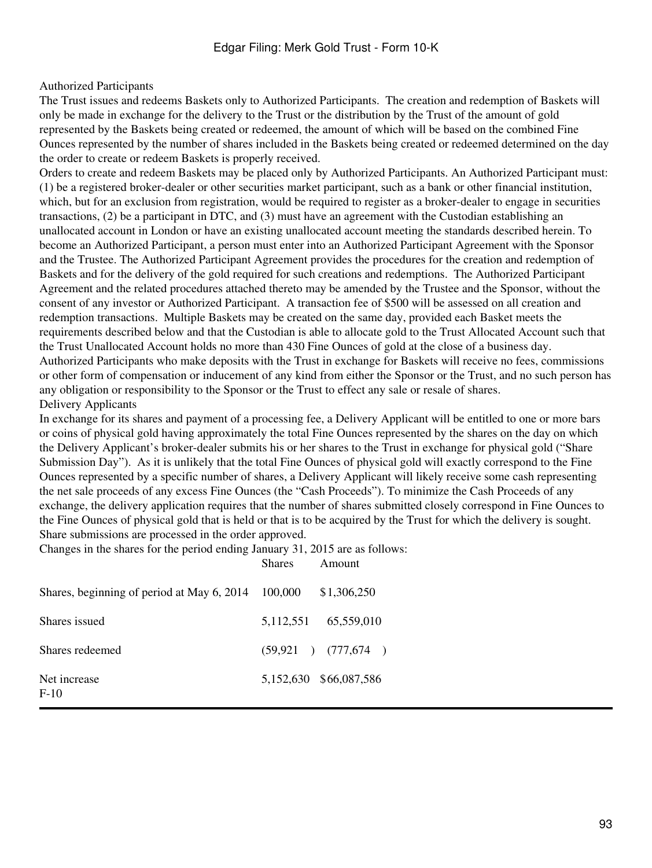### Authorized Participants

The Trust issues and redeems Baskets only to Authorized Participants. The creation and redemption of Baskets will only be made in exchange for the delivery to the Trust or the distribution by the Trust of the amount of gold represented by the Baskets being created or redeemed, the amount of which will be based on the combined Fine Ounces represented by the number of shares included in the Baskets being created or redeemed determined on the day the order to create or redeem Baskets is properly received.

Orders to create and redeem Baskets may be placed only by Authorized Participants. An Authorized Participant must: (1) be a registered broker-dealer or other securities market participant, such as a bank or other financial institution, which, but for an exclusion from registration, would be required to register as a broker-dealer to engage in securities transactions, (2) be a participant in DTC, and (3) must have an agreement with the Custodian establishing an unallocated account in London or have an existing unallocated account meeting the standards described herein. To become an Authorized Participant, a person must enter into an Authorized Participant Agreement with the Sponsor and the Trustee. The Authorized Participant Agreement provides the procedures for the creation and redemption of Baskets and for the delivery of the gold required for such creations and redemptions. The Authorized Participant Agreement and the related procedures attached thereto may be amended by the Trustee and the Sponsor, without the consent of any investor or Authorized Participant. A transaction fee of \$500 will be assessed on all creation and redemption transactions. Multiple Baskets may be created on the same day, provided each Basket meets the requirements described below and that the Custodian is able to allocate gold to the Trust Allocated Account such that the Trust Unallocated Account holds no more than 430 Fine Ounces of gold at the close of a business day. Authorized Participants who make deposits with the Trust in exchange for Baskets will receive no fees, commissions or other form of compensation or inducement of any kind from either the Sponsor or the Trust, and no such person has any obligation or responsibility to the Sponsor or the Trust to effect any sale or resale of shares. Delivery Applicants

In exchange for its shares and payment of a processing fee, a Delivery Applicant will be entitled to one or more bars or coins of physical gold having approximately the total Fine Ounces represented by the shares on the day on which the Delivery Applicant's broker-dealer submits his or her shares to the Trust in exchange for physical gold ("Share Submission Day"). As it is unlikely that the total Fine Ounces of physical gold will exactly correspond to the Fine Ounces represented by a specific number of shares, a Delivery Applicant will likely receive some cash representing the net sale proceeds of any excess Fine Ounces (the "Cash Proceeds"). To minimize the Cash Proceeds of any exchange, the delivery application requires that the number of shares submitted closely correspond in Fine Ounces to the Fine Ounces of physical gold that is held or that is to be acquired by the Trust for which the delivery is sought. Share submissions are processed in the order approved.

Shares Amount

Changes in the shares for the period ending January 31, 2015 are as follows:

| Shares, beginning of period at May $6, 2014 \quad 100,000$ |                        | \$1,306,250 |
|------------------------------------------------------------|------------------------|-------------|
| Shares issued                                              | 5,112,551 65,559,010   |             |
| Shares redeemed                                            | $(59,921)$ $(777,674)$ |             |
| Net increase<br>$F-10$                                     | 5,152,630 \$66,087,586 |             |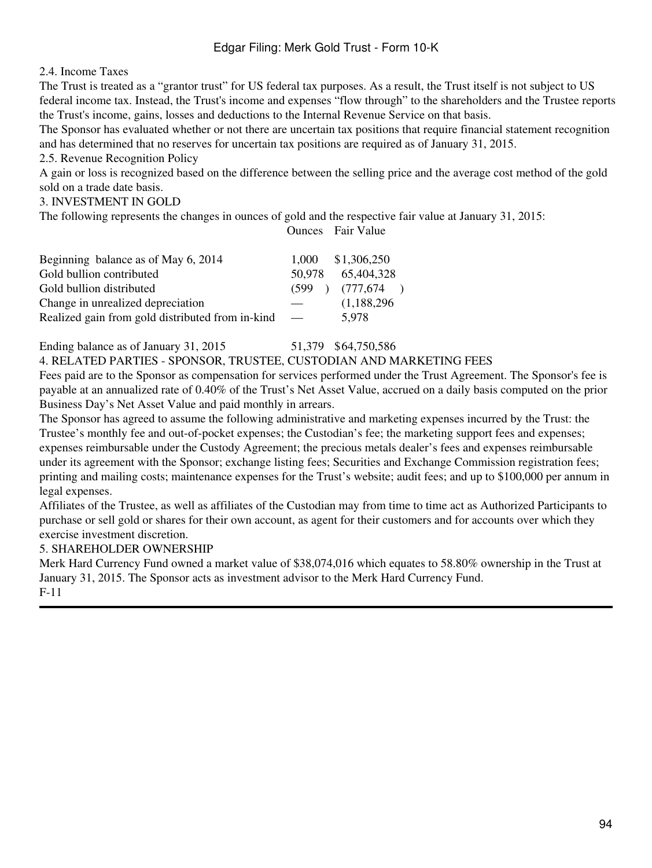2.4. Income Taxes

The Trust is treated as a "grantor trust" for US federal tax purposes. As a result, the Trust itself is not subject to US federal income tax. Instead, the Trust's income and expenses "flow through" to the shareholders and the Trustee reports the Trust's income, gains, losses and deductions to the Internal Revenue Service on that basis.

The Sponsor has evaluated whether or not there are uncertain tax positions that require financial statement recognition and has determined that no reserves for uncertain tax positions are required as of January 31, 2015.

2.5. Revenue Recognition Policy

A gain or loss is recognized based on the difference between the selling price and the average cost method of the gold sold on a trade date basis.

3. INVESTMENT IN GOLD

The following represents the changes in ounces of gold and the respective fair value at January 31, 2015:

Ounces Fair Value

| Beginning balance as of May 6, 2014              | 1.000                    | \$1,306,250         |
|--------------------------------------------------|--------------------------|---------------------|
| Gold bullion contributed                         | 50.978                   | 65,404,328          |
| Gold bullion distributed                         |                          | $(599)$ $(777,674)$ |
| Change in unrealized depreciation                |                          | (1,188,296)         |
| Realized gain from gold distributed from in-kind | $\overline{\phantom{a}}$ | 5.978               |

Ending balance as of January 31, 2015 51,379 \$64,750,586 4. RELATED PARTIES - SPONSOR, TRUSTEE, CUSTODIAN AND MARKETING FEES

Fees paid are to the Sponsor as compensation for services performed under the Trust Agreement. The Sponsor's fee is payable at an annualized rate of 0.40% of the Trust's Net Asset Value, accrued on a daily basis computed on the prior Business Day's Net Asset Value and paid monthly in arrears.

The Sponsor has agreed to assume the following administrative and marketing expenses incurred by the Trust: the Trustee's monthly fee and out-of-pocket expenses; the Custodian's fee; the marketing support fees and expenses; expenses reimbursable under the Custody Agreement; the precious metals dealer's fees and expenses reimbursable under its agreement with the Sponsor; exchange listing fees; Securities and Exchange Commission registration fees; printing and mailing costs; maintenance expenses for the Trust's website; audit fees; and up to \$100,000 per annum in legal expenses.

Affiliates of the Trustee, as well as affiliates of the Custodian may from time to time act as Authorized Participants to purchase or sell gold or shares for their own account, as agent for their customers and for accounts over which they exercise investment discretion.

### 5. SHAREHOLDER OWNERSHIP

Merk Hard Currency Fund owned a market value of \$38,074,016 which equates to 58.80% ownership in the Trust at January 31, 2015. The Sponsor acts as investment advisor to the Merk Hard Currency Fund. F-11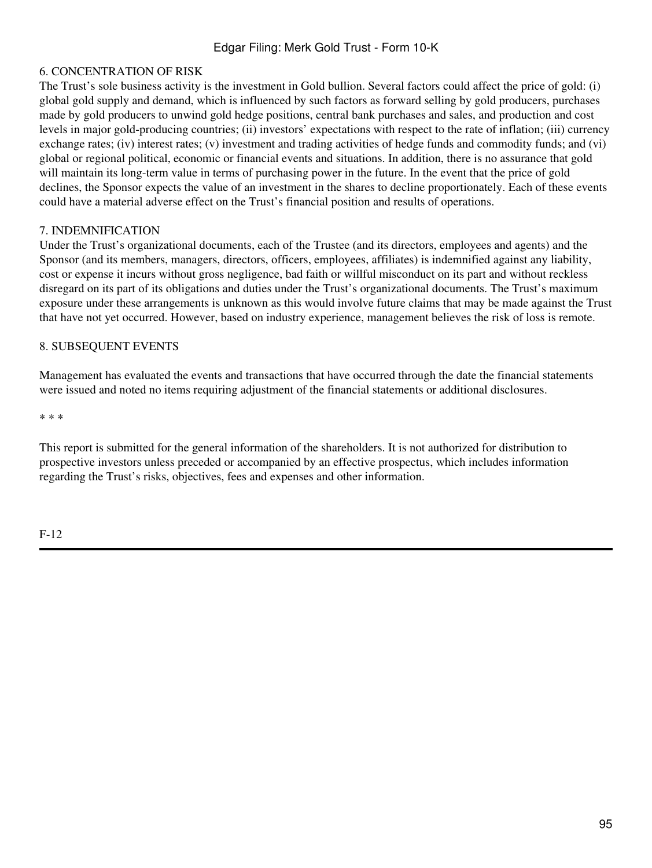### 6. CONCENTRATION OF RISK

The Trust's sole business activity is the investment in Gold bullion. Several factors could affect the price of gold: (i) global gold supply and demand, which is influenced by such factors as forward selling by gold producers, purchases made by gold producers to unwind gold hedge positions, central bank purchases and sales, and production and cost levels in major gold-producing countries; (ii) investors' expectations with respect to the rate of inflation; (iii) currency exchange rates; (iv) interest rates; (v) investment and trading activities of hedge funds and commodity funds; and (vi) global or regional political, economic or financial events and situations. In addition, there is no assurance that gold will maintain its long-term value in terms of purchasing power in the future. In the event that the price of gold declines, the Sponsor expects the value of an investment in the shares to decline proportionately. Each of these events could have a material adverse effect on the Trust's financial position and results of operations.

#### 7. INDEMNIFICATION

Under the Trust's organizational documents, each of the Trustee (and its directors, employees and agents) and the Sponsor (and its members, managers, directors, officers, employees, affiliates) is indemnified against any liability, cost or expense it incurs without gross negligence, bad faith or willful misconduct on its part and without reckless disregard on its part of its obligations and duties under the Trust's organizational documents. The Trust's maximum exposure under these arrangements is unknown as this would involve future claims that may be made against the Trust that have not yet occurred. However, based on industry experience, management believes the risk of loss is remote.

#### 8. SUBSEQUENT EVENTS

Management has evaluated the events and transactions that have occurred through the date the financial statements were issued and noted no items requiring adjustment of the financial statements or additional disclosures.

\* \* \*

This report is submitted for the general information of the shareholders. It is not authorized for distribution to prospective investors unless preceded or accompanied by an effective prospectus, which includes information regarding the Trust's risks, objectives, fees and expenses and other information.